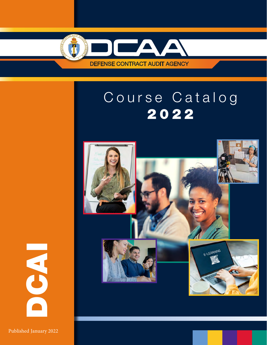

# Course Catalog 2022



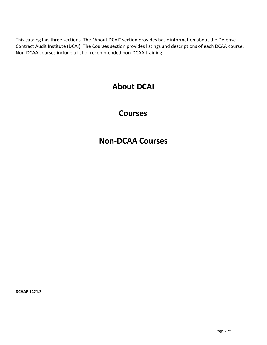This catalog has three sections. The "About DCAI" section provides basic information about the Defense Contract Audit Institute (DCAI). The Courses section provides listings and descriptions of each DCAA course. Non-DCAA courses include a list of recommended non-DCAA training.

### **[About DCAI](#page-2-0)**

### **[Courses](#page-7-0)**

### **[Non-DCAA](#page-3-0) Courses**

**DCAAP 1421.3**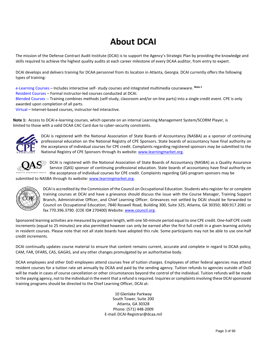## **About DCAI**

<span id="page-2-0"></span>The mission of the Defense Contract Audit Institute (DCAI) is to support the Agency's Strategic Plan by providing the knowledge and skills required to achieve the highest quality audits at each career milestone of every DCAA auditor, from entry to expert.

DCAI develops and delivers training for DCAA personnel from its location in Atlanta, Georgia. DCAI currently offers the following types of training:

e-Learning Courses – Includes interactive self- study courses and integrated multimedia courseware. **Note 1**

Resident Courses – Formal instructor-led courses conducted at DCAI.

Blended Courses -- Training combines methods (self-study, classroom and/or on-line parts) into a single credit event. CPE is only awarded upon completion of all parts.

Virtual – Internet-based courses, instructor-led interactive.

**Note 1:** Access to DCAI e-learning courses, which operate on an internal Learning Management System/SCORM Player, is limited to those with a valid DCAA CAC Card due to cyber-security constraints.



DCAI is registered with the National Association of State Boards of Accountancy (NASBA) as a sponsor of continuing professional education on the National Registry of CPE Sponsors. State boards of accountancy have final authority on the acceptance of individual courses for CPE credit. Complaints regarding registered sponsors may be submitted to the National Registry of CPE Sponsors through its website: [www.learningmarket.org.](http://www.learningmarket.org/)



DCAI is registered with the National Association of State Boards of Accountancy (NASBA) as a Quality Assurance Service (QAS) sponsor of continuing professional education. State boards of accountancy have final authority on **EXAMCE SERVICI** the acceptance of individual courses for CPE credit. Complaints regarding QAS program sponsors may be

submitted to NASBA through its website[: www.learningmarket.org.](http://www.learningmarket.org/)



DCAI is accredited by the Commission of the Council on Occupational Education. Students who register for or complete training courses at DCAI and have a grievance should discuss the issue with the Course Manager, Training Support Branch, Administrative Officer, and Chief Learning Officer. Grievances not settled by DCAI should be forwarded to Council on Occupational Education; 7840 Roswell Road, Building 300, Suite 325; Atlanta, GA 30350; 800.917.2081 or fax 770.396.3790. (COE ID# 270400) Website: [www.council.org.](http://www.council.org/)

Sponsored learning activities are measured by program length, with one 50-minute period equal to one CPE credit. One-half CPE credit increments (equal to 25 minutes) are also permitted however can only be earned after the first full credit in a given learning activity in resident courses. Please note that not all state boards have adopted this rule. Some participants may not be able to use one-half credit increments.

DCAI continually updates course material to ensure that content remains current, accurate and complete in regard to DCAA policy, CAM, FAR, DFARS, CAS, GAGAS, and any other changes promulgated by an authoritative body.

DCAA employees and other DoD employees attend courses free of tuition charges. Employees of other federal agencies may attend resident courses for a tuition rate set annually by DCAA and paid by the sending agency. Tuition refunds to agencies outside of DoD will be made in cases of course cancellation or other circumstances beyond the control of the individual. Tuition refunds will be made to the paying agency, not to the individual in the event that a refund is required. Inquiries or complaints involving these DCAI sponsored training programs should be directed to the Chief Learning Officer, DCAI at:

> 10 Glenlake Parkway South Tower, Suite 200 Atlanta, GA 30328 Phone: (571) 448-2009 E-mail[:DCAI-Registrar@dcaa.mil](mailto:DCAI-Registrar@dcaa.mil)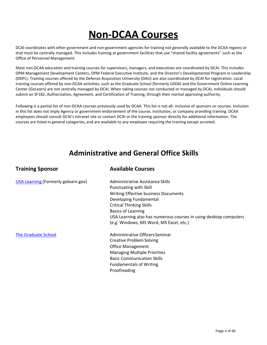## **Non-DCAA Courses**

<span id="page-3-0"></span>DCAI coordinates with other government and non-government agencies for training not generally available to the DCAA regions or that must be centrally managed. This includes training at government facilities that use "shared facility agreements" such as the Office of Personnel Management.

Most non-DCAA education and training courses for supervisors, managers, and executives are coordinated by DCAI. This includes OPM Management Development Centers, OPM Federal Executive Institute, and the Director's Developmental Program in Leadership (DDPL). Training courses offered by the Defense Acquisition University (DAU) are also coordinated by DCAI for registration. Local training courses offered by non-DCAA activities, such as the Graduate School (formerly USDA) and the Government Online Learning Center (GoLearn) are not centrally managed by DCAI. When taking courses not conducted or managed by DCAI, individuals should submit an SF182, Authorization, Agreement, and Certification of Training, through their normal approving authority.

Following is a partial list of non-DCAA courses previously used by DCAA. This list is not all- inclusive of sponsors or courses. Inclusion in this list does not imply Agency or government endorsement of the course, institution, or company providing training. DCAA employees should consult DCAI's Intranet site or contact DCAI or the training sponsor directly for additional information. The courses are listed in general categories, and are available to any employee requiring the training except asnoted.

### **Administrative and General Office Skills**

| <b>Training Sponsor</b>             | <b>Available Courses</b>                                          |
|-------------------------------------|-------------------------------------------------------------------|
| USA Learning (Formerly golearn.gov) | Administrative Assistance Skills                                  |
|                                     | <b>Punctuating with Skill</b>                                     |
|                                     | <b>Writing Effective business Documents</b>                       |
|                                     | Developing Fundamental                                            |
|                                     | <b>Critical Thinking Skills</b>                                   |
|                                     | <b>Basics of Learning</b>                                         |
|                                     | USA Learning also has numerous courses in using desktop computers |
|                                     | (e.g. Windows, MS Word, MS Excel, etc.)                           |
| <b>The Graduate School</b>          | Administrative Officers Seminar                                   |
|                                     | <b>Creative Problem Solving</b>                                   |
|                                     | <b>Office Management</b>                                          |
|                                     | <b>Managing Multiple Priorities</b>                               |
|                                     | <b>Basic Communication Skills</b>                                 |
|                                     | <b>Fundamentals of Writing</b>                                    |
|                                     | Proofreading                                                      |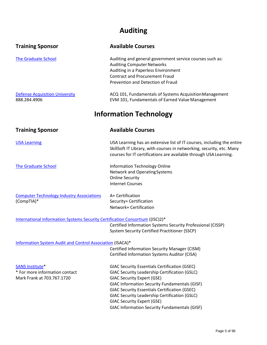### **Auditing**

| <b>Training Sponsor</b>                                                                | <b>Available Courses</b>                                                                                                                                                                                                                                                                                                                                                                                               |
|----------------------------------------------------------------------------------------|------------------------------------------------------------------------------------------------------------------------------------------------------------------------------------------------------------------------------------------------------------------------------------------------------------------------------------------------------------------------------------------------------------------------|
| <b>The Graduate School</b>                                                             | Auditing and general government service courses such as:<br><b>Auditing Computer Networks</b><br>Auditing in a Paperless Environment<br><b>Contract and Procurement Fraud</b><br>Prevention and Detection of Fraud                                                                                                                                                                                                     |
| <b>Defense Acquisition University</b><br>888.284.4906                                  | ACQ 101, Fundamentals of Systems Acquisition Management<br>EVM 101, Fundamentals of Earned Value Management                                                                                                                                                                                                                                                                                                            |
|                                                                                        | <b>Information Technology</b>                                                                                                                                                                                                                                                                                                                                                                                          |
| <b>Training Sponsor</b>                                                                | <b>Available Courses</b>                                                                                                                                                                                                                                                                                                                                                                                               |
| <b>USA Learning</b>                                                                    | USA Learning has an extensive list of IT courses, including the entire<br>SkillSoft IT Library, with courses in networking, security, etc. Many<br>courses for IT certifications are available through USA Learning.                                                                                                                                                                                                   |
| <b>The Graduate School</b>                                                             | <b>Information Technology Online</b><br>Network and Operating Systems<br><b>Online Security</b><br><b>Internet Courses</b>                                                                                                                                                                                                                                                                                             |
| <b>Computer Technology Industry Associations</b><br>(CompTIA)*                         | A+ Certification<br>Security+ Certification<br>Network+ Certification                                                                                                                                                                                                                                                                                                                                                  |
| International Information Systems Security Certification Consortium ((ISC)2)*          | Certified Information Systems Security Professional (CISSP)<br><b>System Security Certified Practitioner (SSCP)</b>                                                                                                                                                                                                                                                                                                    |
| Information System Audit and Control Association (ISACA)*                              | Certified Information Security Manager (CISM)<br>Certified Information Systems Auditor (CISA)                                                                                                                                                                                                                                                                                                                          |
| <b>SANS Institute*</b><br>* For more information contact<br>Mark Frank at 703.767.1720 | <b>GIAC Security Essentials Certification (GSEC)</b><br><b>GIAC Security Leadership Certification (GSLC)</b><br><b>GIAC Security Expert (GSE)</b><br><b>GIAC Information Security Fundamentals (GISF)</b><br><b>GIAC Security Essentials Certification (GSEC)</b><br><b>GIAC Security Leadership Certification (GSLC)</b><br><b>GIAC Security Expert (GSE)</b><br><b>GIAC Information Security Fundamentals (GISF)</b> |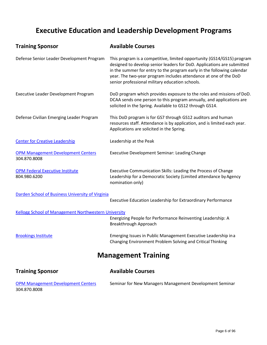### **Executive Education and Leadership Development Programs**

| <b>Training Sponsor</b>                                     | <b>Available Courses</b>                                                                                                                                                                                                                                                                                                                          |
|-------------------------------------------------------------|---------------------------------------------------------------------------------------------------------------------------------------------------------------------------------------------------------------------------------------------------------------------------------------------------------------------------------------------------|
| Defense Senior Leader Development Program                   | This program is a competitive, limited opportunity (GS14/GS15) program<br>designed to develop senior leaders for DoD. Applications are submitted<br>in the summer for entry to the program early in the following calendar<br>year. The two-year program includes attendance at one of the DoD<br>senior professional military education schools. |
| Executive Leader Development Program                        | DoD program which provides exposure to the roles and missions of DoD.<br>DCAA sends one person to this program annually, and applications are<br>solicited in the Spring. Available to GS12 through GS14.                                                                                                                                         |
| Defense Civilian Emerging Leader Program                    | This DoD program is for GS7 through GS12 auditors and human<br>resources staff. Attendance is by application, and is limited each year.<br>Applications are solicited in the Spring.                                                                                                                                                              |
| <b>Center for Creative Leadership</b>                       | Leadership at the Peak                                                                                                                                                                                                                                                                                                                            |
| <b>OPM Management Development Centers</b><br>304.870.8008   | Executive Development Seminar: Leading Change                                                                                                                                                                                                                                                                                                     |
| <b>OPM Federal Executive Institute</b><br>804.980.6200      | Executive Communication Skills: Leading the Process of Change<br>Leadership for a Democratic Society (Limited attendance by Agency<br>nomination only)                                                                                                                                                                                            |
| Darden School of Business University of Virginia            | Executive Education Leadership for Extraordinary Performance                                                                                                                                                                                                                                                                                      |
| <b>Kellogg School of Management Northwestern University</b> | Energizing People for Performance Reinventing Leadership: A<br>Breakthrough Approach                                                                                                                                                                                                                                                              |
| <b>Brookings Institute</b>                                  | Emerging Issues in Public Management Executive Leadership in a<br>Changing Environment Problem Solving and Critical Thinking                                                                                                                                                                                                                      |
|                                                             | <b>Management Training</b>                                                                                                                                                                                                                                                                                                                        |
| <b>Training Sponsor</b>                                     | <b>Available Courses</b>                                                                                                                                                                                                                                                                                                                          |
|                                                             |                                                                                                                                                                                                                                                                                                                                                   |

[OPM Management](http://www.leadership.opm.gov/) Development Centers Seminar for New Managers Management Development Seminar 304.870.8008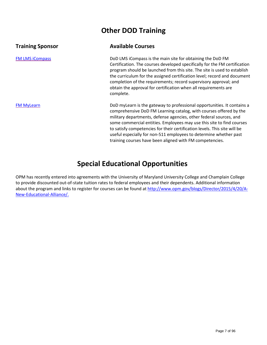### **Other DOD Training**

#### **Training Sponsor Available Courses**

FM LMS [iCompass](https://whs.plateau.com/learning/user/ssoLogin.do) **EXECUTE:** DoD LMS iCompass is the main site for obtaining the DoD FM Certification. The courses developed specifically for the FM certification program should be launched from this site. The site is used to establish the curriculum for the assigned certification level; record and document completion of the requirements; record supervisory approval; and obtain the approval for certification when all requirements are complete.

[FM MyLearn](https://fmonline.ousdc.osd.mil/FMmyLearn/Default.aspx) **EXECUTE:** DoD myLearn is the gateway to professional opportunities. It contains a comprehensive DoD FM Learning catalog, with courses offered by the military departments, defense agencies, other federal sources, and some commercial entities. Employees may use this site to find courses to satisfy competencies for their certification levels. This site will be useful especially for non-511 employees to determine whether past training courses have been aligned with FM competencies.

### **Special Educational Opportunities**

OPM has recently entered into agreements with the University of Maryland University College and Champlain College to provide discounted out-of-state tuition rates to federal employees and their dependents. Additional information about the program and links to register for courses can be [found at http://www.opm.gov/blogs/Director/2015/4/20/A-](http://www.opm.gov/blogs/Director/2015/4/20/A-New-Educational-Alliance/)[New-Educational-Alli](http://www.opm.gov/blogs/Director/2015/4/20/A-New-Educational-Alliance/)ance/.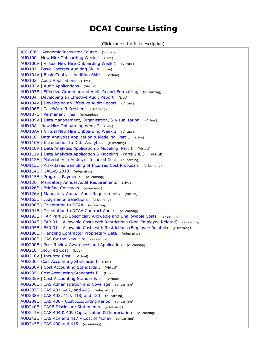### **DCAI Course Listing**

(Click course for full description)

<span id="page-7-1"></span><span id="page-7-0"></span>[AIC100V | Academic Instructor Course](#page-10-0) (Virtual) [AUD100 | New Hire Onboarding Week 1](#page-11-0) (Live) [AUD100V | Virtual New Hire Onboarding Week 1](#page-12-0) (Virtual) [AUD101 | Basic Contract Auditing Skills](#page-13-0) (Live) [AUD101V | Basic Contract Auditing Skills](#page-14-0) (Virtual) [AUD102 | Audit Applications](#page-15-0) (Live) [AUD102V | Audit Applications](#page-16-0) (Virtual) [AUD103E | Effective Grammar and Audit Report Formatting](#page-17-0) (e-learning) [AUD104 | Developing an Effective Audit Report](#page-18-0) (Live) [AUD104V | Developing an Effective Audit Report](#page-19-0) (Virtual) [AUD106E | CaseWare Refresher](#page-20-0) (e-learning) [AUD107E | Permanent Files](#page-21-0) (e-learning) [AUD109V | Data Management, Organization, & Visualization](#page-22-0) (Virtual) [AUD10A | New Hire Onboarding Week 2](#page-23-0) (Live) [AUD10AV | Virtual New Hire Onboarding Week 2](#page-24-0) (Virtual) [AUD110 | Data Analytics Application & Modeling, Part 1](#page-25-0) (Live) [AUD110E | Introduction to Data Analytics](#page-26-0) (e-learning) [AUD110V | Data Analytics Application & Modeling, Part 1](#page-27-0) (Virtual) [AUD111V | Data Analytics Application & Modeling - Parts 2 & 3](#page-28-0) (Virtual) [AUD112E | Materiality in Audits of Incurred Cost](#page-29-0) (e-learning) [AUD113E | Risk-Based Sampling of Incurred Cost Proposals](#page-30-0) (e-learning) [AUD114E | GAGAS 2018](#page-31-0) (e-learning) [AUD115E | Progress Payments](#page-32-0) (e-learning) [AUD126 | Mandatory Annual Audit Requirements](#page-33-0) (Live) [AUD126E | Briefing Contracts](#page-34-0) (e-learning) [AUD126V | Mandatory Annual Audit Requirements](#page-35-0)  (Virtual) [AUD165E | Judgmental Selections](#page-36-0) (e-learning) [AUD190E | Orientation to DCAA](#page-37-0) (e-learning) [AUD191E | Orientation to DCAA Contract Audits](#page-38-0) (e-learning) [AUD193E | FAR Part 31-Specifically Allowable and Unallowable Costs](#page-39-0) (e-learning) [AUD194E | FAR 31 – Allowable Costs with Restrictions \(Non-Employee Related\)](#page-40-0) (e-learning) [AUD195E | FAR 31 – Allowable Costs with Restrictions \(Employee Related\)](#page-41-0) (e-learning) [AUD196E | Handling Contractor Proprietary Data](#page-42-0) (e-learning) [AUD198E | CAS for the New Hire](#page-43-0) (e-learning) [AUD200E | Peer Review Awareness and Application](#page-44-0) (e-learning) [AUD210 | Incurred Cost](#page-45-0) (Live) [AUD210V | Incurred Cost](#page-46-0) (Virtual) [AUD230 | Cost Accounting Standards I](#page-47-0) (Live) [AUD230V | Cost Accounting Standards I](#page-48-0) (Virtual) [AUD235 | Cost Accounting Standards II](#page-49-0) (Live) [AUD235V | Cost Accounting Standards II](#page-50-0) (Virtual) [AUD236E | CAS Administration and Coverage](#page-51-0) (e-learning) [AUD237E | CAS 401, 402, and 405](#page-52-0) (e-learning) [AUD238E | CAS 403, 410, 418, and 420](#page-53-0) (e-learning) [AUD239E | CAS 406 - Cost Accounting Period](#page-54-0) (e-learning) [AUD240E | CASB Disclosure Statements](#page-55-0) (e-learning) [AUD241E | CAS 404 & 409 Capitalization & Depreciation](#page-56-0) (e-learning) [AUD242E | CAS 414 and 417 – Cost of Money](#page-57-0) (e-learning) [AUD243E | CAS 408 and 415](#page-58-0) (e-learning)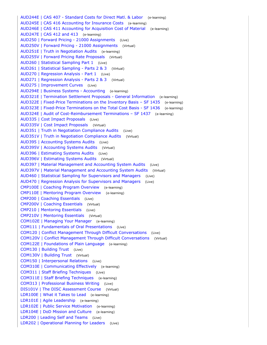[AUD244E | CAS 407 - Standard Costs for Direct Matl. & Labor](#page-59-0) (e-learning) [AUD245E | CAS 416 Accounting for Insurance Costs](#page-60-0) (e-learning) [AUD246E | CAS 411 Accounting for Acquisition Cost of Material](#page-61-0) (e-learning) [AUD247E | CAS 412 and 413](#page-62-0) (e-learning) [AUD250 | Forward Pricing - 21000 Assignments](#page-63-0) (Live) [AUD250V | Forward Pricing - 21000 Assignments](#page-64-0) (Virtual) [AUD251E | Truth in Negotiation Audits](#page-65-0) (e-learning) [AUD255V | Forward Pricing Rate Proposals](#page-66-0) (Virtual) [AUD260 | Statistical Sampling Part 1](#page-67-0) (Live) [AUD261 | Statistical Sampling - Parts 2 & 3](#page-68-0) (Virtual) [AUD270 | Regression Analysis - Part 1](#page-69-0) (Live) [AUD271 | Regression Analysis - Parts 2 & 3](#page-70-0) (Virtual) [AUD275 | Improvement Curves](#page-71-0) (Live) [AUD294E | Business Systems - Accounting](#page-72-0) (e-learning) [AUD321E | Termination Settlement Proposals - General Information](#page-73-0) (e-learning) [AUD322E | Fixed-Price Terminations on the Inventory Basis – SF 1435](#page-74-0) (e-learning) [AUD323E | Fixed-Price Terminations on the Total Cost Basis - SF 1436](#page-75-0) (e-learning) [AUD324E | Audit of Cost-Reimbursement Terminations – SF 1437](#page-76-0) (e-learning) [AUD335 | Cost Impact Proposals](#page-77-0) (Live) [AUD335V | Cost Impact Proposals](#page-78-0) (Virtual) [AUD351 | Truth in Negotiation Compliance Audits](#page-79-0) (Live) [AUD351V | Truth in Negotiation Compliance Audits](#page-80-0) (Virtual) [AUD395 | Accounting Systems Audits](#page-81-0) (Live) [AUD395V | Accounting Systems Audits](#page-82-0) (Virtual) [AUD396 | Estimating Systems Audits](#page-83-0) (Live) [AUD396V | Estimating Systems Audits](#page-84-0) (Virtual) [AUD397 | Material Management and Accounting System Audits](#page-85-0) (Live) [AUD397V | Material Management and Accounting System Audits](#page-86-0) (Virtual) [AUD460 | Statistical Sampling for Supervisors and Managers](#page-87-0) (Live) [AUD470 | Regression Analysis for Supervisors and Managers](#page-88-0) (Live) [CMP100E | Coaching Program Overview](#page-89-0) (e-learning) [CMP110E | Mentoring Program Overview](#page-90-0) (e-learning) [CMP200 | Coaching Essentials](#page-91-0) (Live) [CMP200V | Coaching Essentials](#page-92-0) (Virtual) [CMP210 | Mentoring Essentials](#page-93-0) (Live) [CMP210V | Mentoring Essentials](#page-94-0) (Virtual) [COM102E | Managing Your Manager](#page-95-0) (e-learning) [COM111 | Fundamentals of Oral Presentations](#page-96-0) (Live) [COM120 | Conflict Management Through Difficult Conversations](#page-97-0) (Live) [COM120V | Conflict Management Through Difficult Conversations](#page-98-0) (Virtual) [COM122E | Foundations of Plain Language](#page-99-0) (e-learning) [COM130 | Building Trust](#page-100-0) (Live) [COM130V | Building Trust](#page-101-0) (Virtual) [COM150 | Interpersonal Relations](#page-102-0) (Live) [COM310E | Communicating Effectively](#page-103-0) (e-learning) [COM311 | Staff Briefing Techniques](#page-104-0) (Live) [COM311E | Staff Briefing Techniques](#page-105-0) (e-learning) [COM313 | Professional Business Writing](#page-106-0) (Live) [DIS101V | The DISC Assessment Course](#page-107-0) (Virtual) [LDR100E | What it Takes to Lead](#page-108-0) (e-learning) [LDR101E | Agile Leadership](#page-109-0) (e-learning) [LDR102E | Public Service Motivation](#page-110-0) (e-learning) [LDR104E | DoD Mission and Culture](#page-111-0) (e-learning) [LDR200 | Leading Self and Teams](#page-112-0) (Live) [LDR202 | Operational Planning for Leaders](#page-113-0) (Live)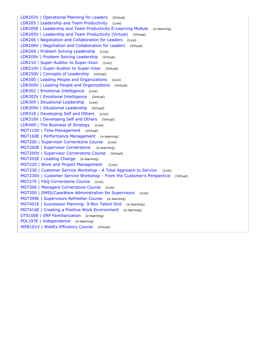[LDR202V | Operational Planning for Leaders](#page-114-0) (Virtual) [LDR205 | Leadership and Team Productivity](#page-115-0) (Live) [LDR205E | Leadership and Team Productivity E-Learning Module](#page-116-0) (e-learning) [LDR205V | Leadership and Team Productivity \(Virtual\)](#page-117-0) (Virtual) [LDR206 | Negotiation and Collaboration for Leaders](#page-118-0) (Live) [LDR206V | Negotiation and Collaboration for Leaders](#page-119-0) (Virtual) [LDR209 | Problem Solving Leadership](#page-120-0) (Live) [LDR209V | Problem Solving Leadership](#page-121-0) (Virtual) [LDR210 | Super-Auditor to Super-Visor](#page-122-0)  (Live) [LDR210V | Super-Auditor to Super-Visor](#page-123-0) (Virtual) [LDR250V | Concepts of Leadership](#page-124-0) (Virtual) [LDR300 | Leading People and Organizations](#page-125-0) (Live) [LDR300V | Leading People and Organizations](#page-126-0) (Virtual) [LDR302 | Emotional Intelligence](#page-127-0) (Live) [LDR302V | Emotional Intelligence](#page-128-0) (Virtual) [LDR309 | Situational Leadership](#page-129-0) (Live) [LDR309V | Situational Leadership](#page-130-0) (Virtual) [LDR316 | Developing Self and Others](#page-131-0) (Live) [LDR316V | Developing Self and Others](#page-132-0) (Virtual) [LDR409 | The Business of Strategy](#page-133-0) (Live) [MGT110V | Time Management](#page-134-0) (Virtual) [MGT160E | Performance Management](#page-135-0) (e-learning) [MGT200 | Supervisor Cornerstone Course](#page-136-0) (Live) [MGT200E | Supervisor Cornerstone](#page-137-0) (e-learning) [MGT200V | Supervisor Cornerstone Course](#page-138-0) (Virtual) [MGT205E | Leading Change](#page-139-0) (e-learning) [MGT220 | Work and Project Management](#page-140-0) (Live) [MGT230 | Customer Service Workshop - A Total Approach to Service](#page-141-0)  (Live) [MGT230V | Customer Service Workshop – From the Customer's Perspective](#page-142-0) (Virtual) [MGT270 | FAQ Cornerstone Course](#page-143-0) (Live) [MGT300 | Managers Cornerstone Course](#page-144-0) (Live) [MGT350 | DMIS/CaseWare Administration for Supervisors](#page-145-0) (Live) [MGT399E | Supervisors Refresher Course](#page-146-0) (e-learning) [MGT401E | Succession Planning: 9-Box Talent Grid](#page-147-0) (e-learning) [MGT416E | Creating a Positive Work Environment](#page-148-0) (e-learning) [OTS100E | ERP Familiarization](#page-149-0) (e-learning) [POL197E | Independence](#page-150-0) (e-learning) [WEB101V | WebEx Efficiency Course](#page-151-0) (Virtual)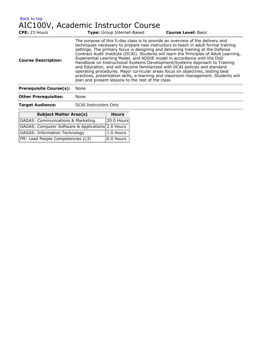<span id="page-10-0"></span>[Back to top](#page-7-1) AIC100V, Academic Instructor Course

| CPE: 23 Hours                  | www.croce.com/croce.com/croce.com/<br><b>Type:</b> Group Internet-Based                                                                                                                                                                                                                                                                                                                                                                                                                                                                                                                                                                                                                                                                                                                                               | <b>Course Level: Basic</b> |
|--------------------------------|-----------------------------------------------------------------------------------------------------------------------------------------------------------------------------------------------------------------------------------------------------------------------------------------------------------------------------------------------------------------------------------------------------------------------------------------------------------------------------------------------------------------------------------------------------------------------------------------------------------------------------------------------------------------------------------------------------------------------------------------------------------------------------------------------------------------------|----------------------------|
| <b>Course Description:</b>     | The purpose of this 5-day class is to provide an overview of the delivery and<br>techniques necessary to prepare new instructors to teach in adult formal training<br>settings. The primary focus is designing and delivering training at the Defense<br>Contract Audit Institute (DCAI). Students will learn the Principles of Adult Learning,<br>Experiential Learning Model, and ADDIE model in accordance with the DoD<br>Handbook on Instructional Systems Development/Systems Approach to Training<br>and Education, and will become familiarized with DCAI policies and standard<br>operating procedures. Major curricular areas focus on objectives, testing best<br>practices, presentation skills, e-learning and classroom management. Students will<br>plan and present lessons to the rest of the class. |                            |
| <b>Prerequisite Course(s):</b> | None                                                                                                                                                                                                                                                                                                                                                                                                                                                                                                                                                                                                                                                                                                                                                                                                                  |                            |
| <b>Other Prerequisites:</b>    | None                                                                                                                                                                                                                                                                                                                                                                                                                                                                                                                                                                                                                                                                                                                                                                                                                  |                            |
| <b>Target Audience:</b>        | DCAI Instructors Only                                                                                                                                                                                                                                                                                                                                                                                                                                                                                                                                                                                                                                                                                                                                                                                                 |                            |

| <b>Subject Matter Area(s)</b>                     | <b>Hours</b>     |
|---------------------------------------------------|------------------|
| <b>GAGAS: Communications &amp; Marketing</b>      | $ 20.0$ Hours    |
| GAGAS: Computer Software & Applications 2.0 Hours |                  |
| <b>GAGAS: Information Technology</b>              | 1.0 Hours        |
| FM: Lead People Competencies (L3)                 | $ 0.0$ Hours $ $ |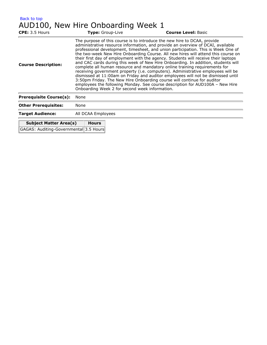<span id="page-11-0"></span>

| Back to top                            |                                                |                                                                                                                                                                                                                                                                                                                                                                                                                                                                                                                                                                                                                                                                                                                                                                                                                                                                                                                                    |  |  |
|----------------------------------------|------------------------------------------------|------------------------------------------------------------------------------------------------------------------------------------------------------------------------------------------------------------------------------------------------------------------------------------------------------------------------------------------------------------------------------------------------------------------------------------------------------------------------------------------------------------------------------------------------------------------------------------------------------------------------------------------------------------------------------------------------------------------------------------------------------------------------------------------------------------------------------------------------------------------------------------------------------------------------------------|--|--|
|                                        | AUD100, New Hire Onboarding Week 1             |                                                                                                                                                                                                                                                                                                                                                                                                                                                                                                                                                                                                                                                                                                                                                                                                                                                                                                                                    |  |  |
| CPE: 3.5 Hours                         | Type: Group-Live                               | <b>Course Level: Basic</b>                                                                                                                                                                                                                                                                                                                                                                                                                                                                                                                                                                                                                                                                                                                                                                                                                                                                                                         |  |  |
| <b>Course Description:</b>             | Onboarding Week 2 for second week information. | The purpose of this course is to introduce the new hire to DCAA, provide<br>administrative resource information, and provide an overview of DCAI, available<br>professional development, timesheet, and union participation. This is Week One of<br>the two-week New Hire Onboarding Course. All new hires will attend this course on<br>their first day of employment with the agency. Students will receive their laptops<br>and CAC cards during this week of New Hire Onboarding. In addition, students will<br>complete all human resource and mandatory online training requirements for<br>receiving government property (i.e. computers). Administrative employees will be<br>dismissed at 11:00am on Friday and auditor employees will not be dismissed until<br>3:50pm Friday. The New Hire Onboarding course will continue for auditor<br>employees the following Monday. See course description for AUD100A - New Hire |  |  |
| <b>Prerequisite Course(s):</b>         | None                                           |                                                                                                                                                                                                                                                                                                                                                                                                                                                                                                                                                                                                                                                                                                                                                                                                                                                                                                                                    |  |  |
| <b>Other Prerequisites:</b>            | None                                           |                                                                                                                                                                                                                                                                                                                                                                                                                                                                                                                                                                                                                                                                                                                                                                                                                                                                                                                                    |  |  |
| <b>Target Audience:</b>                | All DCAA Employees                             |                                                                                                                                                                                                                                                                                                                                                                                                                                                                                                                                                                                                                                                                                                                                                                                                                                                                                                                                    |  |  |
| <b>Subject Matter Area(s)</b>          | <b>Hours</b>                                   |                                                                                                                                                                                                                                                                                                                                                                                                                                                                                                                                                                                                                                                                                                                                                                                                                                                                                                                                    |  |  |
| GAGAS: Auditing-Governmental 3.5 Hours |                                                |                                                                                                                                                                                                                                                                                                                                                                                                                                                                                                                                                                                                                                                                                                                                                                                                                                                                                                                                    |  |  |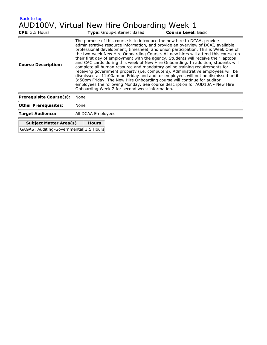<span id="page-12-0"></span>

| Back to top                                                             |                                                                                                                                                                                                                                                                                                                                                                                                                                                                                                                                                                                                                                                                                                                                                                                                                                                                                                                                                                                     |  |  |  |
|-------------------------------------------------------------------------|-------------------------------------------------------------------------------------------------------------------------------------------------------------------------------------------------------------------------------------------------------------------------------------------------------------------------------------------------------------------------------------------------------------------------------------------------------------------------------------------------------------------------------------------------------------------------------------------------------------------------------------------------------------------------------------------------------------------------------------------------------------------------------------------------------------------------------------------------------------------------------------------------------------------------------------------------------------------------------------|--|--|--|
|                                                                         | AUD100V, Virtual New Hire Onboarding Week 1                                                                                                                                                                                                                                                                                                                                                                                                                                                                                                                                                                                                                                                                                                                                                                                                                                                                                                                                         |  |  |  |
| CPE: 3.5 Hours                                                          | <b>Type:</b> Group-Internet Based<br><b>Course Level: Basic</b>                                                                                                                                                                                                                                                                                                                                                                                                                                                                                                                                                                                                                                                                                                                                                                                                                                                                                                                     |  |  |  |
| <b>Course Description:</b>                                              | The purpose of this course is to introduce the new hire to DCAA, provide<br>administrative resource information, and provide an overview of DCAI, available<br>professional development, timesheet, and union participation. This is Week One of<br>the two-week New Hire Onboarding Course. All new hires will attend this course on<br>their first day of employment with the agency. Students will receive their laptops<br>and CAC cards during this week of New Hire Onboarding. In addition, students will<br>complete all human resource and mandatory online training requirements for<br>receiving government property (i.e. computers). Administrative employees will be<br>dismissed at 11:00am on Friday and auditor employees will not be dismissed until<br>3:50pm Friday. The New Hire Onboarding course will continue for auditor<br>employees the following Monday. See course description for AUD10A - New Hire<br>Onboarding Week 2 for second week information. |  |  |  |
| <b>Prerequisite Course(s):</b>                                          | None                                                                                                                                                                                                                                                                                                                                                                                                                                                                                                                                                                                                                                                                                                                                                                                                                                                                                                                                                                                |  |  |  |
| <b>Other Prerequisites:</b>                                             | None                                                                                                                                                                                                                                                                                                                                                                                                                                                                                                                                                                                                                                                                                                                                                                                                                                                                                                                                                                                |  |  |  |
| <b>Target Audience:</b>                                                 | All DCAA Employees                                                                                                                                                                                                                                                                                                                                                                                                                                                                                                                                                                                                                                                                                                                                                                                                                                                                                                                                                                  |  |  |  |
| <b>Subject Matter Area(s)</b><br>GAGAS: Auditing-Governmental 3.5 Hours | <b>Hours</b>                                                                                                                                                                                                                                                                                                                                                                                                                                                                                                                                                                                                                                                                                                                                                                                                                                                                                                                                                                        |  |  |  |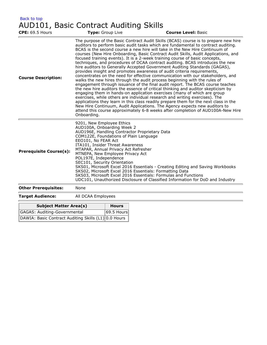<span id="page-13-0"></span>

| Back to top                            |  |  |
|----------------------------------------|--|--|
| AUD101, Basic Contract Auditing Skills |  |  |

| <b>CPE: 69.5 Hours</b>              |                                                                                                                                                                                                                                                                                                                                                                                                                                                                                                                                                                                                                                                                                                                                                                                                                                                                                                                                                                                                                                                                                                                                                                                                                                                                                                                                                                                                                                                 | Type: Group Live | <b>Course Level: Basic</b> |
|-------------------------------------|-------------------------------------------------------------------------------------------------------------------------------------------------------------------------------------------------------------------------------------------------------------------------------------------------------------------------------------------------------------------------------------------------------------------------------------------------------------------------------------------------------------------------------------------------------------------------------------------------------------------------------------------------------------------------------------------------------------------------------------------------------------------------------------------------------------------------------------------------------------------------------------------------------------------------------------------------------------------------------------------------------------------------------------------------------------------------------------------------------------------------------------------------------------------------------------------------------------------------------------------------------------------------------------------------------------------------------------------------------------------------------------------------------------------------------------------------|------------------|----------------------------|
| <b>Course Description:</b>          | The purpose of the Basic Contract Audit Skills (BCAS) course is to prepare new hire<br>auditors to perform basic audit tasks which are fundamental to contract auditing.<br>BCAS is the second course a new hire will take in the New Hire Continuum of<br>courses (New Hire Onboarding, Basic Contract Audit Skills, Audit Applications, and<br>focused training events). It is a 2-week training course of basic concepts,<br>techniques, and procedures of DCAA contract auditing. BCAS introduces the new<br>hire auditors to Generally Accepted Government Auditing Standards (GAGAS),<br>provides insight and promotes awareness of audit criteria requirements,<br>concentrates on the need for effective communication with our stakeholders, and<br>walks the new hires through the audit process beginning with the rules of<br>engagement through issuance of the final audit report. The BCAS course teaches<br>the new hire auditors the essence of critical thinking and auditor skepticism by<br>engaging them in hands-on application exercises (many of which are group<br>exercises, while others are individual research and writing exercises). The<br>applications they learn in this class readily prepare them for the next class in the<br>New Hire Continuum, Audit Applications. The Agency expects new auditors to<br>attend this course approximately 6-8 weeks after completion of AUD100A-New Hire<br>Onboarding. |                  |                            |
| <b>Prerequisite Course(s):</b>      | 9201, New Employee Ethics<br>AUD100A, Onboarding Week 2<br>AUD196E, Handling Contractor Proprietary Data<br>COM122E, Foundations of Plain Language<br>EEO101, No FEAR Act<br>ITA101, Insider Threat Awareness<br>MTAPAR, Annual Privacy Act Refresher<br>MTNEPA, New Employee Privacy Act<br>POL197E, Independence<br>SEC101, Security Orientation<br>SKS01, Microsoft Excel 2016 Essentials - Creating Editing and Saving Workbooks<br>SKS02, Microsoft Excel 2016 Essentials: Formatting Data<br>SKS03, Microsoft Excel 2016 Essentials: Formulas and Functions<br>UDC101, Unauthorized Disclosure of Classified Information for DoD and Industry                                                                                                                                                                                                                                                                                                                                                                                                                                                                                                                                                                                                                                                                                                                                                                                             |                  |                            |
| <b>Other Prerequisites:</b>         | None                                                                                                                                                                                                                                                                                                                                                                                                                                                                                                                                                                                                                                                                                                                                                                                                                                                                                                                                                                                                                                                                                                                                                                                                                                                                                                                                                                                                                                            |                  |                            |
| <b>Target Audience:</b>             | All DCAA Employees                                                                                                                                                                                                                                                                                                                                                                                                                                                                                                                                                                                                                                                                                                                                                                                                                                                                                                                                                                                                                                                                                                                                                                                                                                                                                                                                                                                                                              |                  |                            |
| <b>Subject Matter Area(s)</b>       |                                                                                                                                                                                                                                                                                                                                                                                                                                                                                                                                                                                                                                                                                                                                                                                                                                                                                                                                                                                                                                                                                                                                                                                                                                                                                                                                                                                                                                                 | <b>Hours</b>     |                            |
| <b>GAGAS: Auditing-Governmental</b> |                                                                                                                                                                                                                                                                                                                                                                                                                                                                                                                                                                                                                                                                                                                                                                                                                                                                                                                                                                                                                                                                                                                                                                                                                                                                                                                                                                                                                                                 | 69.5 Hours       |                            |

| IGAGAS: AUUIUIIIY-GOVEHIIIIEIItäI                    | $\sim$ וואח כ $\sim$ |
|------------------------------------------------------|----------------------|
| DAWIA: Basic Contract Auditing Skills (L1) 0.0 Hours |                      |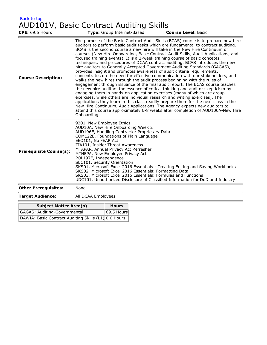<span id="page-14-0"></span>

| Back to top                             |  |  |
|-----------------------------------------|--|--|
| AUD101V, Basic Contract Auditing Skills |  |  |

| <b>CPE: 69.5 Hours</b>                               |                                                                                                                                                                                                                                                                                                                                                                                                                                                                                                                                                                                                                                                             |                                                                                                                                                                                                                                                                                                                                                                                                                                                                                                                                                                                                                                                                                                                                                                                                                                                                                                                                                                                                                                                                                                                                                                                                                                                                                                                                                                                                                                                                |  | <b>Course Level: Basic</b> |
|------------------------------------------------------|-------------------------------------------------------------------------------------------------------------------------------------------------------------------------------------------------------------------------------------------------------------------------------------------------------------------------------------------------------------------------------------------------------------------------------------------------------------------------------------------------------------------------------------------------------------------------------------------------------------------------------------------------------------|----------------------------------------------------------------------------------------------------------------------------------------------------------------------------------------------------------------------------------------------------------------------------------------------------------------------------------------------------------------------------------------------------------------------------------------------------------------------------------------------------------------------------------------------------------------------------------------------------------------------------------------------------------------------------------------------------------------------------------------------------------------------------------------------------------------------------------------------------------------------------------------------------------------------------------------------------------------------------------------------------------------------------------------------------------------------------------------------------------------------------------------------------------------------------------------------------------------------------------------------------------------------------------------------------------------------------------------------------------------------------------------------------------------------------------------------------------------|--|----------------------------|
| <b>Course Description:</b>                           | Onboarding.                                                                                                                                                                                                                                                                                                                                                                                                                                                                                                                                                                                                                                                 | Type: Group Internet-Based<br>The purpose of the Basic Contract Audit Skills (BCAS) course is to prepare new hire<br>auditors to perform basic audit tasks which are fundamental to contract auditing.<br>BCAS is the second course a new hire will take in the New Hire Continuum of<br>courses (New Hire Onboarding, Basic Contract Audit Skills, Audit Applications, and<br>focused training events). It is a 2-week training course of basic concepts,<br>techniques, and procedures of DCAA contract auditing. BCAS introduces the new<br>hire auditors to Generally Accepted Government Auditing Standards (GAGAS),<br>provides insight and promotes awareness of audit criteria requirements,<br>concentrates on the need for effective communication with our stakeholders, and<br>walks the new hires through the audit process beginning with the rules of<br>engagement through issuance of the final audit report. The BCAS course teaches<br>the new hire auditors the essence of critical thinking and auditor skepticism by<br>engaging them in hands-on application exercises (many of which are group<br>exercises, while others are individual research and writing exercises). The<br>applications they learn in this class readily prepare them for the next class in the<br>New Hire Continuum, Audit Applications. The Agency expects new auditors to<br>attend this course approximately 6-8 weeks after completion of AUD100A-New Hire |  |                            |
| <b>Prerequisite Course(s):</b>                       | 9201, New Employee Ethics<br>AUD10A, New Hire Onboarding Week 2<br>AUD196E, Handling Contractor Proprietary Data<br>COM122E, Foundations of Plain Language<br>EEO101, No FEAR Act<br>ITA101, Insider Threat Awareness<br>MTAPAR, Annual Privacy Act Refresher<br>MTNEPA, New Employee Privacy Act<br>POL197E, Independence<br>SEC101, Security Orientation<br>SKS01, Microsoft Excel 2016 Essentials - Creating Editing and Saving Workbooks<br>SKS02, Microsoft Excel 2016 Essentials: Formatting Data<br>SKS03, Microsoft Excel 2016 Essentials: Formulas and Functions<br>UDC101, Unauthorized Disclosure of Classified Information for DoD and Industry |                                                                                                                                                                                                                                                                                                                                                                                                                                                                                                                                                                                                                                                                                                                                                                                                                                                                                                                                                                                                                                                                                                                                                                                                                                                                                                                                                                                                                                                                |  |                            |
| <b>Other Prerequisites:</b>                          | None                                                                                                                                                                                                                                                                                                                                                                                                                                                                                                                                                                                                                                                        |                                                                                                                                                                                                                                                                                                                                                                                                                                                                                                                                                                                                                                                                                                                                                                                                                                                                                                                                                                                                                                                                                                                                                                                                                                                                                                                                                                                                                                                                |  |                            |
| <b>Target Audience:</b>                              | All DCAA Employees                                                                                                                                                                                                                                                                                                                                                                                                                                                                                                                                                                                                                                          |                                                                                                                                                                                                                                                                                                                                                                                                                                                                                                                                                                                                                                                                                                                                                                                                                                                                                                                                                                                                                                                                                                                                                                                                                                                                                                                                                                                                                                                                |  |                            |
| <b>Subject Matter Area(s)</b>                        |                                                                                                                                                                                                                                                                                                                                                                                                                                                                                                                                                                                                                                                             | <b>Hours</b>                                                                                                                                                                                                                                                                                                                                                                                                                                                                                                                                                                                                                                                                                                                                                                                                                                                                                                                                                                                                                                                                                                                                                                                                                                                                                                                                                                                                                                                   |  |                            |
| <b>GAGAS: Auditing-Governmental</b>                  |                                                                                                                                                                                                                                                                                                                                                                                                                                                                                                                                                                                                                                                             | 69.5 Hours                                                                                                                                                                                                                                                                                                                                                                                                                                                                                                                                                                                                                                                                                                                                                                                                                                                                                                                                                                                                                                                                                                                                                                                                                                                                                                                                                                                                                                                     |  |                            |
| DAWIA: Basic Contract Auditing Skills (L1) 0.0 Hours |                                                                                                                                                                                                                                                                                                                                                                                                                                                                                                                                                                                                                                                             |                                                                                                                                                                                                                                                                                                                                                                                                                                                                                                                                                                                                                                                                                                                                                                                                                                                                                                                                                                                                                                                                                                                                                                                                                                                                                                                                                                                                                                                                |  |                            |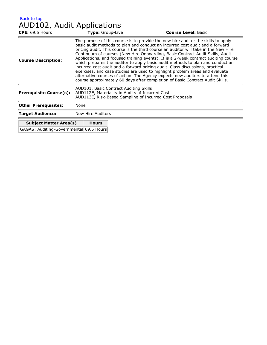### <span id="page-15-0"></span>AUD102, Audit Applications

| <b>CPE:</b> 69.5 Hours                                                   | Type: Group-Live                                                                                                                                                                                                                                                                                                                                                                                                                                                                                                                                                                                                                                                                                                                                                                                                                                      | <b>Course Level: Basic</b> |  |  |
|--------------------------------------------------------------------------|-------------------------------------------------------------------------------------------------------------------------------------------------------------------------------------------------------------------------------------------------------------------------------------------------------------------------------------------------------------------------------------------------------------------------------------------------------------------------------------------------------------------------------------------------------------------------------------------------------------------------------------------------------------------------------------------------------------------------------------------------------------------------------------------------------------------------------------------------------|----------------------------|--|--|
| <b>Course Description:</b>                                               | The purpose of this course is to provide the new hire auditor the skills to apply<br>basic audit methods to plan and conduct an incurred cost audit and a forward<br>pricing audit. This course is the third course an auditor will take in the New Hire<br>Continuum of courses (New Hire Onboarding, Basic Contract Audit Skills, Audit<br>Applications, and focused training events). It is a 2-week contract auditing course<br>which prepares the auditor to apply basic audit methods to plan and conduct an<br>incurred cost audit and a forward pricing audit. Class discussions, practical<br>exercises, and case studies are used to highlight problem areas and evaluate<br>alternative courses of action. The Agency expects new auditors to attend this<br>course approximately 60 days after completion of Basic Contract Audit Skills. |                            |  |  |
| <b>Prerequisite Course(s):</b>                                           | AUD101, Basic Contract Auditing Skills<br>AUD112E, Materiality in Audits of Incurred Cost<br>AUD113E, Risk-Based Sampling of Incurred Cost Proposals                                                                                                                                                                                                                                                                                                                                                                                                                                                                                                                                                                                                                                                                                                  |                            |  |  |
| <b>Other Prerequisites:</b>                                              | None                                                                                                                                                                                                                                                                                                                                                                                                                                                                                                                                                                                                                                                                                                                                                                                                                                                  |                            |  |  |
| <b>Target Audience:</b>                                                  | New Hire Auditors                                                                                                                                                                                                                                                                                                                                                                                                                                                                                                                                                                                                                                                                                                                                                                                                                                     |                            |  |  |
| <b>Subject Matter Area(s)</b><br>GAGAS: Auditing-Governmental 69.5 Hours | <b>Hours</b>                                                                                                                                                                                                                                                                                                                                                                                                                                                                                                                                                                                                                                                                                                                                                                                                                                          |                            |  |  |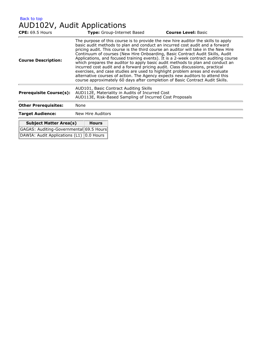## <span id="page-16-0"></span>AUD102V, Audit Applications

GAGAS: Auditing-Governmental 69.5 Hours DAWIA: Audit Applications (L1) 0.0 Hours

| <b>CPE:</b> 69.5 Hours         | Type: Group-Internet Based                                                                                                                           | <b>Course Level: Basic</b>                                                                                                                                                                                                                                                                                                                                                                                                                                                                                                                                                                                                                                                                                                                                                                                                                            |  |  |
|--------------------------------|------------------------------------------------------------------------------------------------------------------------------------------------------|-------------------------------------------------------------------------------------------------------------------------------------------------------------------------------------------------------------------------------------------------------------------------------------------------------------------------------------------------------------------------------------------------------------------------------------------------------------------------------------------------------------------------------------------------------------------------------------------------------------------------------------------------------------------------------------------------------------------------------------------------------------------------------------------------------------------------------------------------------|--|--|
| <b>Course Description:</b>     |                                                                                                                                                      | The purpose of this course is to provide the new hire auditor the skills to apply<br>basic audit methods to plan and conduct an incurred cost audit and a forward<br>pricing audit. This course is the third course an auditor will take in the New Hire<br>Continuum of courses (New Hire Onboarding, Basic Contract Audit Skills, Audit<br>Applications, and focused training events). It is a 2-week contract auditing course<br>which prepares the auditor to apply basic audit methods to plan and conduct an<br>incurred cost audit and a forward pricing audit. Class discussions, practical<br>exercises, and case studies are used to highlight problem areas and evaluate<br>alternative courses of action. The Agency expects new auditors to attend this<br>course approximately 60 days after completion of Basic Contract Audit Skills. |  |  |
| <b>Prerequisite Course(s):</b> | AUD101, Basic Contract Auditing Skills<br>AUD112E, Materiality in Audits of Incurred Cost<br>AUD113E, Risk-Based Sampling of Incurred Cost Proposals |                                                                                                                                                                                                                                                                                                                                                                                                                                                                                                                                                                                                                                                                                                                                                                                                                                                       |  |  |
| <b>Other Prerequisites:</b>    | None                                                                                                                                                 |                                                                                                                                                                                                                                                                                                                                                                                                                                                                                                                                                                                                                                                                                                                                                                                                                                                       |  |  |
| <b>Target Audience:</b>        | New Hire Auditors                                                                                                                                    |                                                                                                                                                                                                                                                                                                                                                                                                                                                                                                                                                                                                                                                                                                                                                                                                                                                       |  |  |
| <b>Subject Matter Area(s)</b>  | <b>Hours</b>                                                                                                                                         |                                                                                                                                                                                                                                                                                                                                                                                                                                                                                                                                                                                                                                                                                                                                                                                                                                                       |  |  |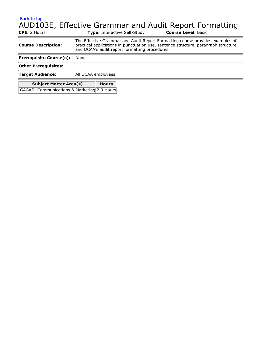## <span id="page-17-0"></span>AUD103E, Effective Grammar and Audit Report Formatting

| <b>CPE:</b> 2 Hours                                                          | <b>Type:</b> Interactive Self-Study                                                                                                                                                                                   | <b>Course Level: Basic</b> |  |  |  |
|------------------------------------------------------------------------------|-----------------------------------------------------------------------------------------------------------------------------------------------------------------------------------------------------------------------|----------------------------|--|--|--|
| <b>Course Description:</b>                                                   | The Effective Grammar and Audit Report Formatting course provides examples of<br>practical applications in punctuation use, sentence structure, paragraph structure<br>and DCAA's audit report formatting procedures. |                            |  |  |  |
| <b>Prerequisite Course(s):</b>                                               | None                                                                                                                                                                                                                  |                            |  |  |  |
| <b>Other Prerequisites:</b>                                                  |                                                                                                                                                                                                                       |                            |  |  |  |
| <b>Target Audience:</b>                                                      | All DCAA employees                                                                                                                                                                                                    |                            |  |  |  |
| <b>Subject Matter Area(s)</b><br>GAGAS: Communications & Marketing 2.0 Hours | <b>Hours</b>                                                                                                                                                                                                          |                            |  |  |  |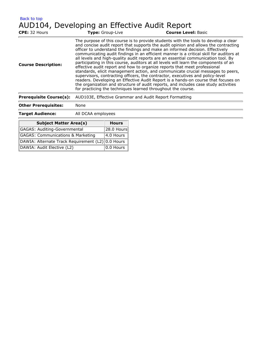<span id="page-18-0"></span>[Back to top](#page-7-1) AUD104, Developing an Effective Audit Report

| CPE: 32 Hours                  | Type: Group-Live                                             | <b>Course Level: Basic</b>                                                                                                                                                                                                                                                                                                                                                                                                                                                                                                                                                                                                                                                                                                                                                                                                                                                                                                                                         |  |
|--------------------------------|--------------------------------------------------------------|--------------------------------------------------------------------------------------------------------------------------------------------------------------------------------------------------------------------------------------------------------------------------------------------------------------------------------------------------------------------------------------------------------------------------------------------------------------------------------------------------------------------------------------------------------------------------------------------------------------------------------------------------------------------------------------------------------------------------------------------------------------------------------------------------------------------------------------------------------------------------------------------------------------------------------------------------------------------|--|
| <b>Course Description:</b>     | for practicing the techniques learned throughout the course. | The purpose of this course is to provide students with the tools to develop a clear<br>and concise audit report that supports the audit opinion and allows the contracting<br>officer to understand the findings and make an informed decision. Effectively<br>communicating audit findings in an efficient manner is a critical skill for auditors at<br>all levels and high-quality audit reports are an essential communication tool. By<br>participating in this course, auditors at all levels will learn the components of an<br>effective audit report and how to organize reports that meet professional<br>standards, elicit management action, and communicate crucial messages to peers,<br>supervisors, contracting officers, the contractor, executives and policy-level<br>readers. Developing an Effective Audit Report is a hands-on course that focuses on<br>the organization and structure of audit reports, and includes case study activities |  |
| <b>Prerequisite Course(s):</b> | AUD103E, Effective Grammar and Audit Report Formatting       |                                                                                                                                                                                                                                                                                                                                                                                                                                                                                                                                                                                                                                                                                                                                                                                                                                                                                                                                                                    |  |
| <b>Other Prerequisites:</b>    | None                                                         |                                                                                                                                                                                                                                                                                                                                                                                                                                                                                                                                                                                                                                                                                                                                                                                                                                                                                                                                                                    |  |
| <b>Target Audience:</b>        | All DCAA employees                                           |                                                                                                                                                                                                                                                                                                                                                                                                                                                                                                                                                                                                                                                                                                                                                                                                                                                                                                                                                                    |  |

| <b>Subject Matter Area(s)</b>                     | <b>Hours</b>       |
|---------------------------------------------------|--------------------|
| <b>GAGAS: Auditing-Governmental</b>               | $ 28.0$ Hours      |
| <b>GAGAS: Communications &amp; Marketing</b>      | $\sqrt{4.0}$ Hours |
| DAWIA: Alternate Track Requirement (L2) 0.0 Hours |                    |
| DAWIA: Audit Elective (L2)                        | 0.0 Hours          |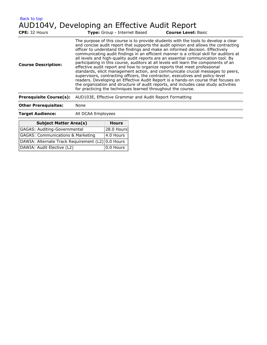<span id="page-19-0"></span>[Back to top](#page-7-1) AUD104V, Developing an Effective Audit Report

| CPE: 32 Hours                  | Type: Group - Internet Based                           | <b>Course Level: Basic</b>                                                                                                                                                                                                                                                                                                                                                                                                                                                                                                                                                                                                                                                                                                                                                                                                                                                                                                                                                                                                         |  |
|--------------------------------|--------------------------------------------------------|------------------------------------------------------------------------------------------------------------------------------------------------------------------------------------------------------------------------------------------------------------------------------------------------------------------------------------------------------------------------------------------------------------------------------------------------------------------------------------------------------------------------------------------------------------------------------------------------------------------------------------------------------------------------------------------------------------------------------------------------------------------------------------------------------------------------------------------------------------------------------------------------------------------------------------------------------------------------------------------------------------------------------------|--|
| <b>Course Description:</b>     |                                                        | The purpose of this course is to provide students with the tools to develop a clear<br>and concise audit report that supports the audit opinion and allows the contracting<br>officer to understand the findings and make an informed decision. Effectively<br>communicating audit findings in an efficient manner is a critical skill for auditors at<br>all levels and high-quality audit reports are an essential communication tool. By<br>participating in this course, auditors at all levels will learn the components of an<br>effective audit report and how to organize reports that meet professional<br>standards, elicit management action, and communicate crucial messages to peers,<br>supervisors, contracting officers, the contractor, executives and policy-level<br>readers. Developing an Effective Audit Report is a hands-on course that focuses on<br>the organization and structure of audit reports, and includes case study activities<br>for practicing the techniques learned throughout the course. |  |
| <b>Prerequisite Course(s):</b> | AUD103E, Effective Grammar and Audit Report Formatting |                                                                                                                                                                                                                                                                                                                                                                                                                                                                                                                                                                                                                                                                                                                                                                                                                                                                                                                                                                                                                                    |  |
| <b>Other Prerequisites:</b>    | None                                                   |                                                                                                                                                                                                                                                                                                                                                                                                                                                                                                                                                                                                                                                                                                                                                                                                                                                                                                                                                                                                                                    |  |
| <b>Target Audience:</b>        | All DCAA Employees                                     |                                                                                                                                                                                                                                                                                                                                                                                                                                                                                                                                                                                                                                                                                                                                                                                                                                                                                                                                                                                                                                    |  |
|                                |                                                        |                                                                                                                                                                                                                                                                                                                                                                                                                                                                                                                                                                                                                                                                                                                                                                                                                                                                                                                                                                                                                                    |  |

| <b>Subject Matter Area(s)</b>                     | <b>Hours</b>  |
|---------------------------------------------------|---------------|
| GAGAS: Auditing-Governmental                      | $ 28.0$ Hours |
| <b>GAGAS: Communications &amp; Marketing</b>      | $4.0$ Hours   |
| DAWIA: Alternate Track Requirement (L2) 0.0 Hours |               |
| DAWIA: Audit Elective (L2)                        | $ 0.0$ Hours  |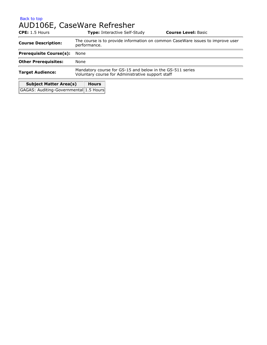## <span id="page-20-0"></span>AUD106E, CaseWare Refresher

| $CPE: 1.5$ Hours                       | <b>Type:</b> Interactive Self-Study                                                                            | <b>Course Level: Basic</b> |  |  |
|----------------------------------------|----------------------------------------------------------------------------------------------------------------|----------------------------|--|--|
| <b>Course Description:</b>             | The course is to provide information on common CaseWare issues to improve user<br>performance.                 |                            |  |  |
| <b>Prerequisite Course(s):</b>         | None                                                                                                           |                            |  |  |
| <b>Other Prerequisites:</b>            | None                                                                                                           |                            |  |  |
| <b>Target Audience:</b>                | Mandatory course for GS-15 and below in the GS-511 series<br>Voluntary course for Administrative support staff |                            |  |  |
| <b>Subject Matter Area(s)</b>          | <b>Hours</b>                                                                                                   |                            |  |  |
| GAGAS: Auditing-Governmental 1.5 Hours |                                                                                                                |                            |  |  |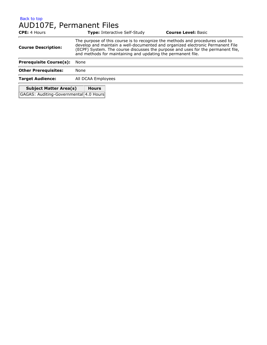#### <span id="page-21-0"></span>[Back to top](#page-7-1) AUD107E, Permanent Files

| <b>CPE:</b> 4 Hours                    | <b>Type: Interactive Self-Study</b>                                                                                                                                                                                                                                                                                 | <b>Course Level: Basic</b> |  |  |  |
|----------------------------------------|---------------------------------------------------------------------------------------------------------------------------------------------------------------------------------------------------------------------------------------------------------------------------------------------------------------------|----------------------------|--|--|--|
| <b>Course Description:</b>             | The purpose of this course is to recognize the methods and procedures used to<br>develop and maintain a well-documented and organized electronic Permanent File<br>(ECPF) System. The course discusses the purpose and uses for the permanent file,<br>and methods for maintaining and updating the permanent file. |                            |  |  |  |
| <b>Prerequisite Course(s):</b>         | None                                                                                                                                                                                                                                                                                                                |                            |  |  |  |
| <b>Other Prerequisites:</b>            | None                                                                                                                                                                                                                                                                                                                |                            |  |  |  |
| <b>Target Audience:</b>                | All DCAA Employees                                                                                                                                                                                                                                                                                                  |                            |  |  |  |
| <b>Subject Matter Area(s)</b>          | <b>Hours</b>                                                                                                                                                                                                                                                                                                        |                            |  |  |  |
| GAGAS: Auditing-Governmental 4.0 Hours |                                                                                                                                                                                                                                                                                                                     |                            |  |  |  |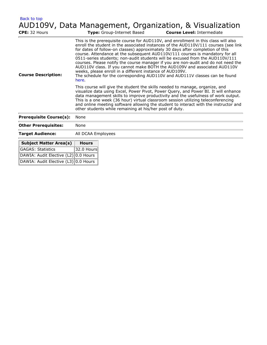<span id="page-22-0"></span>[Back to top](#page-7-1) AUD109V, Data Management, Organization, & Visualization

| CPE: 32 Hours                        |                                                                                                                                                                                                                                                                                                                                                                                                                                                                                                  | Type: Group-Internet Based                               | <b>Course Level: Intermediate</b>                                                                                                                                                                                                                                                                                                                                                                                                                                                                                                                                                                                                                                                |
|--------------------------------------|--------------------------------------------------------------------------------------------------------------------------------------------------------------------------------------------------------------------------------------------------------------------------------------------------------------------------------------------------------------------------------------------------------------------------------------------------------------------------------------------------|----------------------------------------------------------|----------------------------------------------------------------------------------------------------------------------------------------------------------------------------------------------------------------------------------------------------------------------------------------------------------------------------------------------------------------------------------------------------------------------------------------------------------------------------------------------------------------------------------------------------------------------------------------------------------------------------------------------------------------------------------|
| <b>Course Description:</b>           | here.                                                                                                                                                                                                                                                                                                                                                                                                                                                                                            | weeks, please enroll in a different instance of AUD109V. | This is the prerequisite course for AUD110V, and enrollment in this class will also<br>enroll the student in the associated instances of the AUD110V/111 courses (see link<br>for dates of follow-on classes) approximately 30 days after completion of this<br>course. Attendance at the subsequent AUD110V/111 courses is mandatory for all<br>0511-series students; non-audit students will be excused from the AUD110V/111<br>courses. Please notify the course manager if you are non-audit and do not need the<br>AUD110V class. If you cannot make BOTH the AUD109V and associated AUD110V<br>The schedule for the corresponding AUD110V and AUD111V classes can be found |
|                                      | This course will give the student the skills needed to manage, organize, and<br>visualize data using Excel, Power Pivot, Power Query, and Power BI. It will enhance<br>data management skills to improve productivity and the usefulness of work output.<br>This is a one week (36 hour) virtual classroom session utilizing teleconferencing<br>and online meeting software allowing the student to interact with the instructor and<br>other students while remaining at his/her post of duty. |                                                          |                                                                                                                                                                                                                                                                                                                                                                                                                                                                                                                                                                                                                                                                                  |
| <b>Prerequisite Course(s):</b>       | None                                                                                                                                                                                                                                                                                                                                                                                                                                                                                             |                                                          |                                                                                                                                                                                                                                                                                                                                                                                                                                                                                                                                                                                                                                                                                  |
| <b>Other Prerequisites:</b>          | None                                                                                                                                                                                                                                                                                                                                                                                                                                                                                             |                                                          |                                                                                                                                                                                                                                                                                                                                                                                                                                                                                                                                                                                                                                                                                  |
| <b>Target Audience:</b>              | All DCAA Employees                                                                                                                                                                                                                                                                                                                                                                                                                                                                               |                                                          |                                                                                                                                                                                                                                                                                                                                                                                                                                                                                                                                                                                                                                                                                  |
| <b>Subject Matter Area(s)</b>        | <b>Hours</b>                                                                                                                                                                                                                                                                                                                                                                                                                                                                                     |                                                          |                                                                                                                                                                                                                                                                                                                                                                                                                                                                                                                                                                                                                                                                                  |
| <b>GAGAS: Statistics</b>             | 32.0 Hours                                                                                                                                                                                                                                                                                                                                                                                                                                                                                       |                                                          |                                                                                                                                                                                                                                                                                                                                                                                                                                                                                                                                                                                                                                                                                  |
| DAWIA: Audit Elective (L2) 0.0 Hours |                                                                                                                                                                                                                                                                                                                                                                                                                                                                                                  |                                                          |                                                                                                                                                                                                                                                                                                                                                                                                                                                                                                                                                                                                                                                                                  |
| DAWIA: Audit Elective (L3) 0.0 Hours |                                                                                                                                                                                                                                                                                                                                                                                                                                                                                                  |                                                          |                                                                                                                                                                                                                                                                                                                                                                                                                                                                                                                                                                                                                                                                                  |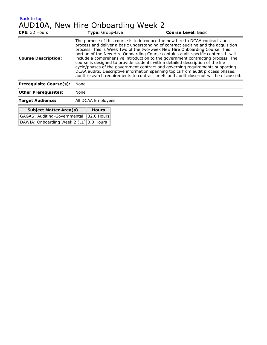<span id="page-23-0"></span>

| Back to top                        |                    |                  |  |                                                                                                                                                                                                                                                                                                                                                                                                                                                                                                                                                                                                                                                                                                                                                                            |
|------------------------------------|--------------------|------------------|--|----------------------------------------------------------------------------------------------------------------------------------------------------------------------------------------------------------------------------------------------------------------------------------------------------------------------------------------------------------------------------------------------------------------------------------------------------------------------------------------------------------------------------------------------------------------------------------------------------------------------------------------------------------------------------------------------------------------------------------------------------------------------------|
| AUD10A, New Hire Onboarding Week 2 |                    |                  |  |                                                                                                                                                                                                                                                                                                                                                                                                                                                                                                                                                                                                                                                                                                                                                                            |
| CPE: 32 Hours                      |                    | Type: Group-Live |  | <b>Course Level: Basic</b>                                                                                                                                                                                                                                                                                                                                                                                                                                                                                                                                                                                                                                                                                                                                                 |
| <b>Course Description:</b>         |                    |                  |  | The purpose of this course is to introduce the new hire to DCAA contract audit<br>process and deliver a basic understanding of contract auditing and the acquisition<br>process. This is Week Two of the two-week New Hire Onboarding Course. This<br>portion of the New Hire Onboarding Course contains audit specific content. It will<br>include a comprehensive introduction to the government contracting process. The<br>course is designed to provide students with a detailed description of the life<br>cycle/phases of the government contract and governing requirements supporting<br>DCAA audits. Descriptive information spanning topics from audit process phases,<br>audit research requirements to contract briefs and audit close-out will be discussed. |
| <b>Prerequisite Course(s):</b>     | None               |                  |  |                                                                                                                                                                                                                                                                                                                                                                                                                                                                                                                                                                                                                                                                                                                                                                            |
| <b>Other Prerequisites:</b>        | None               |                  |  |                                                                                                                                                                                                                                                                                                                                                                                                                                                                                                                                                                                                                                                                                                                                                                            |
| <b>Target Audience:</b>            | All DCAA Employees |                  |  |                                                                                                                                                                                                                                                                                                                                                                                                                                                                                                                                                                                                                                                                                                                                                                            |
| <b>Subject Matter Area(s)</b>      |                    | <b>Hours</b>     |  |                                                                                                                                                                                                                                                                                                                                                                                                                                                                                                                                                                                                                                                                                                                                                                            |
| GAGAS: Auditing-Governmental       |                    | 32.0 Hours       |  |                                                                                                                                                                                                                                                                                                                                                                                                                                                                                                                                                                                                                                                                                                                                                                            |

DAWIA: Onboarding Week 2 (L1) 0.0 Hours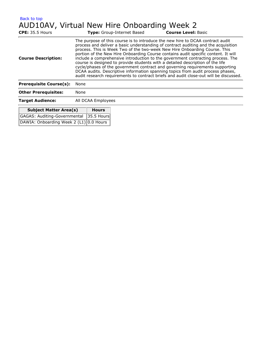<span id="page-24-0"></span>

| Back to top                | AUD10AV, Virtual New Hire Onboarding Week 2                                                                                                                  |                                                                                                                                                                                                                                                             |
|----------------------------|--------------------------------------------------------------------------------------------------------------------------------------------------------------|-------------------------------------------------------------------------------------------------------------------------------------------------------------------------------------------------------------------------------------------------------------|
| <b>CPE:</b> 35.5 Hours     | Type: Group-Internet Based                                                                                                                                   | <b>Course Level: Basic</b>                                                                                                                                                                                                                                  |
| <b>Course Description:</b> | The purpose of this course is to introduce the new hire to DCAA contract audit<br>process. This is Week Two of the two-week New Hire Onboarding Course. This | process and deliver a basic understanding of contract auditing and the acquisition<br>portion of the New Hire Onboarding Course contains audit specific content. It will<br>include a comprehensive introduction to the government contracting process. The |

cycle/phases of the government contract and governing requirements supporting DCAA audits. Descriptive information spanning topics from audit process phases, audit research requirements to contract briefs and audit close-out will be discussed. **Prerequisite Course(s):** None

course is designed to provide students with a detailed description of the life

| <b>Other Prerequisites:</b> | None |
|-----------------------------|------|
|                             |      |

**Target Audience:** All DCAA Employees

t.

| <b>Subject Matter Area(s)</b>           | <b>Hours</b> |
|-----------------------------------------|--------------|
| GAGAS: Auditing-Governmental 35.5 Hours |              |
| DAWIA: Onboarding Week 2 (L1) 0.0 Hours |              |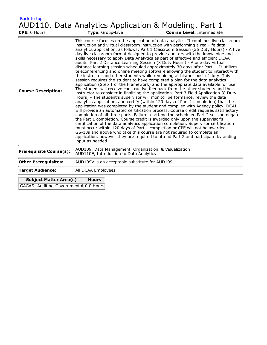<span id="page-25-0"></span>

| <b>Back to top</b>                            |                                                                                                                                                                                                                                                                                                                                                                                                                                                                                                                                                                                                                                                                                                                                                                                                                                                                                                                                                                                                                                                                                                                                                                                                                                                                                                                                                                                                                                                                                                                                                                                                                                                                                                                                                                                                                                                                                                                                                                                                                    |  |  |  |  |  |
|-----------------------------------------------|--------------------------------------------------------------------------------------------------------------------------------------------------------------------------------------------------------------------------------------------------------------------------------------------------------------------------------------------------------------------------------------------------------------------------------------------------------------------------------------------------------------------------------------------------------------------------------------------------------------------------------------------------------------------------------------------------------------------------------------------------------------------------------------------------------------------------------------------------------------------------------------------------------------------------------------------------------------------------------------------------------------------------------------------------------------------------------------------------------------------------------------------------------------------------------------------------------------------------------------------------------------------------------------------------------------------------------------------------------------------------------------------------------------------------------------------------------------------------------------------------------------------------------------------------------------------------------------------------------------------------------------------------------------------------------------------------------------------------------------------------------------------------------------------------------------------------------------------------------------------------------------------------------------------------------------------------------------------------------------------------------------------|--|--|--|--|--|
|                                               | AUD110, Data Analytics Application & Modeling, Part 1                                                                                                                                                                                                                                                                                                                                                                                                                                                                                                                                                                                                                                                                                                                                                                                                                                                                                                                                                                                                                                                                                                                                                                                                                                                                                                                                                                                                                                                                                                                                                                                                                                                                                                                                                                                                                                                                                                                                                              |  |  |  |  |  |
| CPE: 0 Hours                                  | <b>Course Level: Intermediate</b><br>Type: Group-Live                                                                                                                                                                                                                                                                                                                                                                                                                                                                                                                                                                                                                                                                                                                                                                                                                                                                                                                                                                                                                                                                                                                                                                                                                                                                                                                                                                                                                                                                                                                                                                                                                                                                                                                                                                                                                                                                                                                                                              |  |  |  |  |  |
| <b>Course Description:</b>                    | This course focuses on the application of data analytics. It combines live classroom<br>instruction and virtual classroom instruction with performing a real-life data<br>analytics application, as follows: Part 1 Classroom Session (36 Duty Hours) - A five<br>day live classroom format designed to provide auditors with the knowledge and<br>skills necessary to apply Data Analytics as part of effective and efficient DCAA<br>audits. Part 2 Distance Learning Session (8 Duty Hours) - A one day virtual<br>distance learning session scheduled approximately 30 days after Part 1. It utilizes<br>teleconferencing and online meeting software allowing the student to interact with<br>the instructor and other students while remaining at his/her post of duty. This<br>session requires the student to have completed a plan for the data analytics<br>application (Step 1 of the Framework) and the appropriate data available for use.<br>The student will receive constructive feedback from the other students and the<br>instructor to consider in finalizing the application. Part 3 Field Application (8 Duty<br>Hours) - The student's supervisor will monitor performance, review the data<br>analytics application, and certify (within 120 days of Part 1 completion) that the<br>application was completed by the student and complied with Agency policy. DCAI<br>will provide an automated certification process. Course credit requires satisfactory<br>completion of all three parts. Failure to attend the scheduled Part 2 session negates<br>the Part 1 completion. Course credit is awarded only upon the supervisor's<br>certification of the data analytics application completion. Supervisor certification<br>must occur within 120 days of Part 1 completion or CPE will not be awarded.<br>GS-13s and above who take this course are not required to complete an<br>application, however they are required to attend Part 2 and participate by adding<br>input as needed. |  |  |  |  |  |
| <b>Prerequisite Course(s):</b>                | AUD109, Data Management, Organization, & Visualization<br>AUD110E, Introduction to Data Analytics                                                                                                                                                                                                                                                                                                                                                                                                                                                                                                                                                                                                                                                                                                                                                                                                                                                                                                                                                                                                                                                                                                                                                                                                                                                                                                                                                                                                                                                                                                                                                                                                                                                                                                                                                                                                                                                                                                                  |  |  |  |  |  |
| <b>Other Prerequisites:</b>                   | AUD109V is an acceptable substitute for AUD109.                                                                                                                                                                                                                                                                                                                                                                                                                                                                                                                                                                                                                                                                                                                                                                                                                                                                                                                                                                                                                                                                                                                                                                                                                                                                                                                                                                                                                                                                                                                                                                                                                                                                                                                                                                                                                                                                                                                                                                    |  |  |  |  |  |
| <b>Target Audience:</b><br>All DCAA Employees |                                                                                                                                                                                                                                                                                                                                                                                                                                                                                                                                                                                                                                                                                                                                                                                                                                                                                                                                                                                                                                                                                                                                                                                                                                                                                                                                                                                                                                                                                                                                                                                                                                                                                                                                                                                                                                                                                                                                                                                                                    |  |  |  |  |  |
|                                               | <b>Hours</b><br><b>Subject Matter Area(s)</b>                                                                                                                                                                                                                                                                                                                                                                                                                                                                                                                                                                                                                                                                                                                                                                                                                                                                                                                                                                                                                                                                                                                                                                                                                                                                                                                                                                                                                                                                                                                                                                                                                                                                                                                                                                                                                                                                                                                                                                      |  |  |  |  |  |
| GAGAS: Auditing-Governmental 0.0 Hours        |                                                                                                                                                                                                                                                                                                                                                                                                                                                                                                                                                                                                                                                                                                                                                                                                                                                                                                                                                                                                                                                                                                                                                                                                                                                                                                                                                                                                                                                                                                                                                                                                                                                                                                                                                                                                                                                                                                                                                                                                                    |  |  |  |  |  |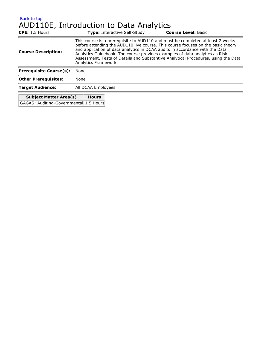#### <span id="page-26-0"></span>[Back to top](#page-7-1) AUD110E, Introduction to Data Analytics

| $CPE: 1.5$ Hours                              |                                                                                                                                                                                                                                                                                                                                                                                                                                                 | <b>Type:</b> Interactive Self-Study | <b>Course Level: Basic</b> |  |  |
|-----------------------------------------------|-------------------------------------------------------------------------------------------------------------------------------------------------------------------------------------------------------------------------------------------------------------------------------------------------------------------------------------------------------------------------------------------------------------------------------------------------|-------------------------------------|----------------------------|--|--|
| <b>Course Description:</b>                    | This course is a prerequisite to AUD110 and must be completed at least 2 weeks<br>before attending the AUD110 live course. This course focuses on the basic theory<br>and application of data analytics in DCAA audits in accordance with the Data<br>Analytics Guidebook. The course provides examples of data analytics as Risk<br>Assessment, Tests of Details and Substantive Analytical Procedures, using the Data<br>Analytics Framework. |                                     |                            |  |  |
| <b>Prerequisite Course(s):</b>                | None                                                                                                                                                                                                                                                                                                                                                                                                                                            |                                     |                            |  |  |
| <b>Other Prerequisites:</b>                   | None                                                                                                                                                                                                                                                                                                                                                                                                                                            |                                     |                            |  |  |
| <b>Target Audience:</b><br>All DCAA Employees |                                                                                                                                                                                                                                                                                                                                                                                                                                                 |                                     |                            |  |  |
| <b>Subject Matter Area(s)</b>                 | <b>Hours</b>                                                                                                                                                                                                                                                                                                                                                                                                                                    |                                     |                            |  |  |

GAGAS: Auditing-Governmental 1.5 Hours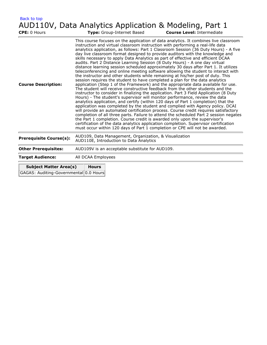<span id="page-27-0"></span>

| <b>Back to top</b><br>CPE: 0 Hours     | AUD110V, Data Analytics Application & Modeling, Part 1<br><b>Course Level: Intermediate</b><br>Type: Group-Internet Based                                                                                                                                                                                                                                                                                                                                                                                                                                                                                                                                                                                                                                                                                                                                                                                                                                                                                                                                                                                                                                                                                                                                                                                                                                                                                                                                                                                                                                                                                                                                                                                                                                                                                                        |  |  |  |
|----------------------------------------|----------------------------------------------------------------------------------------------------------------------------------------------------------------------------------------------------------------------------------------------------------------------------------------------------------------------------------------------------------------------------------------------------------------------------------------------------------------------------------------------------------------------------------------------------------------------------------------------------------------------------------------------------------------------------------------------------------------------------------------------------------------------------------------------------------------------------------------------------------------------------------------------------------------------------------------------------------------------------------------------------------------------------------------------------------------------------------------------------------------------------------------------------------------------------------------------------------------------------------------------------------------------------------------------------------------------------------------------------------------------------------------------------------------------------------------------------------------------------------------------------------------------------------------------------------------------------------------------------------------------------------------------------------------------------------------------------------------------------------------------------------------------------------------------------------------------------------|--|--|--|
| <b>Course Description:</b>             | This course focuses on the application of data analytics. It combines live classroom<br>instruction and virtual classroom instruction with performing a real-life data<br>analytics application, as follows: Part 1 Classroom Session (36 Duty Hours) - A five<br>day live classroom format designed to provide auditors with the knowledge and<br>skills necessary to apply Data Analytics as part of effective and efficient DCAA<br>audits. Part 2 Distance Learning Session (8 Duty Hours) - A one day virtual<br>distance learning session scheduled approximately 30 days after Part 1. It utilizes<br>teleconferencing and online meeting software allowing the student to interact with<br>the instructor and other students while remaining at his/her post of duty. This<br>session requires the student to have completed a plan for the data analytics<br>application (Step 1 of the Framework) and the appropriate data available for use.<br>The student will receive constructive feedback from the other students and the<br>instructor to consider in finalizing the application. Part 3 Field Application (8 Duty<br>Hours) - The student's supervisor will monitor performance, review the data<br>analytics application, and certify (within 120 days of Part 1 completion) that the<br>application was completed by the student and complied with Agency policy. DCAI<br>will provide an automated certification process. Course credit requires satisfactory<br>completion of all three parts. Failure to attend the scheduled Part 2 session negates<br>the Part 1 completion. Course credit is awarded only upon the supervisor's<br>certification of the data analytics application completion. Supervisor certification<br>must occur within 120 days of Part 1 completion or CPE will not be awarded. |  |  |  |
| <b>Prerequisite Course(s):</b>         | AUD109, Data Management, Organization, & Visualization<br>AUD110E, Introduction to Data Analytics                                                                                                                                                                                                                                                                                                                                                                                                                                                                                                                                                                                                                                                                                                                                                                                                                                                                                                                                                                                                                                                                                                                                                                                                                                                                                                                                                                                                                                                                                                                                                                                                                                                                                                                                |  |  |  |
| <b>Other Prerequisites:</b>            | AUD109V is an acceptable substitute for AUD109.                                                                                                                                                                                                                                                                                                                                                                                                                                                                                                                                                                                                                                                                                                                                                                                                                                                                                                                                                                                                                                                                                                                                                                                                                                                                                                                                                                                                                                                                                                                                                                                                                                                                                                                                                                                  |  |  |  |
| <b>Target Audience:</b>                | All DCAA Employees                                                                                                                                                                                                                                                                                                                                                                                                                                                                                                                                                                                                                                                                                                                                                                                                                                                                                                                                                                                                                                                                                                                                                                                                                                                                                                                                                                                                                                                                                                                                                                                                                                                                                                                                                                                                               |  |  |  |
| <b>Subject Matter Area(s)</b>          | <b>Hours</b>                                                                                                                                                                                                                                                                                                                                                                                                                                                                                                                                                                                                                                                                                                                                                                                                                                                                                                                                                                                                                                                                                                                                                                                                                                                                                                                                                                                                                                                                                                                                                                                                                                                                                                                                                                                                                     |  |  |  |
| GAGAS: Auditing-Governmental 0.0 Hours |                                                                                                                                                                                                                                                                                                                                                                                                                                                                                                                                                                                                                                                                                                                                                                                                                                                                                                                                                                                                                                                                                                                                                                                                                                                                                                                                                                                                                                                                                                                                                                                                                                                                                                                                                                                                                                  |  |  |  |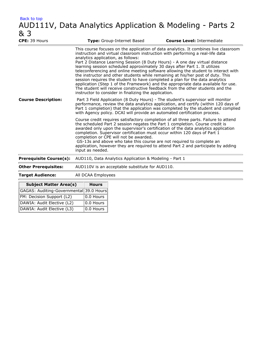### <span id="page-28-0"></span>AUD111V, Data Analytics Application & Modeling - Parts 2 & 3

| CPE: 39 Hours                           | Type: Group-Internet Based                                                                                                                                                                                                                                                                                                                                                                                                                                                                                                                                                                                                                                                                                                                                                                                                                                          | <b>Course Level: Intermediate</b> |  |  |  |
|-----------------------------------------|---------------------------------------------------------------------------------------------------------------------------------------------------------------------------------------------------------------------------------------------------------------------------------------------------------------------------------------------------------------------------------------------------------------------------------------------------------------------------------------------------------------------------------------------------------------------------------------------------------------------------------------------------------------------------------------------------------------------------------------------------------------------------------------------------------------------------------------------------------------------|-----------------------------------|--|--|--|
|                                         | This course focuses on the application of data analytics. It combines live classroom<br>instruction and virtual classroom instruction with performing a real-life data<br>analytics application, as follows:<br>Part 2 Distance Learning Session (8 Duty Hours) - A one day virtual distance<br>learning session scheduled approximately 30 days after Part 1. It utilizes<br>teleconferencing and online meeting software allowing the student to interact with<br>the instructor and other students while remaining at his/her post of duty. This<br>session requires the student to have completed a plan for the data analytics<br>application (Step 1 of the Framework) and the appropriate data available for use.<br>The student will receive constructive feedback from the other students and the<br>instructor to consider in finalizing the application. |                                   |  |  |  |
| <b>Course Description:</b>              | Part 3 Field Application (8 Duty Hours) - The student's supervisor will monitor<br>performance, review the data analytics application, and certify (within 120 days of<br>Part 1 completion) that the application was completed by the student and complied<br>with Agency policy. DCAI will provide an automated certification process.                                                                                                                                                                                                                                                                                                                                                                                                                                                                                                                            |                                   |  |  |  |
|                                         | Course credit requires satisfactory completion of all three parts. Failure to attend<br>the scheduled Part 2 session negates the Part 1 completion. Course credit is<br>awarded only upon the supervisor's certification of the data analytics application<br>completion. Supervisor certification must occur within 120 days of Part 1<br>completion or CPE will not be awarded.<br>GS-13s and above who take this course are not required to complete an<br>application, however they are required to attend Part 2 and participate by adding<br>input as needed.                                                                                                                                                                                                                                                                                                 |                                   |  |  |  |
| <b>Prerequisite Course(s):</b>          | AUD110, Data Analytics Application & Modeling - Part 1                                                                                                                                                                                                                                                                                                                                                                                                                                                                                                                                                                                                                                                                                                                                                                                                              |                                   |  |  |  |
| <b>Other Prerequisites:</b>             | AUD110V is an acceptable substitute for AUD110.                                                                                                                                                                                                                                                                                                                                                                                                                                                                                                                                                                                                                                                                                                                                                                                                                     |                                   |  |  |  |
| <b>Target Audience:</b>                 | All DCAA Employees                                                                                                                                                                                                                                                                                                                                                                                                                                                                                                                                                                                                                                                                                                                                                                                                                                                  |                                   |  |  |  |
| <b>Subject Matter Area(s)</b>           | <b>Hours</b>                                                                                                                                                                                                                                                                                                                                                                                                                                                                                                                                                                                                                                                                                                                                                                                                                                                        |                                   |  |  |  |
| GAGAS: Auditing-Governmental 39.0 Hours |                                                                                                                                                                                                                                                                                                                                                                                                                                                                                                                                                                                                                                                                                                                                                                                                                                                                     |                                   |  |  |  |

| GAGAS: Auditing-Governmental 39.0 Hours |                           |
|-----------------------------------------|---------------------------|
| FM: Decision Support (L2)               | $\vert$ 0.0 Hours $\vert$ |
| DAWIA: Audit Elective (L2)              | $\vert$ 0.0 Hours $\vert$ |
| DAWIA: Audit Elective (L3)              | $\vert$ 0.0 Hours $\vert$ |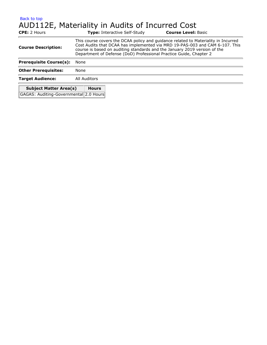#### <span id="page-29-0"></span>[Back to top](#page-7-1) AUD112E, Materiality in Audits of Incurred Cost

| <b>CPE:</b> 2 Hours                    | <b>Type:</b> Interactive Self-Study                                                                                                                                                                                                                                                                                   | <b>Course Level: Basic</b> |  |  |  |
|----------------------------------------|-----------------------------------------------------------------------------------------------------------------------------------------------------------------------------------------------------------------------------------------------------------------------------------------------------------------------|----------------------------|--|--|--|
| <b>Course Description:</b>             | This course covers the DCAA policy and guidance related to Materiality in Incurred<br>Cost Audits that DCAA has implemented via MRD 19-PAS-003 and CAM 6-107. This<br>course is based on auditing standards and the January 2019 version of the<br>Department of Defense (DoD) Professional Practice Guide, Chapter 2 |                            |  |  |  |
| <b>Prerequisite Course(s):</b>         | None                                                                                                                                                                                                                                                                                                                  |                            |  |  |  |
| <b>Other Prerequisites:</b>            | None                                                                                                                                                                                                                                                                                                                  |                            |  |  |  |
| <b>Target Audience:</b>                | All Auditors                                                                                                                                                                                                                                                                                                          |                            |  |  |  |
| <b>Subject Matter Area(s)</b>          | <b>Hours</b>                                                                                                                                                                                                                                                                                                          |                            |  |  |  |
| GAGAS: Auditing-Governmental 2.0 Hours |                                                                                                                                                                                                                                                                                                                       |                            |  |  |  |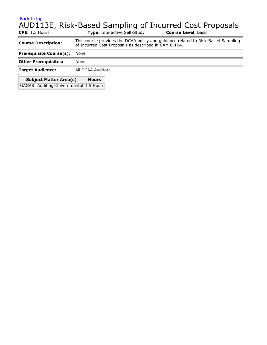### <span id="page-30-0"></span>AUD113E, Risk-Based Sampling of Incurred Cost Proposals

| $CPE: 1.5$ Hours                       | <b>Type:</b> Interactive Self-Study                                                                                                       | <b>Course Level: Basic</b> |  |  |  |  |
|----------------------------------------|-------------------------------------------------------------------------------------------------------------------------------------------|----------------------------|--|--|--|--|
| <b>Course Description:</b>             | This course provides the DCAA policy and guidance related to Risk-Based Sampling<br>of Incurred Cost Proposals as described in CAM 6-104. |                            |  |  |  |  |
| <b>Prerequisite Course(s):</b>         | None                                                                                                                                      |                            |  |  |  |  |
| <b>Other Prerequisites:</b>            | None                                                                                                                                      |                            |  |  |  |  |
| <b>Target Audience:</b>                | All DCAA Auditors                                                                                                                         |                            |  |  |  |  |
| <b>Subject Matter Area(s)</b>          | <b>Hours</b>                                                                                                                              |                            |  |  |  |  |
| GAGAS: Auditing-Governmental 1.5 Hours |                                                                                                                                           |                            |  |  |  |  |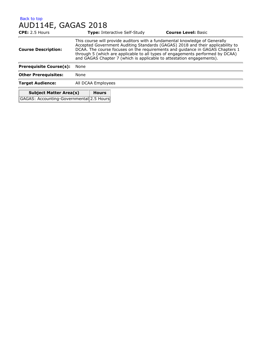#### <span id="page-31-0"></span>[Back to top](#page-7-1) AUD114E, GAGAS 2018

| CPE: 2.5 Hours                           |                                                                                                                                                                                                                                                                                                                                                                                                           |              | <b>Type: Interactive Self-Study</b> | <b>Course Level: Basic</b> |  |
|------------------------------------------|-----------------------------------------------------------------------------------------------------------------------------------------------------------------------------------------------------------------------------------------------------------------------------------------------------------------------------------------------------------------------------------------------------------|--------------|-------------------------------------|----------------------------|--|
| <b>Course Description:</b>               | This course will provide auditors with a fundamental knowledge of Generally<br>Accepted Government Auditing Standards (GAGAS) 2018 and their applicability to<br>DCAA. The course focuses on the requirements and quidance in GAGAS Chapters 1<br>through 5 (which are applicable to all types of engagements performed by DCAA)<br>and GAGAS Chapter 7 (which is applicable to attestation engagements). |              |                                     |                            |  |
| <b>Prerequisite Course(s):</b>           | None                                                                                                                                                                                                                                                                                                                                                                                                      |              |                                     |                            |  |
| <b>Other Prerequisites:</b><br>None      |                                                                                                                                                                                                                                                                                                                                                                                                           |              |                                     |                            |  |
| <b>Target Audience:</b>                  | All DCAA Employees                                                                                                                                                                                                                                                                                                                                                                                        |              |                                     |                            |  |
| <b>Subject Matter Area(s)</b>            |                                                                                                                                                                                                                                                                                                                                                                                                           | <b>Hours</b> |                                     |                            |  |
| GAGAS: Accounting-Governmental 2.5 Hours |                                                                                                                                                                                                                                                                                                                                                                                                           |              |                                     |                            |  |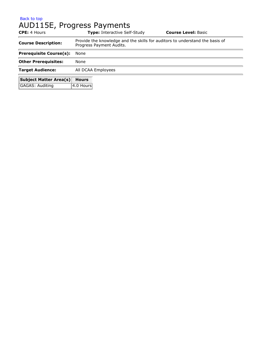## <span id="page-32-0"></span>AUD115E, Progress Payments

| <b>CPE:</b> 4 Hours            |                    | <b>Type: Interactive Self-Study</b>                                                                      | <b>Course Level: Basic</b> |  |  |  |
|--------------------------------|--------------------|----------------------------------------------------------------------------------------------------------|----------------------------|--|--|--|
| <b>Course Description:</b>     |                    | Provide the knowledge and the skills for auditors to understand the basis of<br>Progress Payment Audits. |                            |  |  |  |
| <b>Prerequisite Course(s):</b> | None               |                                                                                                          |                            |  |  |  |
| <b>Other Prerequisites:</b>    | None               |                                                                                                          |                            |  |  |  |
| <b>Target Audience:</b>        | All DCAA Employees |                                                                                                          |                            |  |  |  |
| <b>Subject Matter Area(s)</b>  | <b>Hours</b>       |                                                                                                          |                            |  |  |  |
| <b>GAGAS: Auditing</b>         | 4.0 Hours          |                                                                                                          |                            |  |  |  |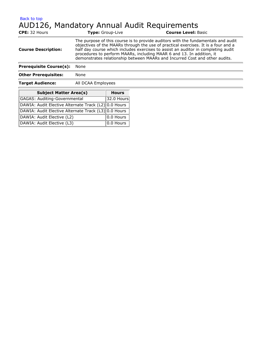### <span id="page-33-0"></span>[Back to top](#page-7-1) AUD126, Mandatory Annual Audit Requirements

| <b>CPE: 32 Hours</b>           | <b>Type:</b> Group-Live                                                                                                                                                                                                                                                                                                                                                                                              | <b>Course Level: Basic</b> |
|--------------------------------|----------------------------------------------------------------------------------------------------------------------------------------------------------------------------------------------------------------------------------------------------------------------------------------------------------------------------------------------------------------------------------------------------------------------|----------------------------|
| <b>Course Description:</b>     | The purpose of this course is to provide auditors with the fundamentals and audit<br>objectives of the MAARs through the use of practical exercises. It is a four and a<br>half day course which includes exercises to assist an auditor in completing audit<br>procedures to perform MAARs, including MAAR 6 and 13. In addition, it<br>demonstrates relationship between MAARs and Incurred Cost and other audits. |                            |
| <b>Prerequisite Course(s):</b> | None                                                                                                                                                                                                                                                                                                                                                                                                                 |                            |
| <b>Other Prerequisites:</b>    | None                                                                                                                                                                                                                                                                                                                                                                                                                 |                            |
| <b>Target Audience:</b>        | All DCAA Employees                                                                                                                                                                                                                                                                                                                                                                                                   |                            |
|                                |                                                                                                                                                                                                                                                                                                                                                                                                                      |                            |

| <b>Subject Matter Area(s)</b>                        | <b>Hours</b>      |
|------------------------------------------------------|-------------------|
| GAGAS: Auditing-Governmental                         | 32.0 Hours        |
| DAWIA: Audit Elective Alternate Track (L2) 0.0 Hours |                   |
| DAWIA: Audit Elective Alternate Track (L3) 0.0 Hours |                   |
| DAWIA: Audit Elective (L2)                           | 0.0 Hours         |
| DAWIA: Audit Elective (L3)                           | $\vert$ 0.0 Hours |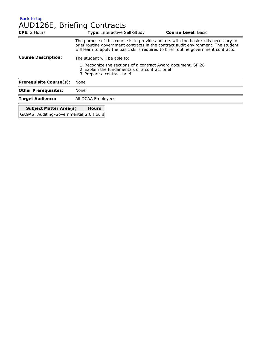<span id="page-34-0"></span>

| AUD126E, Briefing Contracts                   |                                                                                                                                                                                                                                                                   |                            |  |  |  |
|-----------------------------------------------|-------------------------------------------------------------------------------------------------------------------------------------------------------------------------------------------------------------------------------------------------------------------|----------------------------|--|--|--|
| <b>CPE: 2 Hours</b>                           | <b>Type: Interactive Self-Study</b>                                                                                                                                                                                                                               | <b>Course Level: Basic</b> |  |  |  |
|                                               | The purpose of this course is to provide auditors with the basic skills necessary to<br>brief routine government contracts in the contract audit environment. The student<br>will learn to apply the basic skills required to brief routine government contracts. |                            |  |  |  |
| <b>Course Description:</b>                    | The student will be able to:                                                                                                                                                                                                                                      |                            |  |  |  |
|                                               | 1. Recognize the sections of a contract Award document, SF 26<br>2. Explain the fundamentals of a contract brief<br>3. Prepare a contract brief                                                                                                                   |                            |  |  |  |
| <b>Prerequisite Course(s):</b>                | None                                                                                                                                                                                                                                                              |                            |  |  |  |
| <b>Other Prerequisites:</b>                   | None                                                                                                                                                                                                                                                              |                            |  |  |  |
| <b>Target Audience:</b>                       | All DCAA Employees                                                                                                                                                                                                                                                |                            |  |  |  |
| <b>Subject Matter Area(s)</b><br><b>Hours</b> |                                                                                                                                                                                                                                                                   |                            |  |  |  |

GAGAS: Auditing-Governmental 2.0 Hours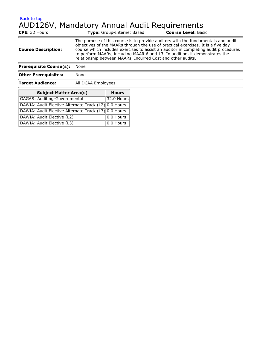#### <span id="page-35-0"></span>[Back to top](#page-7-1) AUD126V, Mandatory Annual Audit Requirements

| <b>CPE:</b> 32 Hours           | <b>Type:</b> Group-Internet Based                                                                                                                                                                                                                                                                                                                                                                          | <b>Course Level: Basic</b> |  |
|--------------------------------|------------------------------------------------------------------------------------------------------------------------------------------------------------------------------------------------------------------------------------------------------------------------------------------------------------------------------------------------------------------------------------------------------------|----------------------------|--|
| <b>Course Description:</b>     | The purpose of this course is to provide auditors with the fundamentals and audit<br>objectives of the MAARs through the use of practical exercises. It is a five day<br>course which includes exercises to assist an auditor in completing audit procedures<br>to perform MAARs, including MAAR 6 and 13. In addition, it demonstrates the<br>relationship between MAARs, Incurred Cost and other audits. |                            |  |
| <b>Prerequisite Course(s):</b> | None                                                                                                                                                                                                                                                                                                                                                                                                       |                            |  |
| <b>Other Prerequisites:</b>    | None                                                                                                                                                                                                                                                                                                                                                                                                       |                            |  |
| <b>Target Audience:</b>        | All DCAA Employees                                                                                                                                                                                                                                                                                                                                                                                         |                            |  |

| <b>Subject Matter Area(s)</b>                        | <b>Hours</b> |
|------------------------------------------------------|--------------|
| GAGAS: Auditing-Governmental                         | 32.0 Hours   |
| DAWIA: Audit Elective Alternate Track (L2) 0.0 Hours |              |
| DAWIA: Audit Elective Alternate Track (L3) 0.0 Hours |              |
| DAWIA: Audit Elective (L2)                           | 0.0 Hours    |
| DAWIA: Audit Elective (L3)                           | 0.0 Hours    |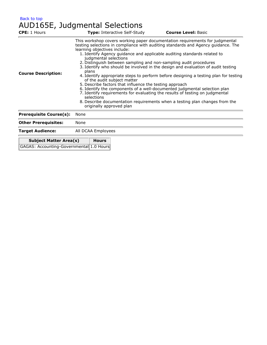[Back to top](#page-7-0) AUD165E, Judgmental Selections

| <b>CPE:</b> 1 Hours                      |       | Type: Interactive Self-Study                                                                                                   |                                                         | <b>Course Level: Basic</b>                                                                                                                                                                                                                                                                                                                                                                                                                                                                                                                                                                                                                                                                                                                 |
|------------------------------------------|-------|--------------------------------------------------------------------------------------------------------------------------------|---------------------------------------------------------|--------------------------------------------------------------------------------------------------------------------------------------------------------------------------------------------------------------------------------------------------------------------------------------------------------------------------------------------------------------------------------------------------------------------------------------------------------------------------------------------------------------------------------------------------------------------------------------------------------------------------------------------------------------------------------------------------------------------------------------------|
| <b>Course Description:</b>               | plans | learning objectives include:<br>judgmental selections<br>of the audit subject matter<br>selections<br>originally approved plan | 5. Describe factors that influence the testing approach | This workshop covers working paper documentation requirements for judgmental<br>testing selections in compliance with auditing standards and Agency guidance. The<br>1. Identify Agency guidance and applicable auditing standards related to<br>2. Distinguish between sampling and non-sampling audit procedures<br>3. Identify who should be involved in the design and evaluation of audit testing<br>4. Identify appropriate steps to perform before designing a testing plan for testing<br>6. Identify the components of a well-documented judgmental selection plan<br>7. Identify requirements for evaluating the results of testing on judgmental<br>8. Describe documentation requirements when a testing plan changes from the |
| <b>Prerequisite Course(s):</b>           | None  |                                                                                                                                |                                                         |                                                                                                                                                                                                                                                                                                                                                                                                                                                                                                                                                                                                                                                                                                                                            |
| <b>Other Prerequisites:</b>              | None  |                                                                                                                                |                                                         |                                                                                                                                                                                                                                                                                                                                                                                                                                                                                                                                                                                                                                                                                                                                            |
| <b>Target Audience:</b>                  |       | All DCAA Employees                                                                                                             |                                                         |                                                                                                                                                                                                                                                                                                                                                                                                                                                                                                                                                                                                                                                                                                                                            |
| <b>Subject Matter Area(s)</b>            |       | <b>Hours</b>                                                                                                                   |                                                         |                                                                                                                                                                                                                                                                                                                                                                                                                                                                                                                                                                                                                                                                                                                                            |
| GAGAS: Accounting-Governmental 1.0 Hours |       |                                                                                                                                |                                                         |                                                                                                                                                                                                                                                                                                                                                                                                                                                                                                                                                                                                                                                                                                                                            |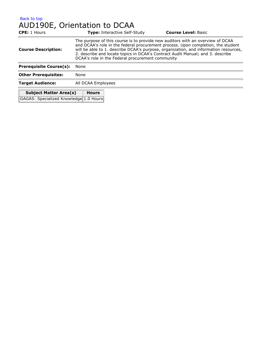#### [Back to top](#page-7-0) AUD190E, Orientation to DCAA

| <b>CPE:</b> 1 Hours                    |                                                                                                                                                                                                                                                                                                                                                                                                  | <b>Type: Interactive Self-Study</b> | <b>Course Level: Basic</b> |
|----------------------------------------|--------------------------------------------------------------------------------------------------------------------------------------------------------------------------------------------------------------------------------------------------------------------------------------------------------------------------------------------------------------------------------------------------|-------------------------------------|----------------------------|
| <b>Course Description:</b>             | The purpose of this course is to provide new auditors with an overview of DCAA<br>and DCAA's role in the federal procurement process. Upon completion, the student<br>will be able to 1. describe DCAA's purpose, organization, and information resources,<br>2. describe and locate topics in DCAA's Contract Audit Manual; and 3. describe<br>DCAA's role in the Federal procurement community |                                     |                            |
| <b>Prerequisite Course(s):</b>         | None                                                                                                                                                                                                                                                                                                                                                                                             |                                     |                            |
| <b>Other Prerequisites:</b>            | None                                                                                                                                                                                                                                                                                                                                                                                             |                                     |                            |
| <b>Target Audience:</b>                | All DCAA Employees                                                                                                                                                                                                                                                                                                                                                                               |                                     |                            |
| <b>Subject Matter Area(s)</b>          | <b>Hours</b>                                                                                                                                                                                                                                                                                                                                                                                     |                                     |                            |
| GAGAS: Specialized Knowledge 1.0 Hours |                                                                                                                                                                                                                                                                                                                                                                                                  |                                     |                            |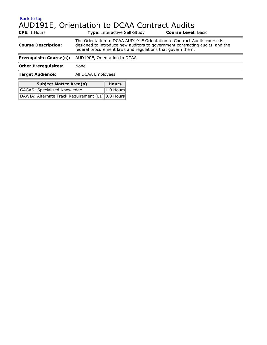# AUD191E, Orientation to DCAA Contract Audits

| <b>CPE:</b> 1 Hours                               |                                                                                                                                                                                                                        | <b>Type:</b> Interactive Self-Study |  | <b>Course Level: Basic</b> |
|---------------------------------------------------|------------------------------------------------------------------------------------------------------------------------------------------------------------------------------------------------------------------------|-------------------------------------|--|----------------------------|
| <b>Course Description:</b>                        | The Orientation to DCAA AUD191E Orientation to Contract Audits course is<br>designed to introduce new auditors to government contracting audits, and the<br>federal procurement laws and regulations that govern them. |                                     |  |                            |
| <b>Prerequisite Course(s):</b>                    |                                                                                                                                                                                                                        | AUD190E, Orientation to DCAA        |  |                            |
| <b>Other Prerequisites:</b>                       | None                                                                                                                                                                                                                   |                                     |  |                            |
| <b>Target Audience:</b>                           | All DCAA Employees                                                                                                                                                                                                     |                                     |  |                            |
| <b>Subject Matter Area(s)</b>                     |                                                                                                                                                                                                                        | <b>Hours</b>                        |  |                            |
| GAGAS: Specialized Knowledge                      |                                                                                                                                                                                                                        | 1.0 Hours                           |  |                            |
| DAWIA: Alternate Track Requirement (L1) 0.0 Hours |                                                                                                                                                                                                                        |                                     |  |                            |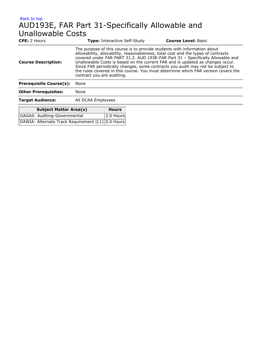### [Back to top](#page-7-0) AUD193E, FAR Part 31-Specifically Allowable and Unallowable Costs

| <b>CPE:</b> 2 Hours                     |                                                                                                                                                                                                                                                                                                                                                                                                                                                                                                                                        | <b>Type: Interactive Self-Study</b> |  | <b>Course Level: Basic</b> |
|-----------------------------------------|----------------------------------------------------------------------------------------------------------------------------------------------------------------------------------------------------------------------------------------------------------------------------------------------------------------------------------------------------------------------------------------------------------------------------------------------------------------------------------------------------------------------------------------|-------------------------------------|--|----------------------------|
| <b>Course Description:</b>              | The purpose of this course is to provide students with information about<br>allowability, allocability, reasonableness, total cost and the types of contracts<br>covered under FAR PART 31.2. AUD 193E-FAR Part 31 - Specifically Allowable and<br>Unallowable Costs is based on the current FAR and is updated as changes occur.<br>Since FAR periodically changes, some contracts you audit may not be subject to<br>the rules covered in this course. You must determine which FAR version covers the<br>contract you are auditing. |                                     |  |                            |
| <b>Prerequisite Course(s):</b>          | None                                                                                                                                                                                                                                                                                                                                                                                                                                                                                                                                   |                                     |  |                            |
| <b>Other Prerequisites:</b>             | None                                                                                                                                                                                                                                                                                                                                                                                                                                                                                                                                   |                                     |  |                            |
| <b>Target Audience:</b>                 | All DCAA Employees                                                                                                                                                                                                                                                                                                                                                                                                                                                                                                                     |                                     |  |                            |
| <b>Subject Matter Area(s)</b>           |                                                                                                                                                                                                                                                                                                                                                                                                                                                                                                                                        | <b>Hours</b>                        |  |                            |
| <b>GAGAS: Auditing-Governmental</b>     |                                                                                                                                                                                                                                                                                                                                                                                                                                                                                                                                        | 2.0 Hours                           |  |                            |
| DAWIA: Alternate Track Requirement (L1) |                                                                                                                                                                                                                                                                                                                                                                                                                                                                                                                                        | 0.0 Hours                           |  |                            |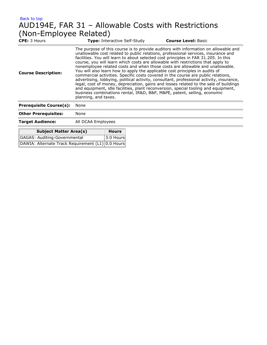### [Back to top](#page-7-0) AUD194E, FAR 31 – Allowable Costs with Restrictions (Non-Employee Related)

| <b>CPE:</b> 3 Hours            | <b>Type:</b> Interactive Self-Study                                                                                                                                                                                                                                                                                                                                                                                                                                                                                                                                                                                                                                                                                                                                                                                                                                                                                                                                                       | <b>Course Level: Basic</b> |
|--------------------------------|-------------------------------------------------------------------------------------------------------------------------------------------------------------------------------------------------------------------------------------------------------------------------------------------------------------------------------------------------------------------------------------------------------------------------------------------------------------------------------------------------------------------------------------------------------------------------------------------------------------------------------------------------------------------------------------------------------------------------------------------------------------------------------------------------------------------------------------------------------------------------------------------------------------------------------------------------------------------------------------------|----------------------------|
| <b>Course Description:</b>     | The purpose of this course is to provide auditors with information on allowable and<br>unallowable cost related to public relations, professional services, insurance and<br>facilities. You will learn to about selected cost principles in FAR 31.205. In this<br>course, you will learn which costs are allowable with restrictions that apply to<br>nonemployee related costs and when those costs are allowable and unallowable.<br>You will also learn how to apply the applicable cost principles in audits of<br>commercial activities. Specific costs covered in the course are public relations,<br>advertising, lobbying, political activity, consultant, professional activity, insurance,<br>legal, cost of money, depreciation, gains and losses related to the sale of buildings<br>and equipment, idle facilities, plant reconversion, special tooling and equipment,<br>business combinations rental, IR&D, B&P, M&PE, patent, selling, economic<br>planning, and taxes. |                            |
| <b>Prerequisite Course(s):</b> | None                                                                                                                                                                                                                                                                                                                                                                                                                                                                                                                                                                                                                                                                                                                                                                                                                                                                                                                                                                                      |                            |
| <b>Other Prerequisites:</b>    | None                                                                                                                                                                                                                                                                                                                                                                                                                                                                                                                                                                                                                                                                                                                                                                                                                                                                                                                                                                                      |                            |
| <b>Target Audience:</b>        | All DCAA Employees                                                                                                                                                                                                                                                                                                                                                                                                                                                                                                                                                                                                                                                                                                                                                                                                                                                                                                                                                                        |                            |

| <b>Subject Matter Area(s)</b>                     | <b>Hours</b> |
|---------------------------------------------------|--------------|
| GAGAS: Auditing-Governmental                      | $3.0$ Hours  |
| DAWIA: Alternate Track Requirement (L1) 0.0 Hours |              |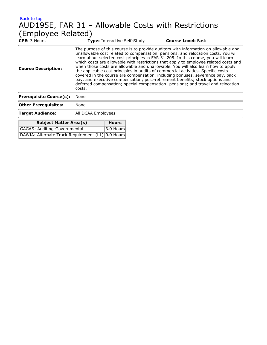### [Back to top](#page-7-0) AUD195E, FAR 31 – Allowable Costs with Restrictions (Employee Related)

| <b>CPE: 3 Hours</b>                     |                    | <b>Type:</b> Interactive Self-Study | <b>Course Level: Basic</b>                                                                                                                                                                                                                                                                                                                                                                                                                                                                                                                                                                                                                                                                                                                                                             |
|-----------------------------------------|--------------------|-------------------------------------|----------------------------------------------------------------------------------------------------------------------------------------------------------------------------------------------------------------------------------------------------------------------------------------------------------------------------------------------------------------------------------------------------------------------------------------------------------------------------------------------------------------------------------------------------------------------------------------------------------------------------------------------------------------------------------------------------------------------------------------------------------------------------------------|
| <b>Course Description:</b>              | costs.             |                                     | The purpose of this course is to provide auditors with information on allowable and<br>unallowable cost related to compensation, pensions, and relocation costs. You will<br>learn about selected cost principles in FAR 31.205. In this course, you will learn<br>which costs are allowable with restrictions that apply to employee related costs and<br>when those costs are allowable and unallowable. You will also learn how to apply<br>the applicable cost principles in audits of commercial activities. Specific costs<br>covered in the course are compensation, including bonuses, severance pay, back<br>pay, and executive compensation; post-retirement benefits; stock options and<br>deferred compensation; special compensation; pensions; and travel and relocation |
| <b>Prerequisite Course(s):</b>          | None               |                                     |                                                                                                                                                                                                                                                                                                                                                                                                                                                                                                                                                                                                                                                                                                                                                                                        |
| <b>Other Prerequisites:</b>             | None               |                                     |                                                                                                                                                                                                                                                                                                                                                                                                                                                                                                                                                                                                                                                                                                                                                                                        |
| <b>Target Audience:</b>                 | All DCAA Employees |                                     |                                                                                                                                                                                                                                                                                                                                                                                                                                                                                                                                                                                                                                                                                                                                                                                        |
| <b>Subject Matter Area(s)</b>           |                    | <b>Hours</b>                        |                                                                                                                                                                                                                                                                                                                                                                                                                                                                                                                                                                                                                                                                                                                                                                                        |
| GAGAS: Auditing-Governmental            |                    | 3.0 Hours                           |                                                                                                                                                                                                                                                                                                                                                                                                                                                                                                                                                                                                                                                                                                                                                                                        |
| DAWIA: Alternate Track Requirement (L1) |                    | 0.0 Hours                           |                                                                                                                                                                                                                                                                                                                                                                                                                                                                                                                                                                                                                                                                                                                                                                                        |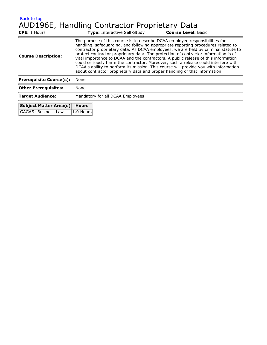# AUD196E, Handling Contractor Proprietary Data

| <b>CPE:</b> 1 Hours            | <b>Type:</b> Interactive Self-Study                                                                                                                                                                                                                                                                                                                                                                                          | <b>Course Level: Basic</b>                                                                                                                                                                                                                                       |  |
|--------------------------------|------------------------------------------------------------------------------------------------------------------------------------------------------------------------------------------------------------------------------------------------------------------------------------------------------------------------------------------------------------------------------------------------------------------------------|------------------------------------------------------------------------------------------------------------------------------------------------------------------------------------------------------------------------------------------------------------------|--|
| <b>Course Description:</b>     | The purpose of this course is to describe DCAA employee responsibilities for<br>handling, safeguarding, and following appropriate reporting procedures related to<br>protect contractor proprietary data. The protection of contractor information is of<br>vital importance to DCAA and the contractors. A public release of this information<br>about contractor proprietary data and proper handling of that information. | contractor proprietary data. As DCAA employees, we are held by criminal statute to<br>could seriously harm the contractor. Moreover, such a release could interfere with<br>DCAA's ability to perform its mission. This course will provide you with information |  |
| <b>Prerequisite Course(s):</b> | None                                                                                                                                                                                                                                                                                                                                                                                                                         |                                                                                                                                                                                                                                                                  |  |
| <b>Other Prerequisites:</b>    | None                                                                                                                                                                                                                                                                                                                                                                                                                         |                                                                                                                                                                                                                                                                  |  |
| <b>Target Audience:</b>        | Mandatory for all DCAA Employees                                                                                                                                                                                                                                                                                                                                                                                             |                                                                                                                                                                                                                                                                  |  |
| <b>Subject Matter Area(s)</b>  | <b>Hours</b>                                                                                                                                                                                                                                                                                                                                                                                                                 |                                                                                                                                                                                                                                                                  |  |
| <b>GAGAS: Business Law</b>     | 1.0 Hours                                                                                                                                                                                                                                                                                                                                                                                                                    |                                                                                                                                                                                                                                                                  |  |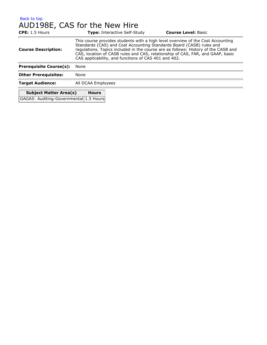### [Back to top](#page-7-0) AUD198E, CAS for the New Hire

| <b>CPE:</b> 1.5 Hours                  |                                                                                                                                                                                                                                                                                                                                                                                         | <b>Type:</b> Interactive Self-Study | <b>Course Level: Basic</b> |
|----------------------------------------|-----------------------------------------------------------------------------------------------------------------------------------------------------------------------------------------------------------------------------------------------------------------------------------------------------------------------------------------------------------------------------------------|-------------------------------------|----------------------------|
| <b>Course Description:</b>             | This course provides students with a high level overview of the Cost Accounting<br>Standards (CAS) and Cost Accounting Standards Board (CASB) rules and<br>regulations. Topics included in the course are as follows: History of the CASB and<br>CAS, location of CASB rules and CAS, relationship of CAS, FAR, and GAAP, basic<br>CAS applicability, and functions of CAS 401 and 402. |                                     |                            |
| <b>Prerequisite Course(s):</b>         | None                                                                                                                                                                                                                                                                                                                                                                                    |                                     |                            |
| <b>Other Prerequisites:</b>            | None                                                                                                                                                                                                                                                                                                                                                                                    |                                     |                            |
| <b>Target Audience:</b>                | All DCAA Employees                                                                                                                                                                                                                                                                                                                                                                      |                                     |                            |
| <b>Subject Matter Area(s)</b>          | <b>Hours</b>                                                                                                                                                                                                                                                                                                                                                                            |                                     |                            |
| GAGAS: Auditing-Governmental 1.5 Hours |                                                                                                                                                                                                                                                                                                                                                                                         |                                     |                            |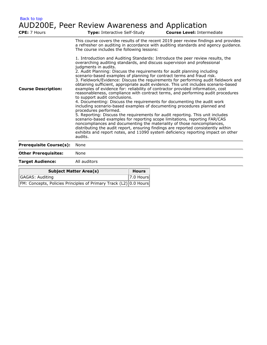### [Back to top](#page-7-0) AUD200E, Peer Review Awareness and Application

| CPE: 7 Hours                   | Type: Interactive Self-Study                                                                                                                                                                                                                                                                                                                                                                                                                                                                                                                                                                                                                                                                                                                                                                                                                                                                                                                                                                                                                                                                                                                                                                                                                                                                                                              |              | <b>Course Level: Intermediate</b>                                                                                                                                         |
|--------------------------------|-------------------------------------------------------------------------------------------------------------------------------------------------------------------------------------------------------------------------------------------------------------------------------------------------------------------------------------------------------------------------------------------------------------------------------------------------------------------------------------------------------------------------------------------------------------------------------------------------------------------------------------------------------------------------------------------------------------------------------------------------------------------------------------------------------------------------------------------------------------------------------------------------------------------------------------------------------------------------------------------------------------------------------------------------------------------------------------------------------------------------------------------------------------------------------------------------------------------------------------------------------------------------------------------------------------------------------------------|--------------|---------------------------------------------------------------------------------------------------------------------------------------------------------------------------|
|                                | The course includes the following lessons:                                                                                                                                                                                                                                                                                                                                                                                                                                                                                                                                                                                                                                                                                                                                                                                                                                                                                                                                                                                                                                                                                                                                                                                                                                                                                                |              | This course covers the results of the recent 2019 peer review findings and provides<br>a refresher on auditing in accordance with auditing standards and agency guidance. |
| <b>Course Description:</b>     | 1. Introduction and Auditing Standards: Introduce the peer review results, the<br>overarching auditing standards, and discuss supervision and professional<br>judgments in audits.<br>2. Audit Planning: Discuss the requirements for audit planning including<br>scenario-based examples of planning for contract terms and fraud risk.<br>3. Fieldwork/Evidence: Discuss the requirements for performing audit fieldwork and<br>obtaining sufficient, appropriate audit evidence. This unit includes scenario-based<br>examples of evidence for: reliability of contractor provided information, cost<br>reasonableness, compliance with contract terms, and performing audit procedures<br>to support audit conclusions.<br>4. Documenting: Discuss the requirements for documenting the audit work<br>including scenario-based examples of documenting procedures planned and<br>procedures performed.<br>5. Reporting: Discuss the requirements for audit reporting. This unit includes<br>scenario-based examples for reporting scope limitations, reporting FAR/CAS<br>noncompliances and documenting the materiality of those noncompliances,<br>distributing the audit report, ensuring findings are reported consistently within<br>exhibits and report notes, and 11090 system deficiency reporting impact on other<br>audits. |              |                                                                                                                                                                           |
| <b>Prerequisite Course(s):</b> | None                                                                                                                                                                                                                                                                                                                                                                                                                                                                                                                                                                                                                                                                                                                                                                                                                                                                                                                                                                                                                                                                                                                                                                                                                                                                                                                                      |              |                                                                                                                                                                           |
| <b>Other Prerequisites:</b>    | None                                                                                                                                                                                                                                                                                                                                                                                                                                                                                                                                                                                                                                                                                                                                                                                                                                                                                                                                                                                                                                                                                                                                                                                                                                                                                                                                      |              |                                                                                                                                                                           |
| <b>Target Audience:</b>        | All auditors                                                                                                                                                                                                                                                                                                                                                                                                                                                                                                                                                                                                                                                                                                                                                                                                                                                                                                                                                                                                                                                                                                                                                                                                                                                                                                                              |              |                                                                                                                                                                           |
|                                | <b>Subject Matter Area(s)</b>                                                                                                                                                                                                                                                                                                                                                                                                                                                                                                                                                                                                                                                                                                                                                                                                                                                                                                                                                                                                                                                                                                                                                                                                                                                                                                             | <b>Hours</b> |                                                                                                                                                                           |
| <b>GAGAS: Auditing</b>         |                                                                                                                                                                                                                                                                                                                                                                                                                                                                                                                                                                                                                                                                                                                                                                                                                                                                                                                                                                                                                                                                                                                                                                                                                                                                                                                                           | 7.0 Hours    |                                                                                                                                                                           |
|                                | FM: Concepts, Policies Principles of Primary Track (L2) 0.0 Hours                                                                                                                                                                                                                                                                                                                                                                                                                                                                                                                                                                                                                                                                                                                                                                                                                                                                                                                                                                                                                                                                                                                                                                                                                                                                         |              |                                                                                                                                                                           |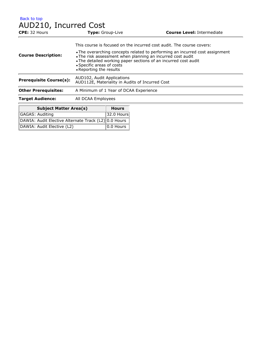[Back to top](#page-7-0) AUD210, Incurred Cost **CPE:** 32 Hours **Type:** Group-Live **Course Level:** Intermediate **Course Description:** This course is focused on the incurred cost audit. The course covers: The overarching concepts related to performing an incurred cost assignment The risk assessment when planning an incurred cost audit The detailed working paper sections of an incurred cost audit Specific areas of costs Reporting the results **Prerequisite Course(s):** AUD102, Audit Applications AUD112E, Materiality in Audits of Incurred Cost **Other Prerequisites:** A Minimum of 1 Year of DCAA Experience

**Target Audience:** All DCAA Employees

| <b>Subject Matter Area(s)</b>                        | <b>Hours</b>     |
|------------------------------------------------------|------------------|
| GAGAS: Auditing                                      | 32.0 Hours       |
| DAWIA: Audit Elective Alternate Track (L2) 0.0 Hours |                  |
| DAWIA: Audit Elective (L2)                           | $ 0.0$ Hours $ $ |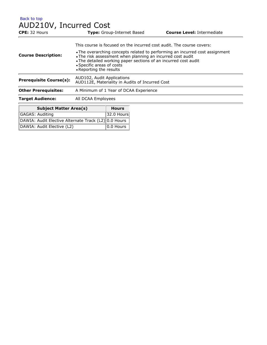### AUD210V, Incurred Cost

| <b>CPE:</b> 32 Hours           | <b>Type:</b> Group-Internet Based                                                                                                                                                                                                                                     | <b>Course Level: Intermediate</b> |  |
|--------------------------------|-----------------------------------------------------------------------------------------------------------------------------------------------------------------------------------------------------------------------------------------------------------------------|-----------------------------------|--|
|                                | This course is focused on the incurred cost audit. The course covers:                                                                                                                                                                                                 |                                   |  |
| <b>Course Description:</b>     | • The overarching concepts related to performing an incurred cost assignment<br>. The risk assessment when planning an incurred cost audit<br>• The detailed working paper sections of an incurred cost audit<br>• Specific areas of costs<br>• Reporting the results |                                   |  |
| <b>Prerequisite Course(s):</b> | AUD102, Audit Applications<br>AUD112E, Materiality in Audits of Incurred Cost                                                                                                                                                                                         |                                   |  |
| <b>Other Prerequisites:</b>    | A Minimum of 1 Year of DCAA Experience                                                                                                                                                                                                                                |                                   |  |
| <b>Target Audience:</b>        | All DCAA Employees                                                                                                                                                                                                                                                    |                                   |  |
|                                |                                                                                                                                                                                                                                                                       |                                   |  |

| <b>Subject Matter Area(s)</b>                        | <b>Hours</b>              |
|------------------------------------------------------|---------------------------|
| GAGAS: Auditing                                      | $32.0$ Hours              |
| DAWIA: Audit Elective Alternate Track (L2) 0.0 Hours |                           |
| DAWIA: Audit Elective (L2)                           | $\vert$ 0.0 Hours $\vert$ |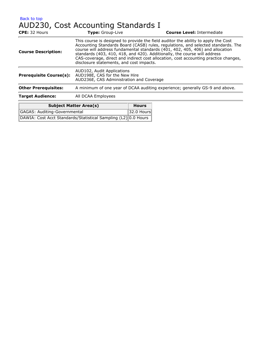## [Back to top](#page-7-0) AUD230, Cost Accounting Standards I

| CPE: 32 Hours                  | Type: Group-Live                                                                                                                                                                                                                                                                                                                                                                                                                                                          |              | <b>Course Level: Intermediate</b> |  |
|--------------------------------|---------------------------------------------------------------------------------------------------------------------------------------------------------------------------------------------------------------------------------------------------------------------------------------------------------------------------------------------------------------------------------------------------------------------------------------------------------------------------|--------------|-----------------------------------|--|
| <b>Course Description:</b>     | This course is designed to provide the field auditor the ability to apply the Cost<br>Accounting Standards Board (CASB) rules, regulations, and selected standards. The<br>course will address fundamental standards (401, 402, 405, 406) and allocation<br>standards (403, 410, 418, and 420). Additionally, the course will address<br>CAS-coverage, direct and indirect cost allocation, cost accounting practice changes,<br>disclosure statements, and cost impacts. |              |                                   |  |
| <b>Prerequisite Course(s):</b> | AUD102, Audit Applications<br>AUD198E, CAS for the New Hire<br>AUD236E, CAS Administration and Coverage                                                                                                                                                                                                                                                                                                                                                                   |              |                                   |  |
| <b>Other Prerequisites:</b>    | A minimum of one year of DCAA auditing experience; generally GS-9 and above.                                                                                                                                                                                                                                                                                                                                                                                              |              |                                   |  |
| <b>Target Audience:</b>        | All DCAA Employees                                                                                                                                                                                                                                                                                                                                                                                                                                                        |              |                                   |  |
|                                | <b>Subject Matter Area(s)</b>                                                                                                                                                                                                                                                                                                                                                                                                                                             | <b>Hours</b> |                                   |  |
| $GAGAS:$ Auditing-Governmental |                                                                                                                                                                                                                                                                                                                                                                                                                                                                           | $32.0$ Houre |                                   |  |

| GAGAS: Auditing-Governmental                                   | $ 32.0$ Hours |
|----------------------------------------------------------------|---------------|
| DAWIA: Cost Acct Standards/Statistical Sampling (L2) 0.0 Hours |               |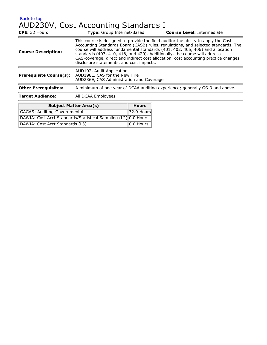[Back to top](#page-7-0) AUD230V, Cost Accounting Standards I

| CPE: 32 Hours                  | <b>Type:</b> Group Internet-Based                                                                                                                                                                                                                                                                                                                                                                                                                                         |              | <b>Course Level: Intermediate</b> |  |
|--------------------------------|---------------------------------------------------------------------------------------------------------------------------------------------------------------------------------------------------------------------------------------------------------------------------------------------------------------------------------------------------------------------------------------------------------------------------------------------------------------------------|--------------|-----------------------------------|--|
| <b>Course Description:</b>     | This course is designed to provide the field auditor the ability to apply the Cost<br>Accounting Standards Board (CASB) rules, regulations, and selected standards. The<br>course will address fundamental standards (401, 402, 405, 406) and allocation<br>standards (403, 410, 418, and 420). Additionally, the course will address<br>CAS-coverage, direct and indirect cost allocation, cost accounting practice changes,<br>disclosure statements, and cost impacts. |              |                                   |  |
| <b>Prerequisite Course(s):</b> | AUD102, Audit Applications<br>AUD198E, CAS for the New Hire<br>AUD236E, CAS Administration and Coverage                                                                                                                                                                                                                                                                                                                                                                   |              |                                   |  |
| <b>Other Prerequisites:</b>    | A minimum of one year of DCAA auditing experience; generally GS-9 and above.                                                                                                                                                                                                                                                                                                                                                                                              |              |                                   |  |
| <b>Target Audience:</b>        | All DCAA Employees                                                                                                                                                                                                                                                                                                                                                                                                                                                        |              |                                   |  |
|                                | <b>Subject Matter Area(s)</b>                                                                                                                                                                                                                                                                                                                                                                                                                                             | <b>Hours</b> |                                   |  |
| GAGAS: Auditing-Governmental   |                                                                                                                                                                                                                                                                                                                                                                                                                                                                           | 32.0 Hours   |                                   |  |

| <b>GAGAS: Auditing-Governmental</b>                            | 32.0 Hours   |
|----------------------------------------------------------------|--------------|
| DAWIA: Cost Acct Standards/Statistical Sampling (L2) 0.0 Hours |              |
| DAWIA: Cost Acct Standards (L3)                                | $ 0.0$ Hours |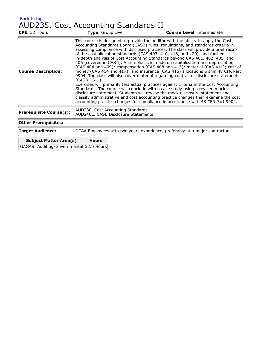| Back to top |                                      |  |
|-------------|--------------------------------------|--|
|             | AUD235, Cost Accounting Standards II |  |

| <b>Type:</b> Group Live | <b>Course Level: Intermediate</b>                                                                                                                                                                                                                                                                                                                                                                                                                                                                                                                                                                                                                                                                                                                                                                                                                                                                                                                                                                                                                                                                                                                                                                        |
|-------------------------|----------------------------------------------------------------------------------------------------------------------------------------------------------------------------------------------------------------------------------------------------------------------------------------------------------------------------------------------------------------------------------------------------------------------------------------------------------------------------------------------------------------------------------------------------------------------------------------------------------------------------------------------------------------------------------------------------------------------------------------------------------------------------------------------------------------------------------------------------------------------------------------------------------------------------------------------------------------------------------------------------------------------------------------------------------------------------------------------------------------------------------------------------------------------------------------------------------|
| (CASB DS-1).            | This course is designed to provide the auditor with the ability to apply the Cost<br>Accounting Standards Board (CASB) rules, regulations, and standards criteria in<br>assessing compliance with disclosed practices. The class will provide a brief recap<br>of the cost allocation standards (CAS 403, 410, 418, and 420), and further<br>in-depth analysis of Cost Accounting Standards beyond CAS 401, 402, 405, and<br>406 (covered in CAS I). An emphasis is made on capitalization and depreciation<br>(CAS 404 and 409); compensation (CAS 408 and 415); material (CAS 411); cost of<br>money (CAS 414 and 417); and insurance (CAS 416) allocations within 48 CFR Part<br>9904. The class will also cover material regarding contractor disclosure statements<br>Exercises will primarily test actual practices against criteria in the Cost Accounting<br>Standards. The course will conclude with a case study using a revised mock<br>disclosure statement. Students will review the mock disclosure statement and<br>classify administrative and cost accounting practice changes then examine the cost<br>accounting practice changes for compliance in accordance with 48 CFR Part 9904. |
|                         |                                                                                                                                                                                                                                                                                                                                                                                                                                                                                                                                                                                                                                                                                                                                                                                                                                                                                                                                                                                                                                                                                                                                                                                                          |
|                         |                                                                                                                                                                                                                                                                                                                                                                                                                                                                                                                                                                                                                                                                                                                                                                                                                                                                                                                                                                                                                                                                                                                                                                                                          |
|                         | DCAA Employees with two years experience, preferably at a major contractor.                                                                                                                                                                                                                                                                                                                                                                                                                                                                                                                                                                                                                                                                                                                                                                                                                                                                                                                                                                                                                                                                                                                              |
|                         | AUD230, Cost Accounting Standards<br>AUD240E, CASB Disclosure Statements                                                                                                                                                                                                                                                                                                                                                                                                                                                                                                                                                                                                                                                                                                                                                                                                                                                                                                                                                                                                                                                                                                                                 |

| <b>Subject Matter Area(s)</b>           | <b>Hours</b> |
|-----------------------------------------|--------------|
| GAGAS: Auditing-Governmental 32.0 Hours |              |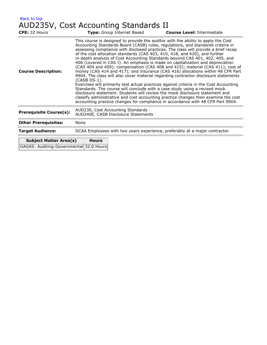| Back to top |                                       |  |
|-------------|---------------------------------------|--|
|             | AUD235V, Cost Accounting Standards II |  |

| <b>CPE:</b> 32 Hours                                                     | Type: Group Internet Based                                                                                                                                                                                                                                                                                                                                                                                                                                                                                                                                                                                                                                                                                                                                                                                                                                                                                                                                                                                                                                                                                                                                                                                               | <b>Course Level: Intermediate</b> |  |
|--------------------------------------------------------------------------|--------------------------------------------------------------------------------------------------------------------------------------------------------------------------------------------------------------------------------------------------------------------------------------------------------------------------------------------------------------------------------------------------------------------------------------------------------------------------------------------------------------------------------------------------------------------------------------------------------------------------------------------------------------------------------------------------------------------------------------------------------------------------------------------------------------------------------------------------------------------------------------------------------------------------------------------------------------------------------------------------------------------------------------------------------------------------------------------------------------------------------------------------------------------------------------------------------------------------|-----------------------------------|--|
| <b>Course Description:</b>                                               | This course is designed to provide the auditor with the ability to apply the Cost<br>Accounting Standards Board (CASB) rules, regulations, and standards criteria in<br>assessing compliance with disclosed practices. The class will provide a brief recap<br>of the cost allocation standards (CAS 403, 410, 418, and 420), and further<br>in-depth analysis of Cost Accounting Standards beyond CAS 401, 402, 405, and<br>406 (covered in CAS I). An emphasis is made on capitalization and depreciation<br>(CAS 404 and 409); compensation (CAS 408 and 415); material (CAS 411); cost of<br>money (CAS 414 and 417); and insurance (CAS 416) allocations within 48 CFR Part<br>9904. The class will also cover material regarding contractor disclosure statements<br>(CASB DS-1).<br>Exercises will primarily test actual practices against criteria in the Cost Accounting<br>Standards. The course will conclude with a case study using a revised mock<br>disclosure statement. Students will review the mock disclosure statement and<br>classify administrative and cost accounting practice changes then examine the cost<br>accounting practice changes for compliance in accordance with 48 CFR Part 9904. |                                   |  |
| <b>Prerequisite Course(s):</b>                                           | AUD230, Cost Accounting Standards<br>AUD240E, CASB Disclosure Statements                                                                                                                                                                                                                                                                                                                                                                                                                                                                                                                                                                                                                                                                                                                                                                                                                                                                                                                                                                                                                                                                                                                                                 |                                   |  |
| <b>Other Prerequisites:</b>                                              | None                                                                                                                                                                                                                                                                                                                                                                                                                                                                                                                                                                                                                                                                                                                                                                                                                                                                                                                                                                                                                                                                                                                                                                                                                     |                                   |  |
| <b>Target Audience:</b>                                                  | DCAA Employees with two years experience, preferably at a major contractor.                                                                                                                                                                                                                                                                                                                                                                                                                                                                                                                                                                                                                                                                                                                                                                                                                                                                                                                                                                                                                                                                                                                                              |                                   |  |
| <b>Subject Matter Area(s)</b><br>GAGAS: Auditing-Governmental 32.0 Hours | <b>Hours</b>                                                                                                                                                                                                                                                                                                                                                                                                                                                                                                                                                                                                                                                                                                                                                                                                                                                                                                                                                                                                                                                                                                                                                                                                             |                                   |  |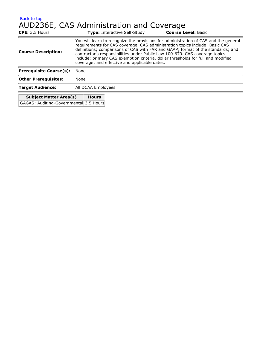[Back to top](#page-7-0) AUD236E, CAS Administration and Coverage

| <b>CPE:</b> 3.5 Hours          |                                                                                                                                                                                                                                                                                                                                                                                                                                                                            | <b>Type:</b> Interactive Self-Study | <b>Course Level: Basic</b> |
|--------------------------------|----------------------------------------------------------------------------------------------------------------------------------------------------------------------------------------------------------------------------------------------------------------------------------------------------------------------------------------------------------------------------------------------------------------------------------------------------------------------------|-------------------------------------|----------------------------|
| <b>Course Description:</b>     | You will learn to recognize the provisions for administration of CAS and the general<br>requirements for CAS coverage. CAS administration topics include: Basic CAS<br>definitions; comparisons of CAS with FAR and GAAP; format of the standards; and<br>contractor's responsibilities under Public Law 100-679. CAS coverage topics<br>include: primary CAS exemption criteria, dollar thresholds for full and modified<br>coverage; and effective and applicable dates. |                                     |                            |
| <b>Prerequisite Course(s):</b> | None                                                                                                                                                                                                                                                                                                                                                                                                                                                                       |                                     |                            |
| <b>Other Prerequisites:</b>    | None                                                                                                                                                                                                                                                                                                                                                                                                                                                                       |                                     |                            |
| <b>Target Audience:</b>        | All DCAA Employees                                                                                                                                                                                                                                                                                                                                                                                                                                                         |                                     |                            |
| <b>Subject Matter Area(s)</b>  | <b>Hours</b>                                                                                                                                                                                                                                                                                                                                                                                                                                                               |                                     |                            |

GAGAS: Auditing-Governmental 3.5 Hours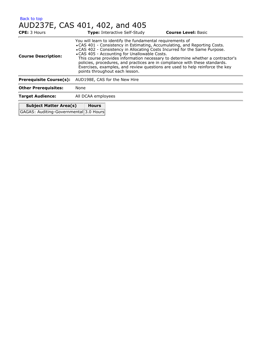#### [Back to top](#page-7-0) AUD237E, CAS 401, 402, and 405

| <b>CPE:</b> 3 Hours                    |                                                                                                                                                                                                                                                                                                                                                                                                                                                                                                                                                           | <b>Type: Interactive Self-Study</b> | <b>Course Level: Basic</b> |
|----------------------------------------|-----------------------------------------------------------------------------------------------------------------------------------------------------------------------------------------------------------------------------------------------------------------------------------------------------------------------------------------------------------------------------------------------------------------------------------------------------------------------------------------------------------------------------------------------------------|-------------------------------------|----------------------------|
| <b>Course Description:</b>             | You will learn to identify the fundamental requirements of<br>• CAS 401 - Consistency in Estimating, Accumulating, and Reporting Costs.<br>• CAS 402 - Consistency in Allocating Costs Incurred for the Same Purpose.<br>• CAS 405 - Accounting for Unallowable Costs.<br>This course provides information necessary to determine whether a contractor's<br>policies, procedures, and practices are in compliance with these standards.<br>Exercises, examples, and review questions are used to help reinforce the key<br>points throughout each lesson. |                                     |                            |
| <b>Prerequisite Course(s):</b>         | AUD198E, CAS for the New Hire                                                                                                                                                                                                                                                                                                                                                                                                                                                                                                                             |                                     |                            |
| <b>Other Prerequisites:</b>            | None                                                                                                                                                                                                                                                                                                                                                                                                                                                                                                                                                      |                                     |                            |
| <b>Target Audience:</b>                | All DCAA employees                                                                                                                                                                                                                                                                                                                                                                                                                                                                                                                                        |                                     |                            |
| <b>Subject Matter Area(s)</b>          | <b>Hours</b>                                                                                                                                                                                                                                                                                                                                                                                                                                                                                                                                              |                                     |                            |
| GAGAS: Auditing-Governmental 3.0 Hours |                                                                                                                                                                                                                                                                                                                                                                                                                                                                                                                                                           |                                     |                            |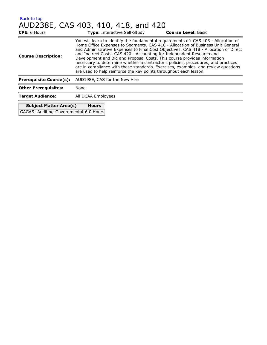| Back to top                         |  |  |  |
|-------------------------------------|--|--|--|
| AUD238E, CAS 403, 410, 418, and 420 |  |  |  |

| <b>CPE:</b> 6 Hours                                                     | <b>Type: Interactive Self-Study</b>                                                                                                                                                                                                                                                                                                                                                                                                                                                                                                                                                                                                                                | <b>Course Level: Basic</b> |  |
|-------------------------------------------------------------------------|--------------------------------------------------------------------------------------------------------------------------------------------------------------------------------------------------------------------------------------------------------------------------------------------------------------------------------------------------------------------------------------------------------------------------------------------------------------------------------------------------------------------------------------------------------------------------------------------------------------------------------------------------------------------|----------------------------|--|
| <b>Course Description:</b>                                              | You will learn to identify the fundamental requirements of: CAS 403 - Allocation of<br>Home Office Expenses to Segments. CAS 410 - Allocation of Business Unit General<br>and Administrative Expenses to Final Cost Objectives. CAS 418 - Allocation of Direct<br>and Indirect Costs. CAS 420 - Accounting for Independent Research and<br>Development and Bid and Proposal Costs. This course provides information<br>necessary to determine whether a contractor's policies, procedures, and practices<br>are in compliance with these standards. Exercises, examples, and review questions<br>are used to help reinforce the key points throughout each lesson. |                            |  |
| <b>Prerequisite Course(s):</b>                                          | AUD198E, CAS for the New Hire                                                                                                                                                                                                                                                                                                                                                                                                                                                                                                                                                                                                                                      |                            |  |
| <b>Other Prerequisites:</b>                                             | None                                                                                                                                                                                                                                                                                                                                                                                                                                                                                                                                                                                                                                                               |                            |  |
| <b>Target Audience:</b>                                                 | All DCAA Employees                                                                                                                                                                                                                                                                                                                                                                                                                                                                                                                                                                                                                                                 |                            |  |
| <b>Subject Matter Area(s)</b><br>GAGAS: Auditing-Governmental 6.0 Hours | <b>Hours</b>                                                                                                                                                                                                                                                                                                                                                                                                                                                                                                                                                                                                                                                       |                            |  |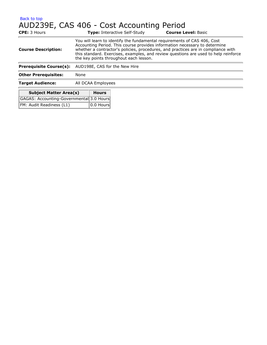## AUD239E, CAS 406 - Cost Accounting Period

| <b>CPE:</b> 3 Hours            | <b>Type:</b> Interactive Self-Study                                                                                                                                                                                                                                                                                                                                          | <b>Course Level: Basic</b> |  |
|--------------------------------|------------------------------------------------------------------------------------------------------------------------------------------------------------------------------------------------------------------------------------------------------------------------------------------------------------------------------------------------------------------------------|----------------------------|--|
| <b>Course Description:</b>     | You will learn to identify the fundamental requirements of CAS 406, Cost<br>Accounting Period. This course provides information necessary to determine<br>whether a contractor's policies, procedures, and practices are in compliance with<br>this standard. Exercises, examples, and review questions are used to help reinforce<br>the key points throughout each lesson. |                            |  |
| <b>Prerequisite Course(s):</b> | AUD198E, CAS for the New Hire                                                                                                                                                                                                                                                                                                                                                |                            |  |
| <b>Other Prerequisites:</b>    | None                                                                                                                                                                                                                                                                                                                                                                         |                            |  |
| <b>Target Audience:</b>        | All DCAA Employees                                                                                                                                                                                                                                                                                                                                                           |                            |  |
| Subject Matter Area(c)         | Houre                                                                                                                                                                                                                                                                                                                                                                        |                            |  |

| <b>Subject Matter Area(s)</b>            | Hours                     |
|------------------------------------------|---------------------------|
| GAGAS: Accounting-Governmental 3.0 Hours |                           |
| FM: Audit Readiness (L1)                 | $\vert$ 0.0 Hours $\vert$ |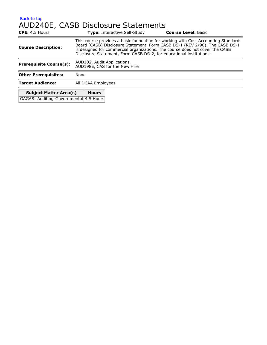### [Back to top](#page-7-0) AUD240E, CASB Disclosure Statements

| CPE: 4.5 Hours                         |                                                                                                                                                                                                                                                                                                                          | <b>Type: Interactive Self-Study</b> | <b>Course Level: Basic</b> |
|----------------------------------------|--------------------------------------------------------------------------------------------------------------------------------------------------------------------------------------------------------------------------------------------------------------------------------------------------------------------------|-------------------------------------|----------------------------|
| <b>Course Description:</b>             | This course provides a basic foundation for working with Cost Accounting Standards<br>Board (CASB) Disclosure Statement, Form CASB DS-1 (REV 2/96). The CASB DS-1<br>is designed for commercial organizations. The course does not cover the CASB<br>Disclosure Statement, Form CASB DS-2, for educational institutions. |                                     |                            |
| <b>Prerequisite Course(s):</b>         | AUD102, Audit Applications<br>AUD198E, CAS for the New Hire                                                                                                                                                                                                                                                              |                                     |                            |
| <b>Other Prerequisites:</b>            | None                                                                                                                                                                                                                                                                                                                     |                                     |                            |
| <b>Target Audience:</b>                | All DCAA Employees                                                                                                                                                                                                                                                                                                       |                                     |                            |
| <b>Subject Matter Area(s)</b>          | <b>Hours</b>                                                                                                                                                                                                                                                                                                             |                                     |                            |
| GAGAS: Auditing-Governmental 4.5 Hours |                                                                                                                                                                                                                                                                                                                          |                                     |                            |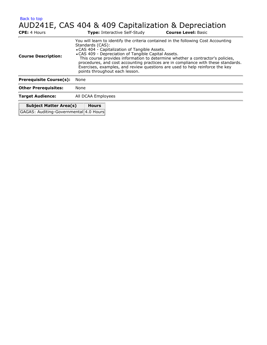# AUD241E, CAS 404 & 409 Capitalization & Depreciation

| <b>CPE:</b> 4 Hours                                                     | <b>Type: Interactive Self-Study</b>                                                                                                                                                                                                                                                                                                                                                                                                                                                                       | <b>Course Level: Basic</b> |  |
|-------------------------------------------------------------------------|-----------------------------------------------------------------------------------------------------------------------------------------------------------------------------------------------------------------------------------------------------------------------------------------------------------------------------------------------------------------------------------------------------------------------------------------------------------------------------------------------------------|----------------------------|--|
| <b>Course Description:</b>                                              | You will learn to identify the criteria contained in the following Cost Accounting<br>Standards (CAS):<br>• CAS 404 - Capitalization of Tangible Assets.<br>• CAS 409 - Depreciation of Tangible Capital Assets.<br>This course provides information to determine whether a contractor's policies,<br>procedures, and cost accounting practices are in compliance with these standards.<br>Exercises, examples, and review questions are used to help reinforce the key<br>points throughout each lesson. |                            |  |
| <b>Prerequisite Course(s):</b>                                          | None                                                                                                                                                                                                                                                                                                                                                                                                                                                                                                      |                            |  |
| <b>Other Prerequisites:</b>                                             | None                                                                                                                                                                                                                                                                                                                                                                                                                                                                                                      |                            |  |
| <b>Target Audience:</b>                                                 | All DCAA Employees                                                                                                                                                                                                                                                                                                                                                                                                                                                                                        |                            |  |
| <b>Subject Matter Area(s)</b><br>GAGAS: Auditing-Governmental 4.0 Hours | <b>Hours</b>                                                                                                                                                                                                                                                                                                                                                                                                                                                                                              |                            |  |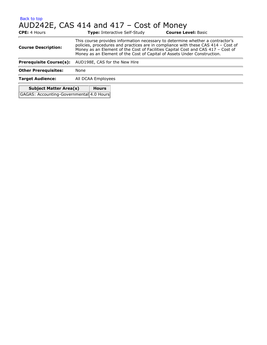## [Back to top](#page-7-0) AUD242E, CAS 414 and 417 – Cost of Money

| <b>CPE:</b> 4 Hours                      | <b>Type: Interactive Self-Study</b>                                                                                                                                                                                                                                                                                                 |  | <b>Course Level: Basic</b> |
|------------------------------------------|-------------------------------------------------------------------------------------------------------------------------------------------------------------------------------------------------------------------------------------------------------------------------------------------------------------------------------------|--|----------------------------|
| <b>Course Description:</b>               | This course provides information necessary to determine whether a contractor's<br>policies, procedures and practices are in compliance with these CAS 414 - Cost of<br>Money as an Element of the Cost of Facilities Capital Cost and CAS 417 - Cost of<br>Money as an Element of the Cost of Capital of Assets Under Construction. |  |                            |
| <b>Prerequisite Course(s):</b>           | AUD198E, CAS for the New Hire                                                                                                                                                                                                                                                                                                       |  |                            |
| <b>Other Prerequisites:</b>              | None                                                                                                                                                                                                                                                                                                                                |  |                            |
| <b>Target Audience:</b>                  | All DCAA Employees                                                                                                                                                                                                                                                                                                                  |  |                            |
| <b>Subject Matter Area(s)</b>            | <b>Hours</b>                                                                                                                                                                                                                                                                                                                        |  |                            |
| GAGAS: Accounting-Governmental 4.0 Hours |                                                                                                                                                                                                                                                                                                                                     |  |                            |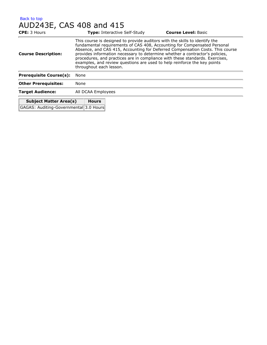## AUD243E, CAS 408 and 415

| <b>CPE: 3 Hours</b>            | <b>Type: Interactive Self-Study</b>                                                                                                                                                                                                                                                                                                                                                                                                                                                                             | <b>Course Level: Basic</b> |
|--------------------------------|-----------------------------------------------------------------------------------------------------------------------------------------------------------------------------------------------------------------------------------------------------------------------------------------------------------------------------------------------------------------------------------------------------------------------------------------------------------------------------------------------------------------|----------------------------|
| <b>Course Description:</b>     | This course is designed to provide auditors with the skills to identify the<br>fundamental requirements of CAS 408, Accounting for Compensated Personal<br>Absence, and CAS 415, Accounting for Deferred Compensation Costs. This course<br>provides information necessary to determine whether a contractor's policies,<br>procedures, and practices are in compliance with these standards. Exercises,<br>examples, and review questions are used to help reinforce the key points<br>throughout each lesson. |                            |
| <b>Prerequisite Course(s):</b> | None                                                                                                                                                                                                                                                                                                                                                                                                                                                                                                            |                            |
| <b>Other Prerequisites:</b>    | None                                                                                                                                                                                                                                                                                                                                                                                                                                                                                                            |                            |
| <b>Target Audience:</b>        | All DCAA Employees                                                                                                                                                                                                                                                                                                                                                                                                                                                                                              |                            |
|                                |                                                                                                                                                                                                                                                                                                                                                                                                                                                                                                                 |                            |

| <b>Subject Matter Area(s)</b>          | <b>Hours</b> |  |
|----------------------------------------|--------------|--|
| GAGAS: Auditing-Governmental 3.0 Hours |              |  |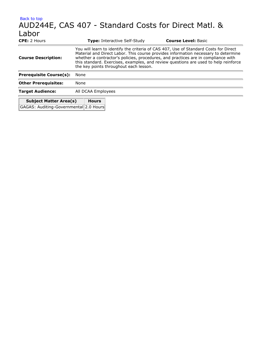### [Back to top](#page-7-0) AUD244E, CAS 407 - Standard Costs for Direct Matl. & Labor **CPE:** 2 Hours **Type:** Interactive Self-Study **Course Level:** Basic You will learn to identify the criteria of CAS 407, Use of Standard Costs for Direct

| <b>Target Audience:</b>        | All DCAA Employees                                                                                                                                                                                                                                                                                                                                                                                                             |
|--------------------------------|--------------------------------------------------------------------------------------------------------------------------------------------------------------------------------------------------------------------------------------------------------------------------------------------------------------------------------------------------------------------------------------------------------------------------------|
| <b>Other Prerequisites:</b>    | None                                                                                                                                                                                                                                                                                                                                                                                                                           |
| <b>Prerequisite Course(s):</b> | None                                                                                                                                                                                                                                                                                                                                                                                                                           |
| <b>Course Description:</b>     | $100$ mill reditting to redition and the children of $0.1$ to $100$ , $0.9$ or or ordinately cooled to the birder.<br>Material and Direct Labor. This course provides information necessary to determine<br>whether a contractor's policies, procedures, and practices are in compliance with<br>this standard. Exercises, examples, and review questions are used to help reinforce<br>the key points throughout each lesson. |

| <b>Subject Matter Area(s)</b>          | <b>Hours</b> |
|----------------------------------------|--------------|
| GAGAS: Auditing-Governmental 2.0 Hours |              |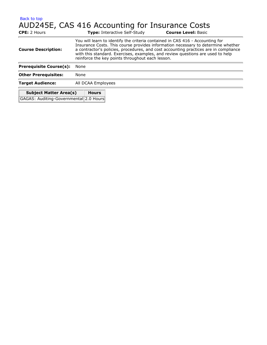### [Back to top](#page-7-0) AUD245E, CAS 416 Accounting for Insurance Costs

| CPE: 2 Hours                                                            | <b>Type: Interactive Self-Study</b>                                                                                                                                                                                                                                                                                                                                                             | <b>Course Level: Basic</b> |  |
|-------------------------------------------------------------------------|-------------------------------------------------------------------------------------------------------------------------------------------------------------------------------------------------------------------------------------------------------------------------------------------------------------------------------------------------------------------------------------------------|----------------------------|--|
| <b>Course Description:</b>                                              | You will learn to identify the criteria contained in CAS 416 - Accounting for<br>Insurance Costs. This course provides information necessary to determine whether<br>a contractor's policies, procedures, and cost accounting practices are in compliance<br>with this standard. Exercises, examples, and review questions are used to help<br>reinforce the key points throughout each lesson. |                            |  |
| <b>Prerequisite Course(s):</b>                                          | None                                                                                                                                                                                                                                                                                                                                                                                            |                            |  |
| <b>Other Prerequisites:</b>                                             | None                                                                                                                                                                                                                                                                                                                                                                                            |                            |  |
| <b>Target Audience:</b>                                                 | All DCAA Employees                                                                                                                                                                                                                                                                                                                                                                              |                            |  |
| <b>Subject Matter Area(s)</b><br>GAGAS: Auditing-Governmental 2.0 Hours | <b>Hours</b>                                                                                                                                                                                                                                                                                                                                                                                    |                            |  |
|                                                                         |                                                                                                                                                                                                                                                                                                                                                                                                 |                            |  |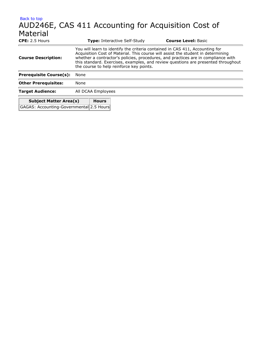### [Back to top](#page-7-0) AUD246E, CAS 411 Accounting for Acquisition Cost of Material **CPE:** 2.5 Hours **Type:** Interactive Self-Study **Course Level:** Basic

**Subject Matter Area(s) Hours** GAGAS: Accounting-Governmental 2.5 Hours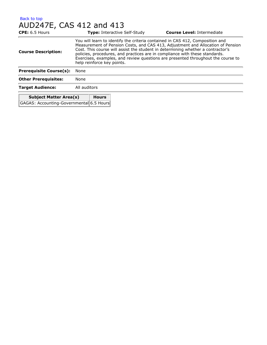#### [Back to top](#page-7-0) AUD247E, CAS 412 and 413

| $CPE: 6.5$ Hours                         |              |                                                                                                                                                                                                                                                                                                                                                                                                                                                      | <b>Type:</b> Interactive Self-Study | <b>Course Level: Intermediate</b> |  |
|------------------------------------------|--------------|------------------------------------------------------------------------------------------------------------------------------------------------------------------------------------------------------------------------------------------------------------------------------------------------------------------------------------------------------------------------------------------------------------------------------------------------------|-------------------------------------|-----------------------------------|--|
| <b>Course Description:</b>               |              | You will learn to identify the criteria contained in CAS 412, Composition and<br>Measurement of Pension Costs, and CAS 413, Adjustment and Allocation of Pension<br>Cost. This course will assist the student in determining whether a contractor's<br>policies, procedures, and practices are in compliance with these standards.<br>Exercises, examples, and review questions are presented throughout the course to<br>help reinforce key points. |                                     |                                   |  |
| <b>Prerequisite Course(s):</b>           | None         |                                                                                                                                                                                                                                                                                                                                                                                                                                                      |                                     |                                   |  |
| <b>Other Prerequisites:</b>              | None         |                                                                                                                                                                                                                                                                                                                                                                                                                                                      |                                     |                                   |  |
| <b>Target Audience:</b>                  | All auditors |                                                                                                                                                                                                                                                                                                                                                                                                                                                      |                                     |                                   |  |
| <b>Subject Matter Area(s)</b>            |              | <b>Hours</b>                                                                                                                                                                                                                                                                                                                                                                                                                                         |                                     |                                   |  |
| GAGAS: Accounting-Governmental 6.5 Hours |              |                                                                                                                                                                                                                                                                                                                                                                                                                                                      |                                     |                                   |  |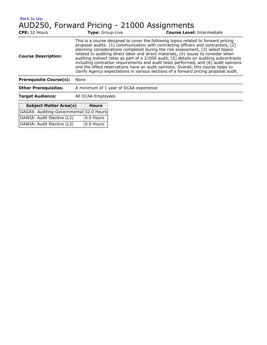# AUD250, Forward Pricing - 21000 Assignments

| <b>CPE:</b> 32 Hours                    |      | <b>Type:</b> Group-Live |                                        | <b>Course Level: Intermediate</b>                                                                                                                                                                                                                                                                                                                                                                                                                                                                                                                                                                                                                                                                              |  |
|-----------------------------------------|------|-------------------------|----------------------------------------|----------------------------------------------------------------------------------------------------------------------------------------------------------------------------------------------------------------------------------------------------------------------------------------------------------------------------------------------------------------------------------------------------------------------------------------------------------------------------------------------------------------------------------------------------------------------------------------------------------------------------------------------------------------------------------------------------------------|--|
| <b>Course Description:</b>              |      |                         |                                        | This is a course designed to cover the following topics related to forward pricing<br>proposal audits: (1) communication with contracting officers and contractors, (2)<br>planning considerations completed during the risk assessment, (3) select topics<br>related to auditing direct labor and direct materials, (4) issues to consider when<br>auditing indirect rates as part of a 21000 audit, (5) details on auditing subcontracts<br>including contractor requirements and audit tests performed, and (6) audit opinions<br>and the effect reservations have on audit opinions. Overall, this course helps to<br>clarify Agency expectations in various sections of a forward pricing proposal audit. |  |
| <b>Prerequisite Course(s):</b>          | None |                         |                                        |                                                                                                                                                                                                                                                                                                                                                                                                                                                                                                                                                                                                                                                                                                                |  |
| <b>Other Prerequisites:</b>             |      |                         | A minimum of 1 year of DCAA experience |                                                                                                                                                                                                                                                                                                                                                                                                                                                                                                                                                                                                                                                                                                                |  |
| <b>Target Audience:</b>                 |      | All DCAA Employees      |                                        |                                                                                                                                                                                                                                                                                                                                                                                                                                                                                                                                                                                                                                                                                                                |  |
| <b>Subject Matter Area(s)</b>           |      | <b>Hours</b>            |                                        |                                                                                                                                                                                                                                                                                                                                                                                                                                                                                                                                                                                                                                                                                                                |  |
| GAGAS: Auditing-Governmental 32.0 Hours |      |                         |                                        |                                                                                                                                                                                                                                                                                                                                                                                                                                                                                                                                                                                                                                                                                                                |  |
| DAWIA: Audit Elective (L2)              |      | 0.0 Hours               |                                        |                                                                                                                                                                                                                                                                                                                                                                                                                                                                                                                                                                                                                                                                                                                |  |
| DAWIA: Audit Elective (L3)              |      | 0.0 Hours               |                                        |                                                                                                                                                                                                                                                                                                                                                                                                                                                                                                                                                                                                                                                                                                                |  |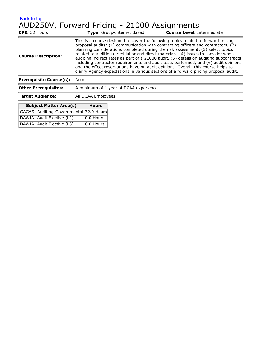# AUD250V, Forward Pricing - 21000 Assignments

| <b>CPE:</b> 32 Hours                    |      |                    | <b>Type:</b> Group-Internet Based      | <b>Course Level: Intermediate</b>                                                                                                                                                                                                                                                                                                                                                                                                                                                                                                                                                                                                                                                                              |
|-----------------------------------------|------|--------------------|----------------------------------------|----------------------------------------------------------------------------------------------------------------------------------------------------------------------------------------------------------------------------------------------------------------------------------------------------------------------------------------------------------------------------------------------------------------------------------------------------------------------------------------------------------------------------------------------------------------------------------------------------------------------------------------------------------------------------------------------------------------|
| <b>Course Description:</b>              |      |                    |                                        | This is a course designed to cover the following topics related to forward pricing<br>proposal audits: (1) communication with contracting officers and contractors, (2)<br>planning considerations completed during the risk assessment, (3) select topics<br>related to auditing direct labor and direct materials, (4) issues to consider when<br>auditing indirect rates as part of a 21000 audit, (5) details on auditing subcontracts<br>including contractor requirements and audit tests performed, and (6) audit opinions<br>and the effect reservations have on audit opinions. Overall, this course helps to<br>clarify Agency expectations in various sections of a forward pricing proposal audit. |
| <b>Prerequisite Course(s):</b>          | None |                    |                                        |                                                                                                                                                                                                                                                                                                                                                                                                                                                                                                                                                                                                                                                                                                                |
| <b>Other Prerequisites:</b>             |      |                    | A minimum of 1 year of DCAA experience |                                                                                                                                                                                                                                                                                                                                                                                                                                                                                                                                                                                                                                                                                                                |
| <b>Target Audience:</b>                 |      | All DCAA Employees |                                        |                                                                                                                                                                                                                                                                                                                                                                                                                                                                                                                                                                                                                                                                                                                |
| <b>Subject Matter Area(s)</b>           |      | <b>Hours</b>       |                                        |                                                                                                                                                                                                                                                                                                                                                                                                                                                                                                                                                                                                                                                                                                                |
| GAGAS: Auditing-Governmental 32.0 Hours |      |                    |                                        |                                                                                                                                                                                                                                                                                                                                                                                                                                                                                                                                                                                                                                                                                                                |
| DAWIA: Audit Elective (L2)              |      | 0.0 Hours          |                                        |                                                                                                                                                                                                                                                                                                                                                                                                                                                                                                                                                                                                                                                                                                                |
| DAWIA: Audit Elective (L3)              |      | 0.0 Hours          |                                        |                                                                                                                                                                                                                                                                                                                                                                                                                                                                                                                                                                                                                                                                                                                |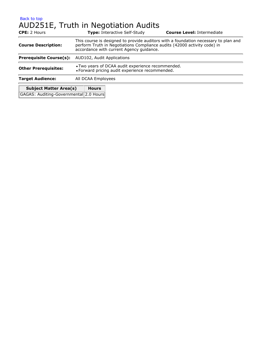### [Back to top](#page-7-0) AUD251E, Truth in Negotiation Audits

| <b>CPE:</b> 2 Hours                    |                            | <b>Type:</b> Interactive Self-Study                                                                                                                                                                         | <b>Course Level: Intermediate</b> |  |  |
|----------------------------------------|----------------------------|-------------------------------------------------------------------------------------------------------------------------------------------------------------------------------------------------------------|-----------------------------------|--|--|
| <b>Course Description:</b>             |                            | This course is designed to provide auditors with a foundation necessary to plan and<br>perform Truth in Negotiations Compliance audits (42000 activity code) in<br>accordance with current Agency guidance. |                                   |  |  |
| <b>Prerequisite Course(s):</b>         | AUD102, Audit Applications |                                                                                                                                                                                                             |                                   |  |  |
| <b>Other Prerequisites:</b>            |                            | • Two years of DCAA audit experience recommended.<br>• Forward pricing audit experience recommended.                                                                                                        |                                   |  |  |
| <b>Target Audience:</b>                | All DCAA Employees         |                                                                                                                                                                                                             |                                   |  |  |
| <b>Subject Matter Area(s)</b>          | <b>Hours</b>               |                                                                                                                                                                                                             |                                   |  |  |
| GAGAS: Auditing-Governmental 2.0 Hours |                            |                                                                                                                                                                                                             |                                   |  |  |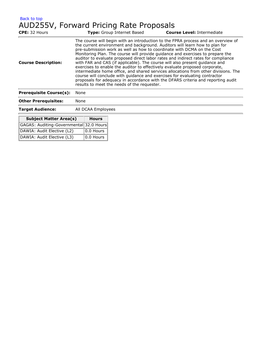| Back to top                             |  |  |  |
|-----------------------------------------|--|--|--|
| AUD255V, Forward Pricing Rate Proposals |  |  |  |

DAWIA: Audit Elective (L3) 0.0 Hours

| CPE: 32 Hours                           |                                                                                                                                                                                                                                                                                                                                                                                                                                                                                                                                                                                                                                                                                                                                                                                                                                                                                         |                    | <b>Type:</b> Group Internet Based | <b>Course Level: Intermediate</b> |
|-----------------------------------------|-----------------------------------------------------------------------------------------------------------------------------------------------------------------------------------------------------------------------------------------------------------------------------------------------------------------------------------------------------------------------------------------------------------------------------------------------------------------------------------------------------------------------------------------------------------------------------------------------------------------------------------------------------------------------------------------------------------------------------------------------------------------------------------------------------------------------------------------------------------------------------------------|--------------------|-----------------------------------|-----------------------------------|
| <b>Course Description:</b>              | The course will begin with an introduction to the FPRA process and an overview of<br>the current environment and background. Auditors will learn how to plan for<br>pre-submission work as well as how to coordinate with DCMA on the Cost<br>Monitoring Plan. The course will provide guidance and exercises to prepare the<br>auditor to evaluate proposed direct labor rates and indirect rates for compliance<br>with FAR and CAS (if applicable). The course will also present quidance and<br>exercises to enable the auditor to effectively evaluate proposed corporate,<br>intermediate home office, and shared services allocations from other divisions. The<br>course will conclude with guidance and exercises for evaluating contractor<br>proposals for adequacy in accordance with the DFARS criteria and reporting audit<br>results to meet the needs of the requester. |                    |                                   |                                   |
| <b>Prerequisite Course(s):</b>          | None                                                                                                                                                                                                                                                                                                                                                                                                                                                                                                                                                                                                                                                                                                                                                                                                                                                                                    |                    |                                   |                                   |
| <b>Other Prerequisites:</b>             | None                                                                                                                                                                                                                                                                                                                                                                                                                                                                                                                                                                                                                                                                                                                                                                                                                                                                                    |                    |                                   |                                   |
| <b>Target Audience:</b>                 |                                                                                                                                                                                                                                                                                                                                                                                                                                                                                                                                                                                                                                                                                                                                                                                                                                                                                         | All DCAA Employees |                                   |                                   |
| <b>Subject Matter Area(s)</b>           |                                                                                                                                                                                                                                                                                                                                                                                                                                                                                                                                                                                                                                                                                                                                                                                                                                                                                         | <b>Hours</b>       |                                   |                                   |
| GAGAS: Auditing-Governmental 32.0 Hours |                                                                                                                                                                                                                                                                                                                                                                                                                                                                                                                                                                                                                                                                                                                                                                                                                                                                                         |                    |                                   |                                   |
| DAWIA: Audit Elective (L2)              |                                                                                                                                                                                                                                                                                                                                                                                                                                                                                                                                                                                                                                                                                                                                                                                                                                                                                         | 0.0 Hours          |                                   |                                   |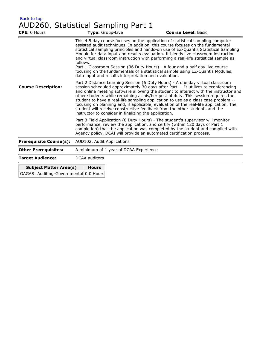| Back to top |                                     |  |
|-------------|-------------------------------------|--|
|             | AUD260, Statistical Sampling Part 1 |  |

| CPE: 0 Hours                           | Type: Group-Live                                                                                                                                                                                                                                                                                                                                                                                                                                                                                                                                                                                                                                                       | <b>Course Level: Basic</b>                                                                                                                                                                                                                                                                                                                                                                                                                                                                                                                                                                              |  |  |  |
|----------------------------------------|------------------------------------------------------------------------------------------------------------------------------------------------------------------------------------------------------------------------------------------------------------------------------------------------------------------------------------------------------------------------------------------------------------------------------------------------------------------------------------------------------------------------------------------------------------------------------------------------------------------------------------------------------------------------|---------------------------------------------------------------------------------------------------------------------------------------------------------------------------------------------------------------------------------------------------------------------------------------------------------------------------------------------------------------------------------------------------------------------------------------------------------------------------------------------------------------------------------------------------------------------------------------------------------|--|--|--|
|                                        | follows:<br>data input and results interpretation and evaluation.                                                                                                                                                                                                                                                                                                                                                                                                                                                                                                                                                                                                      | This 4.5 day course focuses on the application of statistical sampling computer<br>assisted audit techniques. In addition, this course focuses on the fundamental<br>statistical sampling principles and hands-on use of EZ-Quant's Statistical Sampling<br>Module for data input and results evaluation. It blends live classroom instruction<br>and virtual classroom instruction with performing a real-life statistical sample as<br>Part 1 Classroom Session (36 Duty Hours) - A four and a half day live course<br>focusing on the fundamentals of a statistical sample using EZ-Quant's Modules, |  |  |  |
| <b>Course Description:</b>             | Part 2 Distance Learning Session (6 Duty Hours) - A one day virtual classroom<br>session scheduled approximately 30 days after Part 1. It utilizes teleconferencing<br>and online meeting software allowing the student to interact with the instructor and<br>other students while remaining at his/her post of duty. This session requires the<br>student to have a real-life sampling application to use as a class case problem --<br>focusing on planning and, if applicable, evaluation of the real-life application. The<br>student will receive constructive feedback from the other students and the<br>instructor to consider in finalizing the application. |                                                                                                                                                                                                                                                                                                                                                                                                                                                                                                                                                                                                         |  |  |  |
|                                        |                                                                                                                                                                                                                                                                                                                                                                                                                                                                                                                                                                                                                                                                        | Part 3 Field Application (8 Duty Hours) - The student's supervisor will monitor<br>performance, review the application, and certify (within 120 days of Part 1<br>completion) that the application was completed by the student and complied with<br>Agency policy. DCAI will provide an automated certification process.                                                                                                                                                                                                                                                                               |  |  |  |
| <b>Prerequisite Course(s):</b>         | AUD102, Audit Applications                                                                                                                                                                                                                                                                                                                                                                                                                                                                                                                                                                                                                                             |                                                                                                                                                                                                                                                                                                                                                                                                                                                                                                                                                                                                         |  |  |  |
| <b>Other Prerequisites:</b>            | A minimum of 1 year of DCAA Experience                                                                                                                                                                                                                                                                                                                                                                                                                                                                                                                                                                                                                                 |                                                                                                                                                                                                                                                                                                                                                                                                                                                                                                                                                                                                         |  |  |  |
| <b>Target Audience:</b>                | <b>DCAA</b> auditors                                                                                                                                                                                                                                                                                                                                                                                                                                                                                                                                                                                                                                                   |                                                                                                                                                                                                                                                                                                                                                                                                                                                                                                                                                                                                         |  |  |  |
| <b>Subject Matter Area(s)</b>          | <b>Hours</b>                                                                                                                                                                                                                                                                                                                                                                                                                                                                                                                                                                                                                                                           |                                                                                                                                                                                                                                                                                                                                                                                                                                                                                                                                                                                                         |  |  |  |
| GAGAS: Auditing-Governmental 0.0 Hours |                                                                                                                                                                                                                                                                                                                                                                                                                                                                                                                                                                                                                                                                        |                                                                                                                                                                                                                                                                                                                                                                                                                                                                                                                                                                                                         |  |  |  |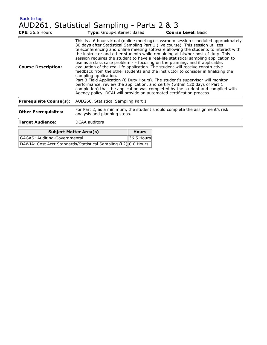### AUD261, Statistical Sampling - Parts 2 & 3

| <b>CPE: 36.5 Hours</b>         | Type: Group-Internet Based                                                                                                                                                                                                                                                                                                                                                                                                                                                                                                                                                                                                                                                                                                                                                                                                                                                                                                                                                                                                                          |              | <b>Course Level: Basic</b> |  |  |
|--------------------------------|-----------------------------------------------------------------------------------------------------------------------------------------------------------------------------------------------------------------------------------------------------------------------------------------------------------------------------------------------------------------------------------------------------------------------------------------------------------------------------------------------------------------------------------------------------------------------------------------------------------------------------------------------------------------------------------------------------------------------------------------------------------------------------------------------------------------------------------------------------------------------------------------------------------------------------------------------------------------------------------------------------------------------------------------------------|--------------|----------------------------|--|--|
| <b>Course Description:</b>     | This is a 6 hour virtual (online meeting) classroom session scheduled approximately<br>30 days after Statistical Sampling Part 1 (live course). This session utilizes<br>teleconferencing and online meeting software allowing the students to interact with<br>the instructor and other students while remaining at his/her post of duty. This<br>session requires the student to have a real-life statistical sampling application to<br>use as a class case problem - - focusing on the planning, and if applicable,<br>evaluation of the real-life application. The student will receive constructive<br>feedback from the other students and the instructor to consider in finalizing the<br>sampling application.<br>Part 3 Field Application (8 Duty Hours). The student's supervisor will monitor<br>performance, review the application, and certify (within 120 days of Part 1<br>completion) that the application was completed by the student and complied with<br>Agency policy. DCAI will provide an automated certification process. |              |                            |  |  |
| <b>Prerequisite Course(s):</b> | AUD260, Statistical Sampling Part 1                                                                                                                                                                                                                                                                                                                                                                                                                                                                                                                                                                                                                                                                                                                                                                                                                                                                                                                                                                                                                 |              |                            |  |  |
| <b>Other Prerequisites:</b>    | For Part 2, as a minimum, the student should complete the assignment's risk<br>analysis and planning steps.                                                                                                                                                                                                                                                                                                                                                                                                                                                                                                                                                                                                                                                                                                                                                                                                                                                                                                                                         |              |                            |  |  |
| <b>Target Audience:</b>        | <b>DCAA</b> auditors                                                                                                                                                                                                                                                                                                                                                                                                                                                                                                                                                                                                                                                                                                                                                                                                                                                                                                                                                                                                                                |              |                            |  |  |
|                                | <b>Subject Matter Area(s)</b>                                                                                                                                                                                                                                                                                                                                                                                                                                                                                                                                                                                                                                                                                                                                                                                                                                                                                                                                                                                                                       | <b>Hours</b> |                            |  |  |
| GAGAS: Auditing-Governmental   |                                                                                                                                                                                                                                                                                                                                                                                                                                                                                                                                                                                                                                                                                                                                                                                                                                                                                                                                                                                                                                                     | 36.5 Hours   |                            |  |  |

| .<br>the contract of the contract of the contract of the contract of the contract of the contract of the contract of |  |
|----------------------------------------------------------------------------------------------------------------------|--|
| DAWIA: Cost Acct Standards/Statistical Sampling (L2) 0.0 Hours                                                       |  |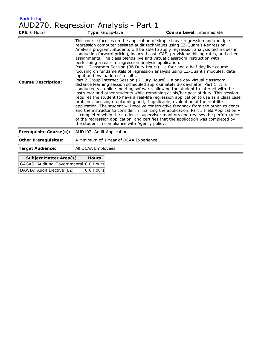| <b>Back to top</b> |                                      |  |
|--------------------|--------------------------------------|--|
|                    | AUD270, Regression Analysis - Part 1 |  |

| <b>CPE: 0 Hours</b>            | Type: Group-Live                                                                                                                             | <b>Course Level: Intermediate</b>                                                                                                                                                                                                                                                                                                                                                                                                                                                                                                                                                                                                                                                                                                                                                                                                                                                                                                                                                                                                                                                                                                                                                                                                                                                                                                                                                                                                                                          |
|--------------------------------|----------------------------------------------------------------------------------------------------------------------------------------------|----------------------------------------------------------------------------------------------------------------------------------------------------------------------------------------------------------------------------------------------------------------------------------------------------------------------------------------------------------------------------------------------------------------------------------------------------------------------------------------------------------------------------------------------------------------------------------------------------------------------------------------------------------------------------------------------------------------------------------------------------------------------------------------------------------------------------------------------------------------------------------------------------------------------------------------------------------------------------------------------------------------------------------------------------------------------------------------------------------------------------------------------------------------------------------------------------------------------------------------------------------------------------------------------------------------------------------------------------------------------------------------------------------------------------------------------------------------------------|
| <b>Course Description:</b>     | performing a real-life regression analysis application.<br>input and evaluation of results.<br>the student in compliance with Agency policy. | This course focuses on the application of simple linear regression and multiple<br>regression computer assisted audit techniques using EZ-Quant's Regression<br>Analysis program. Students will be able to apply regression analysis techniques in<br>conducting forward pricing, incurred cost, CAS, provisional billing rates, and other<br>assignments. The class blends live and virtual classroom instruction with<br>Part 1 Classroom Session (36 Duty Hours) - a four and a half day live course<br>focusing on fundamentals of regression analysis using EZ-Quant's modules, data<br>Part 2 Group Internet Session (6 Duty Hours) - a one day virtual classroom<br>distance learning session scheduled approximately 30 days after Part 1. It is<br>conducted via online meeting software, allowing the student to interact with the<br>instructor and other students while remaining at his/her post of duty. This session<br>requires the student to have a real-life regression application to use as a class case<br>problem, focusing on planning and, if applicable, evaluation of the real-life<br>application. The student will receive constructive feedback from the other students<br>and the instructor to consider in finalizing the application. Part 3 Field Application -<br>is completed when the student's supervisor monitors and reviews the performance<br>of the regression application, and certifies that the application was completed by |
| <b>Prerequisite Course(s):</b> | AUD102, Audit Applications                                                                                                                   |                                                                                                                                                                                                                                                                                                                                                                                                                                                                                                                                                                                                                                                                                                                                                                                                                                                                                                                                                                                                                                                                                                                                                                                                                                                                                                                                                                                                                                                                            |
| <b>Other Prerequisites:</b>    | A Minimum of 1 Year of DCAA Experience                                                                                                       |                                                                                                                                                                                                                                                                                                                                                                                                                                                                                                                                                                                                                                                                                                                                                                                                                                                                                                                                                                                                                                                                                                                                                                                                                                                                                                                                                                                                                                                                            |
| <b>Target Audience:</b>        | All DCAA Employees                                                                                                                           |                                                                                                                                                                                                                                                                                                                                                                                                                                                                                                                                                                                                                                                                                                                                                                                                                                                                                                                                                                                                                                                                                                                                                                                                                                                                                                                                                                                                                                                                            |
|                                |                                                                                                                                              |                                                                                                                                                                                                                                                                                                                                                                                                                                                                                                                                                                                                                                                                                                                                                                                                                                                                                                                                                                                                                                                                                                                                                                                                                                                                                                                                                                                                                                                                            |

| <b>Subject Matter Area(s)</b>          | <b>Hours</b>              |
|----------------------------------------|---------------------------|
| GAGAS: Auditing-Governmental 0.0 Hours |                           |
| DAWIA: Audit Elective (L2)             | $\vert$ 0.0 Hours $\vert$ |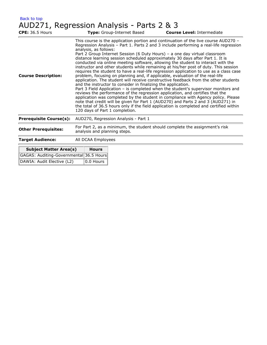| <b>Back to top</b> |                                                      |
|--------------------|------------------------------------------------------|
|                    | AUD <sub>771</sub> Regression Analysis - Parts 2 & 3 |

|                                         | AUD271, Regression Analysis - Parts 2 & 3                                                                                                                                                                                                                                                                                                                                                                                                                                                                                                                                                                                                                                                                                                                                                                                                                                                                                                                                                                                                                                                                                                                                                                                                                                                                                                                       |  |  |
|-----------------------------------------|-----------------------------------------------------------------------------------------------------------------------------------------------------------------------------------------------------------------------------------------------------------------------------------------------------------------------------------------------------------------------------------------------------------------------------------------------------------------------------------------------------------------------------------------------------------------------------------------------------------------------------------------------------------------------------------------------------------------------------------------------------------------------------------------------------------------------------------------------------------------------------------------------------------------------------------------------------------------------------------------------------------------------------------------------------------------------------------------------------------------------------------------------------------------------------------------------------------------------------------------------------------------------------------------------------------------------------------------------------------------|--|--|
| <b>CPE: 36.5 Hours</b>                  | Type: Group-Internet Based<br><b>Course Level: Intermediate</b>                                                                                                                                                                                                                                                                                                                                                                                                                                                                                                                                                                                                                                                                                                                                                                                                                                                                                                                                                                                                                                                                                                                                                                                                                                                                                                 |  |  |
| <b>Course Description:</b>              | This course is the application portion and continuation of the live course AUD270 -<br>Regression Analysis - Part 1. Parts 2 and 3 include performing a real-life regression<br>analysis, as follows:<br>Part 2 Group Internet Session (6 Duty Hours) – a one day virtual classroom<br>distance learning session scheduled approximately 30 days after Part 1. It is<br>conducted via online meeting software, allowing the student to interact with the<br>instructor and other students while remaining at his/her post of duty. This session<br>requires the student to have a real-life regression application to use as a class case<br>problem, focusing on planning and, if applicable, evaluation of the real-life<br>application. The student will receive constructive feedback from the other students<br>and the instructor to consider in finalizing the application.<br>Part 3 Field Application - is completed when the student's supervisor monitors and<br>reviews the performance of the regression application, and certifies that the<br>application was completed by the student in compliance with Agency policy. Please<br>note that credit will be given for Part 1 (AUD270) and Parts 2 and 3 (AUD271) in<br>the total of 36.5 hours only if the field application is completed and certified within<br>120 days of Part 1 completion. |  |  |
| <b>Prerequisite Course(s):</b>          | AUD270, Regression Analysis - Part 1                                                                                                                                                                                                                                                                                                                                                                                                                                                                                                                                                                                                                                                                                                                                                                                                                                                                                                                                                                                                                                                                                                                                                                                                                                                                                                                            |  |  |
| <b>Other Prerequisites:</b>             | For Part 2, as a minimum, the student should complete the assignment's risk<br>analysis and planning steps.                                                                                                                                                                                                                                                                                                                                                                                                                                                                                                                                                                                                                                                                                                                                                                                                                                                                                                                                                                                                                                                                                                                                                                                                                                                     |  |  |
| <b>Target Audience:</b>                 | All DCAA Employees                                                                                                                                                                                                                                                                                                                                                                                                                                                                                                                                                                                                                                                                                                                                                                                                                                                                                                                                                                                                                                                                                                                                                                                                                                                                                                                                              |  |  |
| <b>Subject Matter Area(s)</b>           | <b>Hours</b>                                                                                                                                                                                                                                                                                                                                                                                                                                                                                                                                                                                                                                                                                                                                                                                                                                                                                                                                                                                                                                                                                                                                                                                                                                                                                                                                                    |  |  |
| GAGAS: Auditing-Governmental 36.5 Hours |                                                                                                                                                                                                                                                                                                                                                                                                                                                                                                                                                                                                                                                                                                                                                                                                                                                                                                                                                                                                                                                                                                                                                                                                                                                                                                                                                                 |  |  |

DAWIA: Audit Elective (L2) 0.0 Hours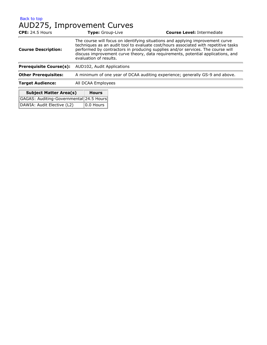#### [Back to top](#page-7-0) AUD275, Improvement Curves

| <b>CPE: 24.5 Hours</b>         | Type: Group-Live                                                                                                                                                                                                                                                                                                                                                       | <b>Course Level: Intermediate</b> |  |
|--------------------------------|------------------------------------------------------------------------------------------------------------------------------------------------------------------------------------------------------------------------------------------------------------------------------------------------------------------------------------------------------------------------|-----------------------------------|--|
| <b>Course Description:</b>     | The course will focus on identifying situations and applying improvement curve<br>techniques as an audit tool to evaluate cost/hours associated with repetitive tasks<br>performed by contractors in producing supplies and/or services. The course will<br>discuss improvement curve theory, data requirements, potential applications, and<br>evaluation of results. |                                   |  |
| <b>Prerequisite Course(s):</b> | AUD102, Audit Applications                                                                                                                                                                                                                                                                                                                                             |                                   |  |
| <b>Other Prerequisites:</b>    | A minimum of one year of DCAA auditing experience; generally GS-9 and above.                                                                                                                                                                                                                                                                                           |                                   |  |
| <b>Target Audience:</b>        | All DCAA Employees                                                                                                                                                                                                                                                                                                                                                     |                                   |  |
| <b>Subject Matter Area(s)</b>  | <b>Hours</b>                                                                                                                                                                                                                                                                                                                                                           |                                   |  |

| Subject Matter Area(s)                  | <b>Hours</b>                |
|-----------------------------------------|-----------------------------|
| GAGAS: Auditing-Governmental 24.5 Hours |                             |
| DAWIA: Audit Elective (L2)              | $\boxed{0.0 \text{ Hours}}$ |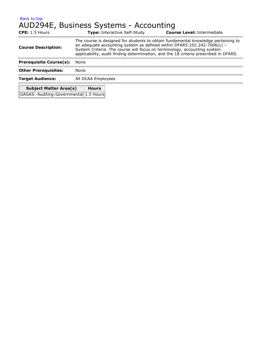#### [Back to top](#page-7-0) AUD294E, Business Systems - Accounting

| CPE: 1.5 Hours                         | <b>Type: Interactive Self-Study</b>                                                                                                                                                                                                                                                                                              | <b>Course Level: Intermediate</b> |  |
|----------------------------------------|----------------------------------------------------------------------------------------------------------------------------------------------------------------------------------------------------------------------------------------------------------------------------------------------------------------------------------|-----------------------------------|--|
| <b>Course Description:</b>             | The course is designed for students to obtain fundamental knowledge pertaining to<br>an adequate accounting system as defined within DFARS 252.242-7006(c) -<br>System Criteria. The course will focus on terminology, accounting system<br>applicability, audit finding determination, and the 18 criteria prescribed in DFARS. |                                   |  |
| <b>Prerequisite Course(s):</b>         | None                                                                                                                                                                                                                                                                                                                             |                                   |  |
| <b>Other Prerequisites:</b>            | None                                                                                                                                                                                                                                                                                                                             |                                   |  |
| <b>Target Audience:</b>                | All DCAA Employees                                                                                                                                                                                                                                                                                                               |                                   |  |
| <b>Subject Matter Area(s)</b>          | <b>Hours</b>                                                                                                                                                                                                                                                                                                                     |                                   |  |
| GAGAS: Auditing-Governmental 1.5 Hours |                                                                                                                                                                                                                                                                                                                                  |                                   |  |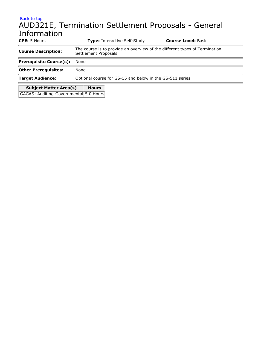# [Back to top](#page-7-0) AUD321E, Termination Settlement Proposals - General Information **CPE:** 5 Hours **Type:** Interactive Self-Study **Course Level:** Basic **Course Description:** The course is to provide an overview of the different types of Termination

| <b>Subject Matter Area(s)</b>  | <b>Hours</b>                                             |
|--------------------------------|----------------------------------------------------------|
| <b>Target Audience:</b>        | Optional course for GS-15 and below in the GS-511 series |
| <b>Other Prerequisites:</b>    | None                                                     |
| <b>Prerequisite Course(s):</b> | None                                                     |
| Course Description.            | Settlement Proposals.                                    |

GAGAS: Auditing-Governmental 5.0 Hours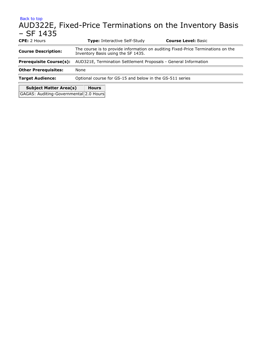### [Back to top](#page-7-0) AUD322E, Fixed-Price Terminations on the Inventory Basis – SF 1435 **CPE:** 2 Hours **Type:** Interactive Self-Study **Course Level:** Basic

| <b>Course Description:</b>     | The course is to provide information on auditing Fixed-Price Terminations on the<br>Inventory Basis using the SF 1435. |  |  |
|--------------------------------|------------------------------------------------------------------------------------------------------------------------|--|--|
| <b>Prerequisite Course(s):</b> | AUD321E, Termination Settlement Proposals - General Information                                                        |  |  |
| <b>Other Prerequisites:</b>    | None                                                                                                                   |  |  |
| <b>Target Audience:</b>        | Optional course for GS-15 and below in the GS-511 series                                                               |  |  |
| <b>Subject Matter Area(s)</b>  | <b>Hours</b>                                                                                                           |  |  |

GAGAS: Auditing-Governmental 2.0 Hours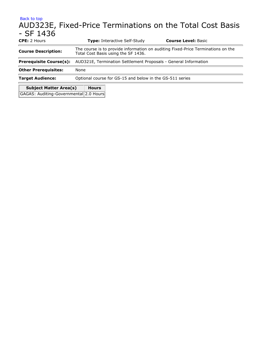### [Back to top](#page-7-0) AUD323E, Fixed-Price Terminations on the Total Cost Basis - SF 1436 **CPE:** 2 Hours **Type:** Interactive Self-Study **Course Level:** Basic **Course Description:** The course is to provide information on auditing Fixed-Price Terminations on the Course is to provide information on auditing Fixed-Price Terminations on the Total Cost Basis using the SF 1436. **Prerequisite Course(s):** AUD321E, Termination Settlement Proposals - General Information

**Other Prerequisites:** None

**Target Audience:** Optional course for GS-15 and below in the GS-511 series

| <b>Subject Matter Area(s)</b>          | <b>Hours</b> |  |
|----------------------------------------|--------------|--|
| GAGAS: Auditing-Governmental 2.0 Hours |              |  |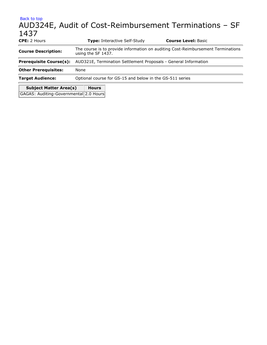## [Back to top](#page-7-0) AUD324E, Audit of Cost-Reimbursement Terminations – SF 1437 **CPE:** 2 Hours **Type:** Interactive Self-Study **Course Level:** Basic **Course Description:** The course is to provide information on auditing Cost-Reimbursement Terminations using the SF 1437. **Prerequisite Course(s):** AUD321E, Termination Settlement Proposals - General Information **Other Prerequisites:** None **Target Audience:** Optional course for GS-15 and below in the GS-511 series **Subject Matter Area(s) Hours**

GAGAS: Auditing-Governmental 2.0 Hours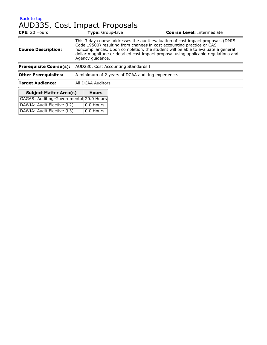### [Back to top](#page-7-0) AUD335, Cost Impact Proposals

| CPE: 20 Hours                  | Type: Group-Live                                                                                                                                                                                                                                                                                                                                      | <b>Course Level: Intermediate</b> |  |
|--------------------------------|-------------------------------------------------------------------------------------------------------------------------------------------------------------------------------------------------------------------------------------------------------------------------------------------------------------------------------------------------------|-----------------------------------|--|
| <b>Course Description:</b>     | This 3 day course addresses the audit evaluation of cost impact proposals (DMIS<br>Code 19500) resulting from changes in cost accounting practice or CAS<br>noncompliances. Upon completion, the student will be able to evaluate a general<br>dollar magnitude or detailed cost impact proposal using applicable regulations and<br>Agency guidance. |                                   |  |
| <b>Prerequisite Course(s):</b> | AUD230, Cost Accounting Standards I                                                                                                                                                                                                                                                                                                                   |                                   |  |
| <b>Other Prerequisites:</b>    | A minimum of 2 years of DCAA auditing experience.                                                                                                                                                                                                                                                                                                     |                                   |  |
| <b>Target Audience:</b>        | All DCAA Auditors                                                                                                                                                                                                                                                                                                                                     |                                   |  |
| <b>Subject Matter Area(s)</b>  | <b>Hours</b>                                                                                                                                                                                                                                                                                                                                          |                                   |  |

| Subject Matter Area(s)                  | <b>HOU</b> rs    |
|-----------------------------------------|------------------|
| GAGAS: Auditing-Governmental 20.0 Hours |                  |
| DAWIA: Audit Elective (L2)              | $ 0.0$ Hours $ $ |
| DAWIA: Audit Elective (L3)              | $ 0.0$ Hours $ $ |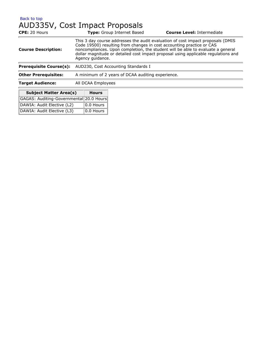### [Back to top](#page-7-0) AUD335V, Cost Impact Proposals

| <b>CPE: 20 Hours</b>           |                                                                                                                                                                                                                                                                                                                                                       | <b>Type:</b> Group Internet Based | <b>Course Level: Intermediate</b> |  |
|--------------------------------|-------------------------------------------------------------------------------------------------------------------------------------------------------------------------------------------------------------------------------------------------------------------------------------------------------------------------------------------------------|-----------------------------------|-----------------------------------|--|
| <b>Course Description:</b>     | This 3 day course addresses the audit evaluation of cost impact proposals (DMIS<br>Code 19500) resulting from changes in cost accounting practice or CAS<br>noncompliances. Upon completion, the student will be able to evaluate a general<br>dollar magnitude or detailed cost impact proposal using applicable regulations and<br>Agency guidance. |                                   |                                   |  |
| <b>Prerequisite Course(s):</b> | AUD230, Cost Accounting Standards I                                                                                                                                                                                                                                                                                                                   |                                   |                                   |  |
| <b>Other Prerequisites:</b>    | A minimum of 2 years of DCAA auditing experience.                                                                                                                                                                                                                                                                                                     |                                   |                                   |  |
| <b>Target Audience:</b>        | All DCAA Employees                                                                                                                                                                                                                                                                                                                                    |                                   |                                   |  |
| <b>Subject Matter Area(s)</b>  | <b>Hours</b>                                                                                                                                                                                                                                                                                                                                          |                                   |                                   |  |

| Subject Matter Area(s)                  | <b>HOU</b> rs    |
|-----------------------------------------|------------------|
| GAGAS: Auditing-Governmental 20.0 Hours |                  |
| DAWIA: Audit Elective (L2)              | $ 0.0$ Hours $ $ |
| DAWIA: Audit Elective (L3)              | $ 0.0$ Hours $ $ |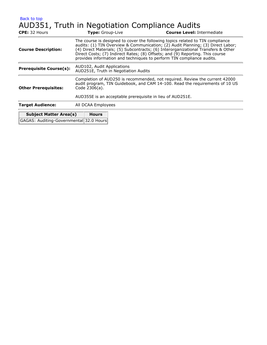### [Back to top](#page-7-0) AUD351, Truth in Negotiation Compliance Audits

| <b>CPE:</b> 32 Hours                    | Type: Group-Live                                                                                                                                                                                                                                                                                                                                                                                                 | <b>Course Level: Intermediate</b> |  |  |
|-----------------------------------------|------------------------------------------------------------------------------------------------------------------------------------------------------------------------------------------------------------------------------------------------------------------------------------------------------------------------------------------------------------------------------------------------------------------|-----------------------------------|--|--|
| <b>Course Description:</b>              | The course is designed to cover the following topics related to TIN compliance<br>audits: (1) TIN Overview & Communication; (2) Audit Planning; (3) Direct Labor;<br>(4) Direct Materials; (5) Subcontracts; (6) Interorganizational Transfers & Other<br>Direct Costs; (7) Indirect Rates; (8) Offsets; and (9) Reporting. This course<br>provides information and techniques to perform TIN compliance audits. |                                   |  |  |
| <b>Prerequisite Course(s):</b>          | AUD102, Audit Applications<br>AUD251E, Truth in Negotiation Audits                                                                                                                                                                                                                                                                                                                                               |                                   |  |  |
| <b>Other Prerequisites:</b>             | Completion of AUD250 is recommended, not required. Review the current 42000<br>audit program, TIN Guidebook, and CAM 14-100. Read the requirements of 10 US<br>Code 2306(a).                                                                                                                                                                                                                                     |                                   |  |  |
|                                         | AUD355E is an acceptable prerequisite in lieu of AUD251E.                                                                                                                                                                                                                                                                                                                                                        |                                   |  |  |
| <b>Target Audience:</b>                 | All DCAA Employees                                                                                                                                                                                                                                                                                                                                                                                               |                                   |  |  |
| <b>Subject Matter Area(s)</b>           | <b>Hours</b>                                                                                                                                                                                                                                                                                                                                                                                                     |                                   |  |  |
| GAGAS: Auditing-Governmental 32.0 Hours |                                                                                                                                                                                                                                                                                                                                                                                                                  |                                   |  |  |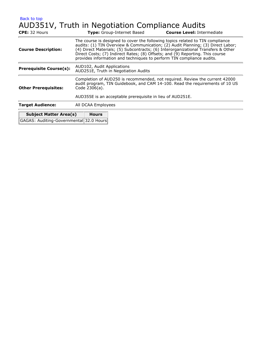# AUD351V, Truth in Negotiation Compliance Audits

| <b>CPE:</b> 32 Hours                    |                                                                                                                                                                                                                                                                                                                                                                                                                  | <b>Type:</b> Group-Internet Based | <b>Course Level: Intermediate</b> |  |
|-----------------------------------------|------------------------------------------------------------------------------------------------------------------------------------------------------------------------------------------------------------------------------------------------------------------------------------------------------------------------------------------------------------------------------------------------------------------|-----------------------------------|-----------------------------------|--|
| <b>Course Description:</b>              | The course is designed to cover the following topics related to TIN compliance<br>audits: (1) TIN Overview & Communication; (2) Audit Planning; (3) Direct Labor;<br>(4) Direct Materials; (5) Subcontracts; (6) Interorganizational Transfers & Other<br>Direct Costs; (7) Indirect Rates; (8) Offsets; and (9) Reporting. This course<br>provides information and techniques to perform TIN compliance audits. |                                   |                                   |  |
| <b>Prerequisite Course(s):</b>          | AUD102, Audit Applications<br>AUD251E, Truth in Negotiation Audits                                                                                                                                                                                                                                                                                                                                               |                                   |                                   |  |
| <b>Other Prerequisites:</b>             | Completion of AUD250 is recommended, not required. Review the current 42000<br>audit program, TIN Guidebook, and CAM 14-100. Read the requirements of 10 US<br>Code 2306(a).                                                                                                                                                                                                                                     |                                   |                                   |  |
|                                         | AUD355E is an acceptable prerequisite in lieu of AUD251E.                                                                                                                                                                                                                                                                                                                                                        |                                   |                                   |  |
| <b>Target Audience:</b>                 | All DCAA Employees                                                                                                                                                                                                                                                                                                                                                                                               |                                   |                                   |  |
| <b>Subject Matter Area(s)</b>           | <b>Hours</b>                                                                                                                                                                                                                                                                                                                                                                                                     |                                   |                                   |  |
| GAGAS: Auditing-Governmental 32.0 Hours |                                                                                                                                                                                                                                                                                                                                                                                                                  |                                   |                                   |  |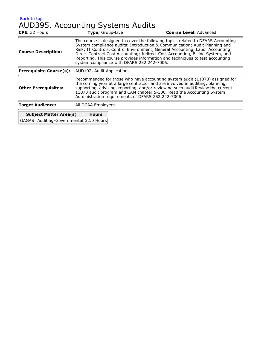[Back to top](#page-7-0) AUD395, Accounting Systems Audits

| <b>CPE:</b> 32 Hours                    | Type: Group-Live                                                                                                                                                                                                                                                                                                                                                                                                                                                 | <b>Course Level: Advanced</b> |  |
|-----------------------------------------|------------------------------------------------------------------------------------------------------------------------------------------------------------------------------------------------------------------------------------------------------------------------------------------------------------------------------------------------------------------------------------------------------------------------------------------------------------------|-------------------------------|--|
| <b>Course Description:</b>              | The course is designed to cover the following topics related to DFARS Accounting<br>System compliance audits: Introduction & Communication; Audit Planning and<br>Risk; IT Controls, Control Environment, General Accounting, Labor Accounting;<br>Direct Contract Cost Accounting; Indirect Cost Accounting, Billing System, and<br>Reporting. This course provides information and techniques to test accounting<br>system compliance with DFARS 252.242-7006. |                               |  |
| <b>Prerequisite Course(s):</b>          | AUD102, Audit Applications                                                                                                                                                                                                                                                                                                                                                                                                                                       |                               |  |
| <b>Other Prerequisites:</b>             | Recommended for those who have accounting system audit (11070) assigned for<br>the coming year at a large contractor and are involved in auditing, planning,<br>supporting, advising, reporting, and/or reviewing such audit Review the current<br>11070 audit program and CAM chapter 5-300. Read the Accounting System<br>Administration requirements of DFARS 252.242-7006.                                                                                   |                               |  |
| <b>Target Audience:</b>                 | All DCAA Employees                                                                                                                                                                                                                                                                                                                                                                                                                                               |                               |  |
| <b>Subject Matter Area(s)</b>           | <b>Hours</b>                                                                                                                                                                                                                                                                                                                                                                                                                                                     |                               |  |
| GAGAS: Auditing-Governmental 32.0 Hours |                                                                                                                                                                                                                                                                                                                                                                                                                                                                  |                               |  |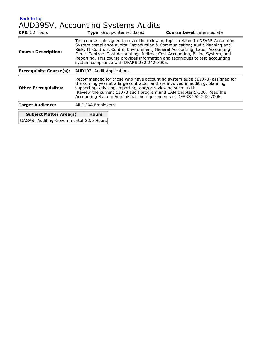[Back to top](#page-7-0) AUD395V, Accounting Systems Audits

| The course is designed to cover the following topics related to DFARS Accounting<br>System compliance audits: Introduction & Communication; Audit Planning and<br>Risk; IT Controls, Control Environment, General Accounting, Labor Accounting;<br>Direct Contract Cost Accounting; Indirect Cost Accounting, Billing System, and<br>Reporting. This course provides information and techniques to test accounting<br>system compliance with DFARS 252.242-7006. |  |  |
|------------------------------------------------------------------------------------------------------------------------------------------------------------------------------------------------------------------------------------------------------------------------------------------------------------------------------------------------------------------------------------------------------------------------------------------------------------------|--|--|
| AUD102, Audit Applications                                                                                                                                                                                                                                                                                                                                                                                                                                       |  |  |
| Recommended for those who have accounting system audit (11070) assigned for<br>the coming year at a large contractor and are involved in auditing, planning,<br>supporting, advising, reporting, and/or reviewing such audit.<br>Review the current 11070 audit program and CAM chapter 5-300. Read the<br>Accounting System Administration requirements of DFARS 252.242-7006.                                                                                  |  |  |
| All DCAA Employees                                                                                                                                                                                                                                                                                                                                                                                                                                               |  |  |
|                                                                                                                                                                                                                                                                                                                                                                                                                                                                  |  |  |

| GAGAS: Auditing-Governmental 32.0 Hours |  |
|-----------------------------------------|--|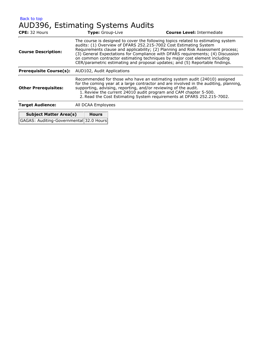# AUD396, Estimating Systems Audits

| CPE: 32 Hours                  | Type: Group-Live                                                                                                                                                                                                                                                                                                                                                                                                                                                                            | <b>Course Level: Intermediate</b> |  |
|--------------------------------|---------------------------------------------------------------------------------------------------------------------------------------------------------------------------------------------------------------------------------------------------------------------------------------------------------------------------------------------------------------------------------------------------------------------------------------------------------------------------------------------|-----------------------------------|--|
| <b>Course Description:</b>     | The course is designed to cover the following topics related to estimating system<br>audits: (1) Overview of DFARS 252.215-7002 Cost Estimating System<br>Requirements clause and applicability; (2) Planning and Risk Assessment process;<br>(3) General Expectations for Compliance with DFARS requirements; (4) Discussion<br>on common contractor estimating techniques by major cost element including<br>CER/parametric estimating and proposal updates; and (5) Reportable findings. |                                   |  |
| <b>Prerequisite Course(s):</b> | AUD102, Audit Applications                                                                                                                                                                                                                                                                                                                                                                                                                                                                  |                                   |  |
| <b>Other Prerequisites:</b>    | Recommended for those who have an estimating system audit (24010) assigned<br>for the coming year at a large contractor and are involved in the auditing, planning,<br>supporting, advising, reporting, and/or reviewing of the audit.<br>1. Review the current 24010 audit program and CAM chapter 5-500.<br>2. Read the Cost Estimating System requirements at DFARS 252.215-7002.                                                                                                        |                                   |  |
| <b>Target Audience:</b>        | All DCAA Employees                                                                                                                                                                                                                                                                                                                                                                                                                                                                          |                                   |  |
|                                | .                                                                                                                                                                                                                                                                                                                                                                                                                                                                                           |                                   |  |

| <b>Subject Matter Area(s)</b>           | <b>Hours</b> |
|-----------------------------------------|--------------|
| GAGAS: Auditing-Governmental 32.0 Hours |              |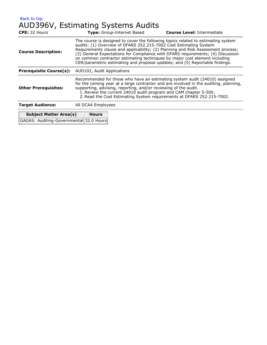[Back to top](#page-7-0) AUD396V, Estimating Systems Audits

| <b>CPE: 32 Hours</b>           | Type: Group-Internet Based                                                                                                                                                                                                                                                                                                                                                                                                                                                                  | <b>Course Level: Intermediate</b> |  |
|--------------------------------|---------------------------------------------------------------------------------------------------------------------------------------------------------------------------------------------------------------------------------------------------------------------------------------------------------------------------------------------------------------------------------------------------------------------------------------------------------------------------------------------|-----------------------------------|--|
| <b>Course Description:</b>     | The course is designed to cover the following topics related to estimating system<br>audits: (1) Overview of DFARS 252.215-7002 Cost Estimating System<br>Requirements clause and applicability; (2) Planning and Risk Assessment process;<br>(3) General Expectations for Compliance with DFARS requirements; (4) Discussion<br>on common contractor estimating techniques by major cost element including<br>CER/parametric estimating and proposal updates; and (5) Reportable findings. |                                   |  |
| <b>Prerequisite Course(s):</b> | AUD102, Audit Applications                                                                                                                                                                                                                                                                                                                                                                                                                                                                  |                                   |  |
| <b>Other Prerequisites:</b>    | Recommended for those who have an estimating system audit (24010) assigned<br>for the coming year at a large contractor and are involved in the auditing, planning,<br>supporting, advising, reporting, and/or reviewing of the audit.<br>1. Review the current 24010 audit program and CAM chapter 5-500.<br>2. Read the Cost Estimating System requirements at DFARS 252.215-7002.                                                                                                        |                                   |  |
| <b>Target Audience:</b>        | All DCAA Employees                                                                                                                                                                                                                                                                                                                                                                                                                                                                          |                                   |  |
|                                |                                                                                                                                                                                                                                                                                                                                                                                                                                                                                             |                                   |  |

| <b>Subject Matter Area(s)</b>           | <b>Hours</b> |
|-----------------------------------------|--------------|
| GAGAS: Auditing-Governmental 32.0 Hours |              |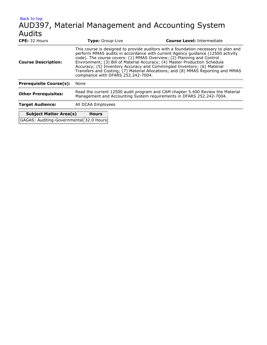### [Back to top](#page-7-0) AUD397, Material Management and Accounting System Audits **CPE:** 32 Hours **Type:** Group-Live **Course Level:** Intermediate This course is designed to provide auditors with a foundation necessary to plan and

| <b>Course Description:</b>              | perform MMAS audits in accordance with current Agency guidance (12500 activity<br>code). The course covers: (1) MMAS Overview; (2) Planning and Control<br>Environment; (3) Bill of Material Accuracy; (4) Master Production Schedule<br>Accuracy; (5) Inventory Accuracy and Commingled Inventory; (6) Material<br>Transfers and Costing; (7) Material Allocations; and (8) MMAS Reporting and MMAS<br>compliance with DFARS 252.242-7004. |  |  |
|-----------------------------------------|---------------------------------------------------------------------------------------------------------------------------------------------------------------------------------------------------------------------------------------------------------------------------------------------------------------------------------------------------------------------------------------------------------------------------------------------|--|--|
| <b>Prerequisite Course(s):</b>          | None                                                                                                                                                                                                                                                                                                                                                                                                                                        |  |  |
| <b>Other Prerequisites:</b>             | Read the current 12500 audit program and CAM chapter 5.400 Review the Material<br>Management and Accounting System requirements in DFARS 252.242-7004.                                                                                                                                                                                                                                                                                      |  |  |
| <b>Target Audience:</b>                 | All DCAA Employees                                                                                                                                                                                                                                                                                                                                                                                                                          |  |  |
| <b>Subject Matter Area(s)</b>           | <b>Hours</b>                                                                                                                                                                                                                                                                                                                                                                                                                                |  |  |
| GAGAS: Auditing-Governmental 32.0 Hours |                                                                                                                                                                                                                                                                                                                                                                                                                                             |  |  |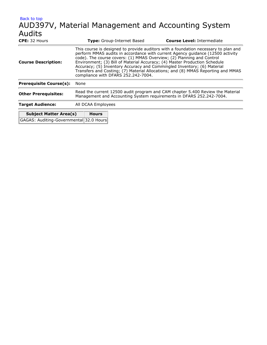### [Back to top](#page-7-0) AUD397V, Material Management and Accounting System Audits **CPE:** 32 Hours **Type:** Group-Internet Based **Course Level:** Intermediate

| <b>CPE:</b> 32 Hours                    | <b>Type:</b> Group-Internet Based                                                                                                                      |  | <b>Course Level: Intermediate</b>                                                                                                                                                                                                                                                                                                                                                                                  |
|-----------------------------------------|--------------------------------------------------------------------------------------------------------------------------------------------------------|--|--------------------------------------------------------------------------------------------------------------------------------------------------------------------------------------------------------------------------------------------------------------------------------------------------------------------------------------------------------------------------------------------------------------------|
| <b>Course Description:</b>              | code). The course covers: (1) MMAS Overview; (2) Planning and Control<br>compliance with DFARS 252.242-7004.                                           |  | This course is designed to provide auditors with a foundation necessary to plan and<br>perform MMAS audits in accordance with current Agency guidance (12500 activity<br>Environment; (3) Bill of Material Accuracy; (4) Master Production Schedule<br>Accuracy; (5) Inventory Accuracy and Commingled Inventory; (6) Material<br>Transfers and Costing; (7) Material Allocations; and (8) MMAS Reporting and MMAS |
| <b>Prerequisite Course(s):</b>          | None                                                                                                                                                   |  |                                                                                                                                                                                                                                                                                                                                                                                                                    |
| <b>Other Prerequisites:</b>             | Read the current 12500 audit program and CAM chapter 5.400 Review the Material<br>Management and Accounting System requirements in DFARS 252.242-7004. |  |                                                                                                                                                                                                                                                                                                                                                                                                                    |
| <b>Target Audience:</b>                 | All DCAA Employees                                                                                                                                     |  |                                                                                                                                                                                                                                                                                                                                                                                                                    |
| <b>Subject Matter Area(s)</b>           | <b>Hours</b>                                                                                                                                           |  |                                                                                                                                                                                                                                                                                                                                                                                                                    |
| GAGAS: Auditing-Governmental 32.0 Hours |                                                                                                                                                        |  |                                                                                                                                                                                                                                                                                                                                                                                                                    |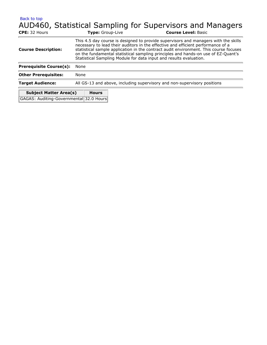# AUD460, Statistical Sampling for Supervisors and Managers

| CPE: 32 Hours                                                            | Type: Group-Live                                                         | <b>Course Level: Basic</b>                                                                                                                                                                                                                                                                                                                                                                                                  |  |
|--------------------------------------------------------------------------|--------------------------------------------------------------------------|-----------------------------------------------------------------------------------------------------------------------------------------------------------------------------------------------------------------------------------------------------------------------------------------------------------------------------------------------------------------------------------------------------------------------------|--|
| <b>Course Description:</b>                                               |                                                                          | This 4.5 day course is designed to provide supervisors and managers with the skills<br>necessary to lead their auditors in the effective and efficient performance of a<br>statistical sample application in the contract audit environment. This course focuses<br>on the fundamental statistical sampling principles and hands-on use of EZ-Quant's<br>Statistical Sampling Module for data input and results evaluation. |  |
| <b>Prerequisite Course(s):</b>                                           | None                                                                     |                                                                                                                                                                                                                                                                                                                                                                                                                             |  |
| <b>Other Prerequisites:</b>                                              | None                                                                     |                                                                                                                                                                                                                                                                                                                                                                                                                             |  |
| <b>Target Audience:</b>                                                  | All GS-13 and above, including supervisory and non-supervisory positions |                                                                                                                                                                                                                                                                                                                                                                                                                             |  |
| <b>Subject Matter Area(s)</b><br>GAGAS: Auditing-Governmental 32.0 Hours | <b>Hours</b>                                                             |                                                                                                                                                                                                                                                                                                                                                                                                                             |  |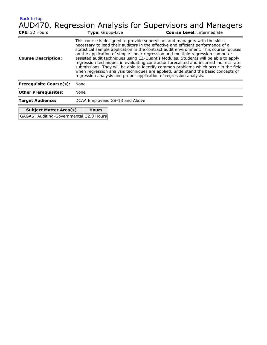AUD470, Regression Analysis for Supervisors and Managers

| CPE: 32 Hours                  | Type: Group-Live               |                                                                                                                                                                                                                                                                                                                                                                                                                                                                                                                                                                                                                                                                                                                                                                             | <b>Course Level: Intermediate</b> |
|--------------------------------|--------------------------------|-----------------------------------------------------------------------------------------------------------------------------------------------------------------------------------------------------------------------------------------------------------------------------------------------------------------------------------------------------------------------------------------------------------------------------------------------------------------------------------------------------------------------------------------------------------------------------------------------------------------------------------------------------------------------------------------------------------------------------------------------------------------------------|-----------------------------------|
| <b>Course Description:</b>     |                                | This course is designed to provide supervisors and managers with the skills<br>necessary to lead their auditors in the effective and efficient performance of a<br>statistical sample application in the contract audit environment. This course focuses<br>on the application of simple linear regression and multiple regression computer<br>assisted audit techniques using EZ-Quant's Modules. Students will be able to apply<br>regression techniques in evaluating contractor forecasted and incurred indirect rate<br>submissions. They will be able to identify common problems which occur in the field<br>when regression analysis techniques are applied, understand the basic concepts of<br>regression analysis and proper application of regression analysis. |                                   |
| <b>Prerequisite Course(s):</b> | None                           |                                                                                                                                                                                                                                                                                                                                                                                                                                                                                                                                                                                                                                                                                                                                                                             |                                   |
| <b>Other Prerequisites:</b>    | None                           |                                                                                                                                                                                                                                                                                                                                                                                                                                                                                                                                                                                                                                                                                                                                                                             |                                   |
| <b>Target Audience:</b>        | DCAA Employees GS-13 and Above |                                                                                                                                                                                                                                                                                                                                                                                                                                                                                                                                                                                                                                                                                                                                                                             |                                   |
| <b>Subject Matter Area(s)</b>  | <b>Hours</b>                   |                                                                                                                                                                                                                                                                                                                                                                                                                                                                                                                                                                                                                                                                                                                                                                             |                                   |

GAGAS: Auditing-Governmental 32.0 Hours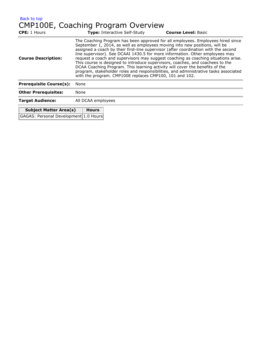[Back to top](#page-7-0) CMP100E, Coaching Program Overview

| <b>CPE: 1 Hours</b>            |                    | <b>Type: Interactive Self-Study</b>                     | <b>Course Level: Basic</b>                                                                                                                                                                                                                                                                                                                                                                                                                                                                                                                                                                                                                                                           |
|--------------------------------|--------------------|---------------------------------------------------------|--------------------------------------------------------------------------------------------------------------------------------------------------------------------------------------------------------------------------------------------------------------------------------------------------------------------------------------------------------------------------------------------------------------------------------------------------------------------------------------------------------------------------------------------------------------------------------------------------------------------------------------------------------------------------------------|
| <b>Course Description:</b>     |                    | with the program. CMP100E replaces CMP100, 101 and 102. | The Coaching Program has been approved for all employees. Employees hired since<br>September 1, 2014, as well as employees moving into new positions, will be<br>assigned a coach by their first-line supervisor (after coordination with the second<br>line supervisor). See DCAAI 1430.5 for more information. Other employees may<br>request a coach and supervisors may suggest coaching as coaching situations arise.<br>This course is designed to introduce supervisors, coaches, and coachees to the<br>DCAA Coaching Program. This learning activity will cover the benefits of the<br>program, stakeholder roles and responsibilities, and administrative tasks associated |
| <b>Prerequisite Course(s):</b> | None               |                                                         |                                                                                                                                                                                                                                                                                                                                                                                                                                                                                                                                                                                                                                                                                      |
| <b>Other Prerequisites:</b>    | None               |                                                         |                                                                                                                                                                                                                                                                                                                                                                                                                                                                                                                                                                                                                                                                                      |
| <b>Target Audience:</b>        | All DCAA employees |                                                         |                                                                                                                                                                                                                                                                                                                                                                                                                                                                                                                                                                                                                                                                                      |
| <b>Subject Matter Area(s)</b>  | <b>Hours</b>       |                                                         |                                                                                                                                                                                                                                                                                                                                                                                                                                                                                                                                                                                                                                                                                      |

GAGAS: Personal Development 1.0 Hours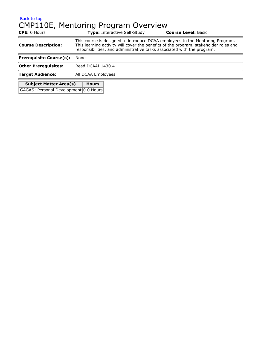#### [Back to top](#page-7-0) CMP110E, Mentoring Program Overview

| <b>CPE:</b> 0 Hours                   |                                                                                                                                                                                                                                                  | <b>Type:</b> Interactive Self-Study | <b>Course Level: Basic</b> |
|---------------------------------------|--------------------------------------------------------------------------------------------------------------------------------------------------------------------------------------------------------------------------------------------------|-------------------------------------|----------------------------|
| <b>Course Description:</b>            | This course is designed to introduce DCAA employees to the Mentoring Program.<br>This learning activity will cover the benefits of the program, stakeholder roles and<br>responsibilities, and administrative tasks associated with the program. |                                     |                            |
| <b>Prerequisite Course(s):</b>        | None                                                                                                                                                                                                                                             |                                     |                            |
| <b>Other Prerequisites:</b>           | Read DCAAI 1430.4                                                                                                                                                                                                                                |                                     |                            |
| <b>Target Audience:</b>               | All DCAA Employees                                                                                                                                                                                                                               |                                     |                            |
| <b>Subject Matter Area(s)</b>         | <b>Hours</b>                                                                                                                                                                                                                                     |                                     |                            |
| GAGAS: Personal Development 0.0 Hours |                                                                                                                                                                                                                                                  |                                     |                            |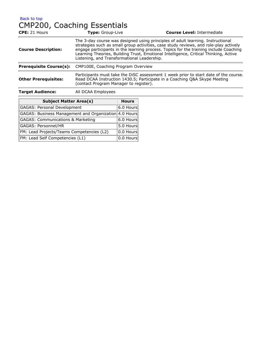# CMP200, Coaching Essentials

| <b>CPE: 21 Hours</b>           | Type: Group-Live                                                                                                                                                                                                                                                                                                                                                                                         | <b>Course Level: Intermediate</b> |  |
|--------------------------------|----------------------------------------------------------------------------------------------------------------------------------------------------------------------------------------------------------------------------------------------------------------------------------------------------------------------------------------------------------------------------------------------------------|-----------------------------------|--|
| <b>Course Description:</b>     | The 3-day course was designed using principles of adult learning. Instructional<br>strategies such as small group activities, case study reviews, and role-play actively<br>engage participants in the learning process. Topics for the training include Coaching<br>Learning Theories, Building Trust, Emotional Intelligence, Critical Thinking, Active<br>Listening, and Transformational Leadership. |                                   |  |
| <b>Prerequisite Course(s):</b> | CMP100E, Coaching Program Overview                                                                                                                                                                                                                                                                                                                                                                       |                                   |  |
| <b>Other Prerequisites:</b>    | Participants must take the DISC assessment 1 week prior to start date of the course.<br>Read DCAA Instruction 1430.5; Participate in a Coaching Q&A Skype Meeting<br>(contact Program Manager to register).                                                                                                                                                                                              |                                   |  |
| <b>Target Audience:</b>        | All DCAA Employees                                                                                                                                                                                                                                                                                                                                                                                       |                                   |  |

| <b>Subject Matter Area(s)</b>                         | <b>Hours</b>          |
|-------------------------------------------------------|-----------------------|
| <b>GAGAS: Personal Development</b>                    | $ 6.0 \text{ Hours} $ |
| GAGAS: Business Management and Organization 4.0 Hours |                       |
| <b>GAGAS: Communications &amp; Marketing</b>          | $6.0$ Hours           |
| GAGAS: Personnel/HR                                   | 5.0 Hours             |
| FM: Lead Projects/Teams Competencies (L2)             | $ 0.0 \text{ Hours} $ |
| FM: Lead Self Competencies (L1)                       | $ 0.0$ Hours          |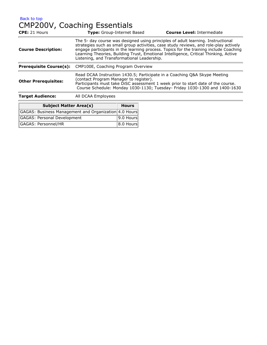[Back to top](#page-7-0) CMP200V, Coaching Essentials

| CPE: 21 Hours                  | <b>Type:</b> Group-Internet Based                                                                                                                                                                                                                                                                                                                                                                         | <b>Course Level: Intermediate</b> |
|--------------------------------|-----------------------------------------------------------------------------------------------------------------------------------------------------------------------------------------------------------------------------------------------------------------------------------------------------------------------------------------------------------------------------------------------------------|-----------------------------------|
| <b>Course Description:</b>     | The 5- day course was designed using principles of adult learning. Instructional<br>strategies such as small group activities, case study reviews, and role-play actively<br>engage participants in the learning process. Topics for the training include Coaching<br>Learning Theories, Building Trust, Emotional Intelligence, Critical Thinking, Active<br>Listening, and Transformational Leadership. |                                   |
| <b>Prerequisite Course(s):</b> | CMP100E, Coaching Program Overview                                                                                                                                                                                                                                                                                                                                                                        |                                   |
| <b>Other Prerequisites:</b>    | Read DCAA Instruction 1430.5; Participate in a Coaching Q&A Skype Meeting<br>(contact Program Manager to register).<br>Participants must take DISC assessment 1 week prior to start date of the course.<br>Course Schedule: Monday 1030-1130; Tuesday- Friday 1030-1300 and 1400-1630                                                                                                                     |                                   |
| <b>Target Audience:</b>        | All DCAA Employees                                                                                                                                                                                                                                                                                                                                                                                        |                                   |

# **Subject Matter Area(s) Hours**

| GAGAS: Business Management and Organization 4.0 Hours |                       |
|-------------------------------------------------------|-----------------------|
| GAGAS: Personal Development                           | $ 9.0$ Hours          |
| GAGAS: Personnel/HR                                   | $ 8.0 \text{ Hours} $ |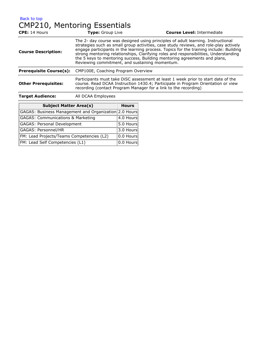# CMP210, Mentoring Essentials

| <b>CPE: 14 Hours</b>           | Type: Group Live                                                                                                                                                                                                                                                                                                                                                                                                                                                                           | <b>Course Level: Intermediate</b>                                                                                                                                     |
|--------------------------------|--------------------------------------------------------------------------------------------------------------------------------------------------------------------------------------------------------------------------------------------------------------------------------------------------------------------------------------------------------------------------------------------------------------------------------------------------------------------------------------------|-----------------------------------------------------------------------------------------------------------------------------------------------------------------------|
| <b>Course Description:</b>     | The 2- day course was designed using principles of adult learning. Instructional<br>strategies such as small group activities, case study reviews, and role-play actively<br>engage participants in the learning process. Topics for the training include: Building<br>strong mentoring relationships, Clarifying roles and responsibilities, Understanding<br>the 5 keys to mentoring success, Building mentoring agreements and plans,<br>Reviewing commitment, and sustaining momentum. |                                                                                                                                                                       |
| <b>Prerequisite Course(s):</b> | CMP100E, Coaching Program Overview                                                                                                                                                                                                                                                                                                                                                                                                                                                         |                                                                                                                                                                       |
| <b>Other Prerequisites:</b>    | recording (contact Program Manager for a link to the recording)                                                                                                                                                                                                                                                                                                                                                                                                                            | Participants must take DISC assessment at least 1 week prior to start date of the<br>course. Read DCAA Instruction 1430.4; Participate in Program Orientation or view |
| <b>Target Audience:</b>        | All DCAA Employees                                                                                                                                                                                                                                                                                                                                                                                                                                                                         |                                                                                                                                                                       |

| <b>Subject Matter Area(s)</b>                         | <b>Hours</b> |
|-------------------------------------------------------|--------------|
| GAGAS: Business Management and Organization 2.0 Hours |              |
| <b>GAGAS: Communications &amp; Marketing</b>          | 4.0 Hours    |
| <b>GAGAS: Personal Development</b>                    | 5.0 Hours    |
| GAGAS: Personnel/HR                                   | 3.0 Hours    |
| FM: Lead Projects/Teams Competencies (L2)             | $ 0.0$ Hours |
| FM: Lead Self Competencies (L1)                       | 0.0 Hours    |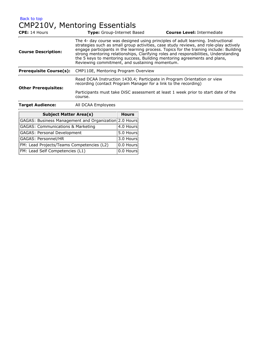[Back to top](#page-7-0) CMP210V, Mentoring Essentials

| CPE: 14 Hours                  | Type: Group-Internet Based                                                                                                                  | <b>Course Level: Intermediate</b>                                                                                                                                                                                                                                                                                                                                                                                                                                                          |  |  |
|--------------------------------|---------------------------------------------------------------------------------------------------------------------------------------------|--------------------------------------------------------------------------------------------------------------------------------------------------------------------------------------------------------------------------------------------------------------------------------------------------------------------------------------------------------------------------------------------------------------------------------------------------------------------------------------------|--|--|
| <b>Course Description:</b>     |                                                                                                                                             | The 4- day course was designed using principles of adult learning. Instructional<br>strategies such as small group activities, case study reviews, and role-play actively<br>engage participants in the learning process. Topics for the training include: Building<br>strong mentoring relationships, Clarifying roles and responsibilities, Understanding<br>the 5 keys to mentoring success, Building mentoring agreements and plans,<br>Reviewing commitment, and sustaining momentum. |  |  |
| <b>Prerequisite Course(s):</b> | CMP110E, Mentoring Program Overview                                                                                                         |                                                                                                                                                                                                                                                                                                                                                                                                                                                                                            |  |  |
| <b>Other Prerequisites:</b>    | Read DCAA Instruction 1430.4; Participate in Program Orientation or view<br>recording (contact Program Manager for a link to the recording) |                                                                                                                                                                                                                                                                                                                                                                                                                                                                                            |  |  |
|                                | Participants must take DISC assessment at least 1 week prior to start date of the<br>course.                                                |                                                                                                                                                                                                                                                                                                                                                                                                                                                                                            |  |  |
| <b>Target Audience:</b>        | All DCAA Employees                                                                                                                          |                                                                                                                                                                                                                                                                                                                                                                                                                                                                                            |  |  |

| <b>Subject Matter Area(s)</b>                         | <b>Hours</b> |
|-------------------------------------------------------|--------------|
| GAGAS: Business Management and Organization 2.0 Hours |              |
| <b>GAGAS: Communications &amp; Marketing</b>          | 4.0 Hours    |
| GAGAS: Personal Development                           | 5.0 Hours    |
| GAGAS: Personnel/HR                                   | 3.0 Hours    |
| FM: Lead Projects/Teams Competencies (L2)             | 0.0 Hours    |
| FM: Lead Self Competencies (L1)                       | 0.0 Hours    |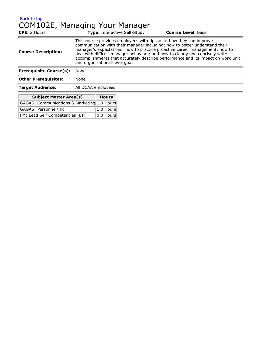[Back to top](#page-7-0) COM102E, Managing Your Manager

| <b>CPE:</b> 2 Hours                                                          | <b>Type: Interactive Self-Study</b>                                                                                                                                                                                                                                                                                                                                                                                                      | <b>Course Level: Basic</b> |  |
|------------------------------------------------------------------------------|------------------------------------------------------------------------------------------------------------------------------------------------------------------------------------------------------------------------------------------------------------------------------------------------------------------------------------------------------------------------------------------------------------------------------------------|----------------------------|--|
| <b>Course Description:</b>                                                   | This course provides employees with tips as to how they can improve<br>communication with their manager including; how to better understand their<br>manager's expectations; how to practice proactive career management; how to<br>deal with difficult manager behaviors; and how to clearly and concisely write<br>accomplishments that accurately describe performance and its impact on work unit<br>and organizational-level goals. |                            |  |
| <b>Prerequisite Course(s):</b>                                               | None                                                                                                                                                                                                                                                                                                                                                                                                                                     |                            |  |
| <b>Other Prerequisites:</b>                                                  | None                                                                                                                                                                                                                                                                                                                                                                                                                                     |                            |  |
| <b>Target Audience:</b>                                                      | All DCAA employees                                                                                                                                                                                                                                                                                                                                                                                                                       |                            |  |
| <b>Subject Matter Area(s)</b><br>CACAS: Communications & Marketing 1.0 Hours | <b>Hours</b>                                                                                                                                                                                                                                                                                                                                                                                                                             |                            |  |

| GAGAS: Communications & Marketing 1.0 Hours |                           |
|---------------------------------------------|---------------------------|
| GAGAS: Personnel/HR                         | $ 1.0$ Hours              |
| FM: Lead Self Competencies (L1)             | $\vert$ 0.0 Hours $\vert$ |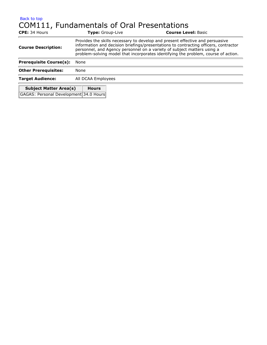# [Back to top](#page-7-0) COM111, Fundamentals of Oral Presentations

| <b>CPE: 34 Hours</b>                   | <b>Type:</b> Group-Live                                                                                                                                                                                                                                                                                                                |  | <b>Course Level: Basic</b> |
|----------------------------------------|----------------------------------------------------------------------------------------------------------------------------------------------------------------------------------------------------------------------------------------------------------------------------------------------------------------------------------------|--|----------------------------|
| <b>Course Description:</b>             | Provides the skills necessary to develop and present effective and persuasive<br>information and decision briefings/presentations to contracting officers, contractor<br>personnel, and Agency personnel on a variety of subject matters using a<br>problem-solving model that incorporates identifying the problem, course of action. |  |                            |
| <b>Prerequisite Course(s):</b>         | None                                                                                                                                                                                                                                                                                                                                   |  |                            |
| <b>Other Prerequisites:</b>            | None                                                                                                                                                                                                                                                                                                                                   |  |                            |
| <b>Target Audience:</b>                | All DCAA Employees                                                                                                                                                                                                                                                                                                                     |  |                            |
| <b>Subject Matter Area(s)</b>          | <b>Hours</b>                                                                                                                                                                                                                                                                                                                           |  |                            |
| GAGAS: Personal Development 34.0 Hours |                                                                                                                                                                                                                                                                                                                                        |  |                            |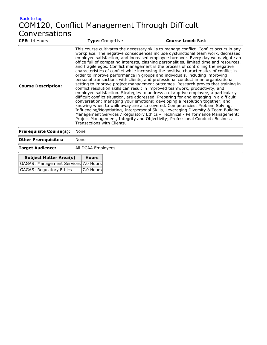# [Back to top](#page-7-0) COM120, Conflict Management Through Difficult Conversations<br>
CPE: 14 Hours

| <b>CPE:</b> 14 Hours           | Type: Group-Live           | <b>Course Level: Basic</b>                                                                                                                                                                                                                                                                                                                                                                                                                                                                                                                                                                                                                                                                                                                                                                                                                                                                                                                                                                                                                                                                                                                                                                                                                                                                                                                                                                                                                                                               |
|--------------------------------|----------------------------|------------------------------------------------------------------------------------------------------------------------------------------------------------------------------------------------------------------------------------------------------------------------------------------------------------------------------------------------------------------------------------------------------------------------------------------------------------------------------------------------------------------------------------------------------------------------------------------------------------------------------------------------------------------------------------------------------------------------------------------------------------------------------------------------------------------------------------------------------------------------------------------------------------------------------------------------------------------------------------------------------------------------------------------------------------------------------------------------------------------------------------------------------------------------------------------------------------------------------------------------------------------------------------------------------------------------------------------------------------------------------------------------------------------------------------------------------------------------------------------|
| <b>Course Description:</b>     | Transactions with Clients. | This course cultivates the necessary skills to manage conflict. Conflict occurs in any<br>workplace. The negative consequences include dysfunctional team work, decreased<br>employee satisfaction, and increased employee turnover. Every day we navigate an<br>office full of competing interests, clashing personalities, limited time and resources,<br>and fragile egos. Conflict management is the process of controlling the negative<br>characteristics of conflict while increasing the positive characteristics of conflict in<br>order to improve performance in groups and individuals, including improving<br>personal transactions with clients, and professional conduct in an organizational<br>setting to improve project management outcomes. Research proves that training in<br>conflict resolution skills can result in improved teamwork, productivity, and<br>employee satisfaction. Strategies to address a disruptive employee, a particularly<br>difficult conflict situation, are addressed. Preparing for and engaging in a difficult<br>conversation; managing your emotions; developing a resolution together; and<br>knowing when to walk away are also covered. Competencies: Problem Solving,<br>Influencing/Negotiating, Interpersonal Skills, Leveraging Diversity & Team Building.<br>Management Services / Regulatory Ethics - Technical - Performance Management:<br>Project Management, Integrity and Objectivity; Professional Conduct; Business |
| <b>Prerequisite Course(s):</b> | None                       |                                                                                                                                                                                                                                                                                                                                                                                                                                                                                                                                                                                                                                                                                                                                                                                                                                                                                                                                                                                                                                                                                                                                                                                                                                                                                                                                                                                                                                                                                          |
| <b>Other Prerequisites:</b>    | None                       |                                                                                                                                                                                                                                                                                                                                                                                                                                                                                                                                                                                                                                                                                                                                                                                                                                                                                                                                                                                                                                                                                                                                                                                                                                                                                                                                                                                                                                                                                          |

**Target Audience:** All DCAA Employees

 $\blacksquare$ 

| <b>Subject Matter Area(s)</b>        | <b>Hours</b> |
|--------------------------------------|--------------|
| GAGAS: Management Services 7.0 Hours |              |
| GAGAS: Regulatory Ethics             | $ 7.0$ Hours |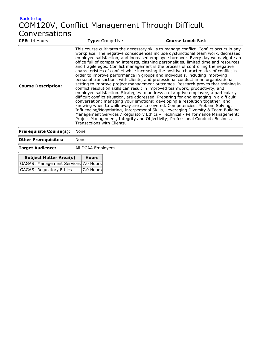# [Back to top](#page-7-0) COM120V, Conflict Management Through Difficult Conversations<br>
CPE: 14 Hours

| <b>CPE:</b> 14 Hours           | Type: Group-Live           | <b>Course Level: Basic</b>                                                                                                                                                                                                                                                                                                                                                                                                                                                                                                                                                                                                                                                                                                                                                                                                                                                                                                                                                                                                                                                                                                                                                                                                                                                                                                                                                                                                                                                               |
|--------------------------------|----------------------------|------------------------------------------------------------------------------------------------------------------------------------------------------------------------------------------------------------------------------------------------------------------------------------------------------------------------------------------------------------------------------------------------------------------------------------------------------------------------------------------------------------------------------------------------------------------------------------------------------------------------------------------------------------------------------------------------------------------------------------------------------------------------------------------------------------------------------------------------------------------------------------------------------------------------------------------------------------------------------------------------------------------------------------------------------------------------------------------------------------------------------------------------------------------------------------------------------------------------------------------------------------------------------------------------------------------------------------------------------------------------------------------------------------------------------------------------------------------------------------------|
| <b>Course Description:</b>     | Transactions with Clients. | This course cultivates the necessary skills to manage conflict. Conflict occurs in any<br>workplace. The negative consequences include dysfunctional team work, decreased<br>employee satisfaction, and increased employee turnover. Every day we navigate an<br>office full of competing interests, clashing personalities, limited time and resources,<br>and fragile egos. Conflict management is the process of controlling the negative<br>characteristics of conflict while increasing the positive characteristics of conflict in<br>order to improve performance in groups and individuals, including improving<br>personal transactions with clients, and professional conduct in an organizational<br>setting to improve project management outcomes. Research proves that training in<br>conflict resolution skills can result in improved teamwork, productivity, and<br>employee satisfaction. Strategies to address a disruptive employee, a particularly<br>difficult conflict situation, are addressed. Preparing for and engaging in a difficult<br>conversation; managing your emotions; developing a resolution together; and<br>knowing when to walk away are also covered. Competencies: Problem Solving,<br>Influencing/Negotiating, Interpersonal Skills, Leveraging Diversity & Team Building.<br>Management Services / Regulatory Ethics - Technical - Performance Management:<br>Project Management, Integrity and Objectivity; Professional Conduct; Business |
| <b>Prerequisite Course(s):</b> | None                       |                                                                                                                                                                                                                                                                                                                                                                                                                                                                                                                                                                                                                                                                                                                                                                                                                                                                                                                                                                                                                                                                                                                                                                                                                                                                                                                                                                                                                                                                                          |
| <b>Other Prerequisites:</b>    | None                       |                                                                                                                                                                                                                                                                                                                                                                                                                                                                                                                                                                                                                                                                                                                                                                                                                                                                                                                                                                                                                                                                                                                                                                                                                                                                                                                                                                                                                                                                                          |

**Target Audience:** All DCAA Employees

| <b>Subject Matter Area(s)</b>        | <b>Hours</b> |
|--------------------------------------|--------------|
| GAGAS: Management Services 7.0 Hours |              |
| GAGAS: Regulatory Ethics             | $ 7.0$ Hours |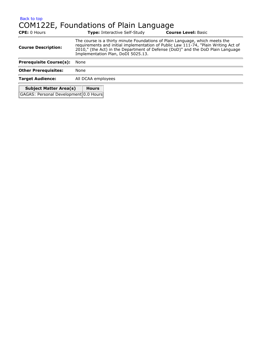#### [Back to top](#page-7-0) COM122E, Foundations of Plain Language

| <b>CPE: 0 Hours</b>                   | <b>Type: Interactive Self-Study</b>                                                                                                                                                                                                                                                          | <b>Course Level: Basic</b> |  |
|---------------------------------------|----------------------------------------------------------------------------------------------------------------------------------------------------------------------------------------------------------------------------------------------------------------------------------------------|----------------------------|--|
| <b>Course Description:</b>            | The course is a thirty minute Foundations of Plain Language, which meets the<br>requirements and initial implementation of Public Law 111-74, "Plain Writing Act of<br>2010," (the Act) in the Department of Defense (DoD)" and the DoD Plain Language<br>Implementation Plan, DoDI 5025.13. |                            |  |
| <b>Prerequisite Course(s):</b>        | None                                                                                                                                                                                                                                                                                         |                            |  |
| <b>Other Prerequisites:</b>           | None                                                                                                                                                                                                                                                                                         |                            |  |
| <b>Target Audience:</b>               | All DCAA employees                                                                                                                                                                                                                                                                           |                            |  |
| <b>Subject Matter Area(s)</b>         | <b>Hours</b>                                                                                                                                                                                                                                                                                 |                            |  |
| GAGAS: Personal Development 0.0 Hours |                                                                                                                                                                                                                                                                                              |                            |  |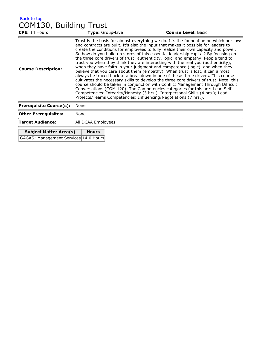| <b>CPE:</b> 14 Hours                  | Type: Group-Live                                                                                                                                                                                                                                                                                                                                                                                                                                                                                                                                                                                                                                                                                                                                                                                                                                                                                                                                                                                                                                                                                                                                                                                      | <b>Course Level: Basic</b> |  |
|---------------------------------------|-------------------------------------------------------------------------------------------------------------------------------------------------------------------------------------------------------------------------------------------------------------------------------------------------------------------------------------------------------------------------------------------------------------------------------------------------------------------------------------------------------------------------------------------------------------------------------------------------------------------------------------------------------------------------------------------------------------------------------------------------------------------------------------------------------------------------------------------------------------------------------------------------------------------------------------------------------------------------------------------------------------------------------------------------------------------------------------------------------------------------------------------------------------------------------------------------------|----------------------------|--|
| <b>Course Description:</b>            | Trust is the basis for almost everything we do. It's the foundation on which our laws<br>and contracts are built. It's also the input that makes it possible for leaders to<br>create the conditions for employees to fully realize their own capacity and power.<br>So how do you build up stores of this essential leadership capital? By focusing on<br>the three core drivers of trust: authenticity, logic, and empathy. People tend to<br>trust you when they think they are interacting with the real you (authenticity),<br>when they have faith in your judgment and competence (logic), and when they<br>believe that you care about them (empathy). When trust is lost, it can almost<br>always be traced back to a breakdown in one of these three drivers. This course<br>cultivates the necessary skills to develop the three core drivers of trust. Note: this<br>course should be taken in conjunction with Conflict Management Through Difficult<br>Conversations (COM 120). The Competencies categories for this are: Lead Self<br>Competencies: Integrity/Honesty (3 hrs.), Interpersonal Skills (4 hrs.); Lead<br>Projects/Teams Competencies: Influencing/Negotiations (7 hrs.). |                            |  |
| <b>Prerequisite Course(s):</b>        | None                                                                                                                                                                                                                                                                                                                                                                                                                                                                                                                                                                                                                                                                                                                                                                                                                                                                                                                                                                                                                                                                                                                                                                                                  |                            |  |
| <b>Other Prerequisites:</b>           | None                                                                                                                                                                                                                                                                                                                                                                                                                                                                                                                                                                                                                                                                                                                                                                                                                                                                                                                                                                                                                                                                                                                                                                                                  |                            |  |
| <b>Target Audience:</b>               | All DCAA Employees                                                                                                                                                                                                                                                                                                                                                                                                                                                                                                                                                                                                                                                                                                                                                                                                                                                                                                                                                                                                                                                                                                                                                                                    |                            |  |
| <b>Subject Matter Area(s)</b>         | <b>Hours</b>                                                                                                                                                                                                                                                                                                                                                                                                                                                                                                                                                                                                                                                                                                                                                                                                                                                                                                                                                                                                                                                                                                                                                                                          |                            |  |
| GAGAS: Management Services 14.0 Hours |                                                                                                                                                                                                                                                                                                                                                                                                                                                                                                                                                                                                                                                                                                                                                                                                                                                                                                                                                                                                                                                                                                                                                                                                       |                            |  |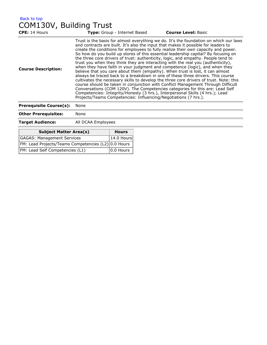| Back to top             |  |
|-------------------------|--|
| COM130V, Building Trust |  |

| Trust is the basis for almost everything we do. It's the foundation on which our laws<br>and contracts are built. It's also the input that makes it possible for leaders to<br>create the conditions for employees to fully realize their own capacity and power.<br>So how do you build up stores of this essential leadership capital? By focusing on<br>the three core drivers of trust: authenticity, logic, and empathy. People tend to<br>trust you when they think they are interacting with the real you (authenticity),<br>when they have faith in your judgment and competence (logic), and when they<br><b>Course Description:</b><br>believe that you care about them (empathy). When trust is lost, it can almost<br>always be traced back to a breakdown in one of these three drivers. This course<br>cultivates the necessary skills to develop the three core drivers of trust. Note: this<br>course should be taken in conjunction with Conflict Management Through Difficult<br>Conversations (COM 120V). The Competencies categories for this are: Lead Self<br>Competencies: Integrity/Honesty (3 hrs.), Interpersonal Skills (4 hrs.); Lead<br>Projects/Teams Competencies: Influencing/Negotiations (7 hrs.).<br><b>Prerequisite Course(s):</b><br>None | <b>CPE: 14 Hours</b> | Type: Group - Internet Based | <b>Course Level: Basic</b> |
|--------------------------------------------------------------------------------------------------------------------------------------------------------------------------------------------------------------------------------------------------------------------------------------------------------------------------------------------------------------------------------------------------------------------------------------------------------------------------------------------------------------------------------------------------------------------------------------------------------------------------------------------------------------------------------------------------------------------------------------------------------------------------------------------------------------------------------------------------------------------------------------------------------------------------------------------------------------------------------------------------------------------------------------------------------------------------------------------------------------------------------------------------------------------------------------------------------------------------------------------------------------------------------|----------------------|------------------------------|----------------------------|
|                                                                                                                                                                                                                                                                                                                                                                                                                                                                                                                                                                                                                                                                                                                                                                                                                                                                                                                                                                                                                                                                                                                                                                                                                                                                                |                      |                              |                            |
|                                                                                                                                                                                                                                                                                                                                                                                                                                                                                                                                                                                                                                                                                                                                                                                                                                                                                                                                                                                                                                                                                                                                                                                                                                                                                |                      |                              |                            |

| <b>Other Prerequisites:</b>                         | None |              |
|-----------------------------------------------------|------|--------------|
| <b>Target Audience:</b><br>All DCAA Employees       |      |              |
| <b>Subject Matter Area(s)</b>                       |      | <b>Hours</b> |
| GAGAS: Management Services                          |      | 14.0 Hours   |
| FM: Lead Projects/Teams Competencies (L2) 0.0 Hours |      |              |
| FM: Lead Self Competencies (L1)                     |      | 10.0 Hours   |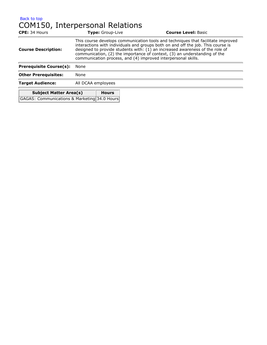## [Back to top](#page-7-0) COM150, Interpersonal Relations

| <b>CPE: 34 Hours</b>                         |                                                                                                                                                                                                                                                                                                                                                                                                    | <b>Type:</b> Group-Live | <b>Course Level: Basic</b> |
|----------------------------------------------|----------------------------------------------------------------------------------------------------------------------------------------------------------------------------------------------------------------------------------------------------------------------------------------------------------------------------------------------------------------------------------------------------|-------------------------|----------------------------|
| <b>Course Description:</b>                   | This course develops communication tools and techniques that facilitate improved<br>interactions with individuals and groups both on and off the job. This course is<br>designed to provide students with: (1) an increased awareness of the role of<br>communication, (2) the importance of context, (3) an understanding of the<br>communication process, and (4) improved interpersonal skills. |                         |                            |
| <b>Prerequisite Course(s):</b>               | None                                                                                                                                                                                                                                                                                                                                                                                               |                         |                            |
| <b>Other Prerequisites:</b>                  | None                                                                                                                                                                                                                                                                                                                                                                                               |                         |                            |
| <b>Target Audience:</b>                      | All DCAA employees                                                                                                                                                                                                                                                                                                                                                                                 |                         |                            |
| <b>Subject Matter Area(s)</b>                |                                                                                                                                                                                                                                                                                                                                                                                                    | <b>Hours</b>            |                            |
| GAGAS: Communications & Marketing 34.0 Hours |                                                                                                                                                                                                                                                                                                                                                                                                    |                         |                            |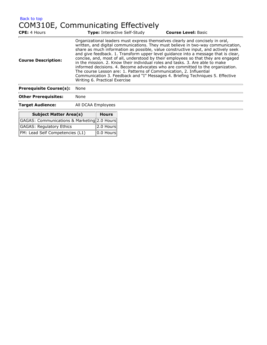# [Back to top](#page-7-0) COM310E, Communicating Effectively

| <b>CPE: 4 Hours</b>            | <b>Type:</b> Interactive Self-Study                                                                                                                                                                                                                                                                                                                                                                                                                                                                                                                                                                                                                                                                                                                                                             | <b>Course Level: Basic</b> |  |
|--------------------------------|-------------------------------------------------------------------------------------------------------------------------------------------------------------------------------------------------------------------------------------------------------------------------------------------------------------------------------------------------------------------------------------------------------------------------------------------------------------------------------------------------------------------------------------------------------------------------------------------------------------------------------------------------------------------------------------------------------------------------------------------------------------------------------------------------|----------------------------|--|
| <b>Course Description:</b>     | Organizational leaders must express themselves clearly and concisely in oral,<br>written, and digital communications. They must believe in two-way communication,<br>share as much information as possible, value constructive input, and actively seek<br>and give feedback. 1. Transform upper level quidance into a message that is clear,<br>concise, and, most of all, understood by their employees so that they are engaged<br>in the mission. 2. Know their individual roles and tasks. 3. Are able to make<br>informed decisions. 4. Become advocates who are committed to the organization.<br>The course Lesson are: 1. Patterns of Communication, 2. Influential<br>Communication 3. Feedback and "I" Messages 4. Briefing Techniques 5. Effective<br>Writing 6. Practical Exercise |                            |  |
| <b>Prerequisite Course(s):</b> | None                                                                                                                                                                                                                                                                                                                                                                                                                                                                                                                                                                                                                                                                                                                                                                                            |                            |  |
| <b>Other Prerequisites:</b>    | None                                                                                                                                                                                                                                                                                                                                                                                                                                                                                                                                                                                                                                                                                                                                                                                            |                            |  |
| <b>Target Audience:</b>        | All DCAA Employees                                                                                                                                                                                                                                                                                                                                                                                                                                                                                                                                                                                                                                                                                                                                                                              |                            |  |

| <b>Subject Matter Area(s)</b>               | <b>Hours</b>              |
|---------------------------------------------|---------------------------|
| GAGAS: Communications & Marketing 2.0 Hours |                           |
| GAGAS: Regulatory Ethics                    | $ 2.0$ Hours              |
| FM: Lead Self Competencies (L1)             | $\vert$ 0.0 Hours $\vert$ |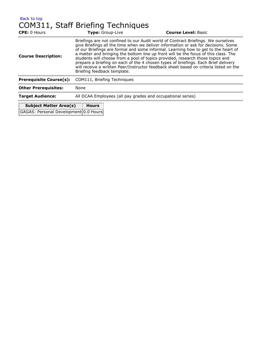#### [Back to top](#page-7-0) COM311, Staff Briefing Techniques

| <b>CPE:</b> 0 Hours                           | Type: Group-Live                                                                                                                                                                                                                                                                                                                                                                                                                                                                                                                                                                                                                                     | <b>Course Level: Basic</b> |  |
|-----------------------------------------------|------------------------------------------------------------------------------------------------------------------------------------------------------------------------------------------------------------------------------------------------------------------------------------------------------------------------------------------------------------------------------------------------------------------------------------------------------------------------------------------------------------------------------------------------------------------------------------------------------------------------------------------------------|----------------------------|--|
| <b>Course Description:</b>                    | Briefings are not confined to our Audit world of Contract Briefings. We ourselves<br>give Briefings all the time when we deliver information or ask for decisions. Some<br>of our Briefings are formal and some informal. Learning how to get to the heart of<br>a matter and bringing the bottom line up front will be the focus of this class. The<br>students will choose from a pool of topics provided, research those topics and<br>prepare a briefing on each of the 4 chosen types of briefings. Each Brief delivery<br>will receive a written Peer/Instructor feedback sheet based on criteria listed on the<br>Briefing feedback template. |                            |  |
| <b>Prerequisite Course(s):</b>                | COM111, Briefing Techniques                                                                                                                                                                                                                                                                                                                                                                                                                                                                                                                                                                                                                          |                            |  |
| <b>Other Prerequisites:</b>                   | None                                                                                                                                                                                                                                                                                                                                                                                                                                                                                                                                                                                                                                                 |                            |  |
| <b>Target Audience:</b>                       | All DCAA Employees (all pay grades and occupational series)                                                                                                                                                                                                                                                                                                                                                                                                                                                                                                                                                                                          |                            |  |
| <b>Subject Matter Area(s)</b><br><b>Hours</b> |                                                                                                                                                                                                                                                                                                                                                                                                                                                                                                                                                                                                                                                      |                            |  |
| GAGAS: Personal Development 0.0 Hours         |                                                                                                                                                                                                                                                                                                                                                                                                                                                                                                                                                                                                                                                      |                            |  |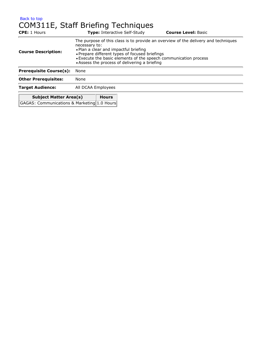### [Back to top](#page-7-0) COM311E, Staff Briefing Techniques

| <b>CPE:</b> 1 Hours                           | <b>Type:</b> Interactive Self-Study                                                                                                                                                                                                                                                                                 | <b>Course Level: Basic</b> |  |  |
|-----------------------------------------------|---------------------------------------------------------------------------------------------------------------------------------------------------------------------------------------------------------------------------------------------------------------------------------------------------------------------|----------------------------|--|--|
| <b>Course Description:</b>                    | The purpose of this class is to provide an overview of the delivery and techniques<br>necessary to:<br>• Plan a clear and impactful briefing<br>• Prepare different types of focused briefings<br>• Execute the basic elements of the speech communication process<br>• Assess the process of delivering a briefing |                            |  |  |
| <b>Prerequisite Course(s):</b>                | None                                                                                                                                                                                                                                                                                                                |                            |  |  |
| <b>Other Prerequisites:</b>                   | None                                                                                                                                                                                                                                                                                                                |                            |  |  |
| <b>Target Audience:</b>                       | All DCAA Employees                                                                                                                                                                                                                                                                                                  |                            |  |  |
| <b>Subject Matter Area(s)</b><br><b>Hours</b> |                                                                                                                                                                                                                                                                                                                     |                            |  |  |
| GAGAS: Communications & Marketing 1.0 Hours   |                                                                                                                                                                                                                                                                                                                     |                            |  |  |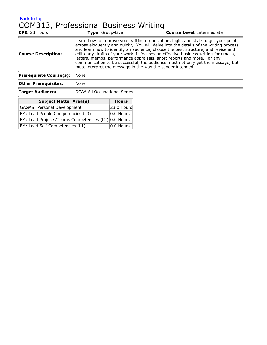#### [Back to top](#page-7-0) COM313, Professional Business Writing

| <b>CPE: 23 Hours</b>           | Type: Group-Live                                                                                                                                                                                                                                                                                                                                                                                                                                                                                                                                                                    | <b>Course Level: Intermediate</b> |  |
|--------------------------------|-------------------------------------------------------------------------------------------------------------------------------------------------------------------------------------------------------------------------------------------------------------------------------------------------------------------------------------------------------------------------------------------------------------------------------------------------------------------------------------------------------------------------------------------------------------------------------------|-----------------------------------|--|
| <b>Course Description:</b>     | Learn how to improve your writing organization, logic, and style to get your point<br>across eloquently and quickly. You will delve into the details of the writing process<br>and learn how to identify an audience, choose the best structure, and revise and<br>edit early drafts of your work. It focuses on effective business writing for emails,<br>letters, memos, performance appraisals, short reports and more. For any<br>communication to be successful, the audience must not only get the message, but<br>must interpret the message in the way the sender intended. |                                   |  |
| <b>Prerequisite Course(s):</b> | None                                                                                                                                                                                                                                                                                                                                                                                                                                                                                                                                                                                |                                   |  |
| <b>Other Prerequisites:</b>    | None                                                                                                                                                                                                                                                                                                                                                                                                                                                                                                                                                                                |                                   |  |
| <b>Target Audience:</b>        | DCAA All Occupational Series                                                                                                                                                                                                                                                                                                                                                                                                                                                                                                                                                        |                                   |  |

| <b>Subject Matter Area(s)</b>                       | <b>Hours</b>              |
|-----------------------------------------------------|---------------------------|
| <b>GAGAS: Personal Development</b>                  | 23.0 Hours                |
| FM: Lead People Competencies (L3)                   | $\vert$ 0.0 Hours $\vert$ |
| FM: Lead Projects/Teams Competencies (L2) 0.0 Hours |                           |
| FM: Lead Self Competencies (L1)                     | $ 0.0$ Hours $ $          |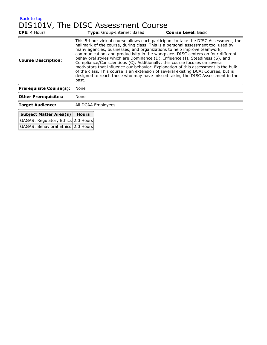### [Back to top](#page-7-0) DIS101V, The DISC Assessment Course

| <b>CPE:</b> 4 Hours                |                                                                                                                                                                                                                                                                                                                                                                                                                                                                                                                                                                                                                                                                                                                                                                            | Type: Group-Internet Based | <b>Course Level: Basic</b> |
|------------------------------------|----------------------------------------------------------------------------------------------------------------------------------------------------------------------------------------------------------------------------------------------------------------------------------------------------------------------------------------------------------------------------------------------------------------------------------------------------------------------------------------------------------------------------------------------------------------------------------------------------------------------------------------------------------------------------------------------------------------------------------------------------------------------------|----------------------------|----------------------------|
| <b>Course Description:</b>         | This 5-hour virtual course allows each participant to take the DISC Assessment, the<br>hallmark of the course, during class. This is a personal assessment tool used by<br>many agencies, businesses, and organizations to help improve teamwork,<br>communication, and productivity in the workplace. DISC centers on four different<br>behavioral styles which are Dominance (D), Influence (I), Steadiness (S), and<br>Compliance/Conscientious (C). Additionally, this course focuses on several<br>motivators that influence our behavior. Explanation of this assessment is the bulk<br>of the class. This course is an extension of several existing DCAI Courses, but is<br>designed to reach those who may have missed taking the DISC Assessment in the<br>past. |                            |                            |
| <b>Prerequisite Course(s):</b>     | None                                                                                                                                                                                                                                                                                                                                                                                                                                                                                                                                                                                                                                                                                                                                                                       |                            |                            |
| <b>Other Prerequisites:</b>        | None                                                                                                                                                                                                                                                                                                                                                                                                                                                                                                                                                                                                                                                                                                                                                                       |                            |                            |
| <b>Target Audience:</b>            |                                                                                                                                                                                                                                                                                                                                                                                                                                                                                                                                                                                                                                                                                                                                                                            | All DCAA Employees         |                            |
| Subject Matter Area(s)             | <b>Hours</b>                                                                                                                                                                                                                                                                                                                                                                                                                                                                                                                                                                                                                                                                                                                                                               |                            |                            |
| GAGAS: Regulatory Ethics 2.0 Hours |                                                                                                                                                                                                                                                                                                                                                                                                                                                                                                                                                                                                                                                                                                                                                                            |                            |                            |
| GAGAS: Behavioral Ethics 2.0 Hours |                                                                                                                                                                                                                                                                                                                                                                                                                                                                                                                                                                                                                                                                                                                                                                            |                            |                            |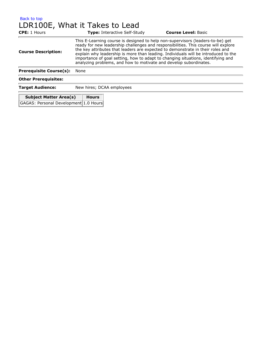## [Back to top](#page-7-0) LDR100E, What it Takes to Lead

| <b>CPE:</b> 1 Hours            | <b>Type: Interactive Self-Study</b>                                                                                                                                                                                                                                                                                                                                                                                                                                                                   | <b>Course Level: Basic</b> |  |
|--------------------------------|-------------------------------------------------------------------------------------------------------------------------------------------------------------------------------------------------------------------------------------------------------------------------------------------------------------------------------------------------------------------------------------------------------------------------------------------------------------------------------------------------------|----------------------------|--|
| <b>Course Description:</b>     | This E-Learning course is designed to help non-supervisors (leaders-to-be) get<br>ready for new leadership challenges and responsibilities. This course will explore<br>the key attributes that leaders are expected to demonstrate in their roles and<br>explain why leadership is more than leading. Individuals will be introduced to the<br>importance of goal setting, how to adapt to changing situations, identifying and<br>analyzing problems, and how to motivate and develop subordinates. |                            |  |
| <b>Prerequisite Course(s):</b> | None                                                                                                                                                                                                                                                                                                                                                                                                                                                                                                  |                            |  |
| <b>Other Prerequisites:</b>    |                                                                                                                                                                                                                                                                                                                                                                                                                                                                                                       |                            |  |
| <b>Target Audience:</b>        | New hires; DCAA employees                                                                                                                                                                                                                                                                                                                                                                                                                                                                             |                            |  |
| <b>Subject Matter Area(s)</b>  | <b>Hours</b>                                                                                                                                                                                                                                                                                                                                                                                                                                                                                          |                            |  |

GAGAS: Personal Development 1.0 Hours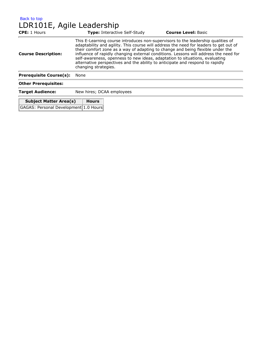#### [Back to top](#page-7-0) LDR101E, Agile Leadership

| <b>CPE:</b> 1 Hours            | <b>Type: Interactive Self-Study</b>                                                                                                                                                                                                                                                                                                                                                                                                                                                                                                         | <b>Course Level: Basic</b> |
|--------------------------------|---------------------------------------------------------------------------------------------------------------------------------------------------------------------------------------------------------------------------------------------------------------------------------------------------------------------------------------------------------------------------------------------------------------------------------------------------------------------------------------------------------------------------------------------|----------------------------|
| <b>Course Description:</b>     | This E-Learning course introduces non-supervisors to the leadership qualities of<br>adaptability and agility. This course will address the need for leaders to get out of<br>their comfort zone as a way of adapting to change and being flexible under the<br>influence of rapidly changing external conditions. Lessons will address the need for<br>self-awareness, openness to new ideas, adaptation to situations, evaluating<br>alternative perspectives and the ability to anticipate and respond to rapidly<br>changing strategies. |                            |
| <b>Prerequisite Course(s):</b> | None                                                                                                                                                                                                                                                                                                                                                                                                                                                                                                                                        |                            |
| <b>Other Prerequisites:</b>    |                                                                                                                                                                                                                                                                                                                                                                                                                                                                                                                                             |                            |
| <b>Target Audience:</b>        | New hires; DCAA employees                                                                                                                                                                                                                                                                                                                                                                                                                                                                                                                   |                            |

| <b>Subject Matter Area(s)</b>         | <b>Hours</b> |
|---------------------------------------|--------------|
| GAGAS: Personal Development 1.0 Hours |              |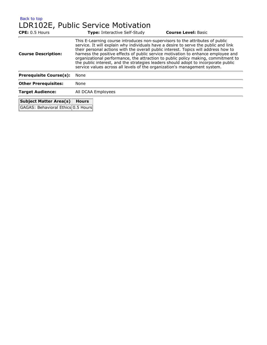## [Back to top](#page-7-0) LDR102E, Public Service Motivation

| CPE: 0.5 Hours                 | <b>Type: Interactive Self-Study</b>                                                                                                                                                                                                                                                                                                                                                                                                                                                                                                                                                                      | <b>Course Level: Basic</b> |  |
|--------------------------------|----------------------------------------------------------------------------------------------------------------------------------------------------------------------------------------------------------------------------------------------------------------------------------------------------------------------------------------------------------------------------------------------------------------------------------------------------------------------------------------------------------------------------------------------------------------------------------------------------------|----------------------------|--|
| <b>Course Description:</b>     | This E-Learning course introduces non-supervisors to the attributes of public<br>service. It will explain why individuals have a desire to serve the public and link<br>their personal actions with the overall public interest. Topics will address how to<br>harness the positive effects of public service motivation to enhance employee and<br>organizational performance, the attraction to public policy making, commitment to<br>the public interest, and the strategies leaders should adopt to incorporate public<br>service values across all levels of the organization's management system. |                            |  |
| <b>Prerequisite Course(s):</b> | None                                                                                                                                                                                                                                                                                                                                                                                                                                                                                                                                                                                                     |                            |  |
| <b>Other Prerequisites:</b>    | None                                                                                                                                                                                                                                                                                                                                                                                                                                                                                                                                                                                                     |                            |  |
| <b>Target Audience:</b>        | All DCAA Employees                                                                                                                                                                                                                                                                                                                                                                                                                                                                                                                                                                                       |                            |  |
| <b>Subject Matter Area(s)</b>  | <b>Hours</b>                                                                                                                                                                                                                                                                                                                                                                                                                                                                                                                                                                                             |                            |  |

GAGAS: Behavioral Ethics 0.5 Hours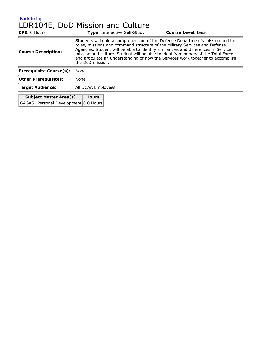## [Back to top](#page-7-0) LDR104E, DoD Mission and Culture

| <b>CPE: 0 Hours</b>            |                                                                                                                                                                                                                                                                                                                                                                                                                                               | <b>Type: Interactive Self-Study</b> | <b>Course Level: Basic</b> |
|--------------------------------|-----------------------------------------------------------------------------------------------------------------------------------------------------------------------------------------------------------------------------------------------------------------------------------------------------------------------------------------------------------------------------------------------------------------------------------------------|-------------------------------------|----------------------------|
| <b>Course Description:</b>     | Students will gain a comprehension of the Defense Department's mission and the<br>roles, missions and command structure of the Military Services and Defense<br>Agencies. Student will be able to identify similarities and differences in Service<br>mission and culture. Student will be able to identify members of the Total Force<br>and articulate an understanding of how the Services work together to accomplish<br>the DoD mission. |                                     |                            |
| <b>Prerequisite Course(s):</b> | None                                                                                                                                                                                                                                                                                                                                                                                                                                          |                                     |                            |
| <b>Other Prerequisites:</b>    | None                                                                                                                                                                                                                                                                                                                                                                                                                                          |                                     |                            |
| <b>Target Audience:</b>        | All DCAA Employees                                                                                                                                                                                                                                                                                                                                                                                                                            |                                     |                            |
| <b>Subject Matter Area(s)</b>  | <b>Hours</b><br>$\sim$ $\sim$ $\sim$                                                                                                                                                                                                                                                                                                                                                                                                          |                                     |                            |

GAGAS: Personal Development 0.0 Hours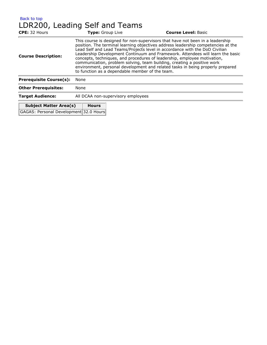| Back to top                    |  |  |
|--------------------------------|--|--|
| LDR200, Leading Self and Teams |  |  |

| CPE: 32 Hours                          | Type: Group Live                                                                                                                                                                                                                                                                                                                                                                                                                                                                                                                                                                                                                 | <b>Course Level: Basic</b> |  |
|----------------------------------------|----------------------------------------------------------------------------------------------------------------------------------------------------------------------------------------------------------------------------------------------------------------------------------------------------------------------------------------------------------------------------------------------------------------------------------------------------------------------------------------------------------------------------------------------------------------------------------------------------------------------------------|----------------------------|--|
| <b>Course Description:</b>             | This course is designed for non-supervisors that have not been in a leadership<br>position. The terminal learning objectives address leadership competencies at the<br>Lead Self and Lead Teams/Projects level in accordance with the DoD Civilian<br>Leadership Development Continuum and Framework. Attendees will learn the basic<br>concepts, techniques, and procedures of leadership, employee motivation,<br>communication, problem solving, team building, creating a positive work<br>environment, personal development and related tasks in being properly prepared<br>to function as a dependable member of the team. |                            |  |
| <b>Prerequisite Course(s):</b>         | None                                                                                                                                                                                                                                                                                                                                                                                                                                                                                                                                                                                                                             |                            |  |
| <b>Other Prerequisites:</b>            | None                                                                                                                                                                                                                                                                                                                                                                                                                                                                                                                                                                                                                             |                            |  |
| <b>Target Audience:</b>                | All DCAA non-supervisory employees                                                                                                                                                                                                                                                                                                                                                                                                                                                                                                                                                                                               |                            |  |
| <b>Subject Matter Area(s)</b>          | <b>Hours</b>                                                                                                                                                                                                                                                                                                                                                                                                                                                                                                                                                                                                                     |                            |  |
| GAGAS: Personal Development 32.0 Hours |                                                                                                                                                                                                                                                                                                                                                                                                                                                                                                                                                                                                                                  |                            |  |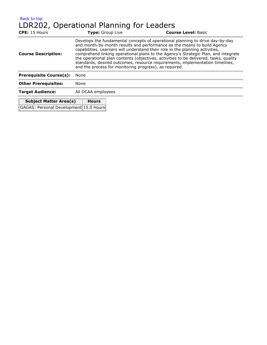[Back to top](#page-7-0) LDR202, Operational Planning for Leaders

| <b>CPE:</b> 15 Hours           | <b>Type:</b> Group Live                                | <b>Course Level: Basic</b>                                                                                                                                                                                                                                                                                                                                                                                                                                                                                |
|--------------------------------|--------------------------------------------------------|-----------------------------------------------------------------------------------------------------------------------------------------------------------------------------------------------------------------------------------------------------------------------------------------------------------------------------------------------------------------------------------------------------------------------------------------------------------------------------------------------------------|
| <b>Course Description:</b>     | and the process for monitoring progress), as required. | Develops the fundamental concepts of operational planning to drive day-by-day<br>and month-by-month results and performance as the means to build Agency<br>capabilities. Learners will understand their role in the planning activities,<br>comprehend linking operational plans to the Agency's Strategic Plan, and integrate<br>the operational plan contents (objectives, activities to be delivered, tasks, quality<br>standards, desired outcomes, resource requirements, implementation timelines, |
| <b>Prerequisite Course(s):</b> | None                                                   |                                                                                                                                                                                                                                                                                                                                                                                                                                                                                                           |
| <b>Other Prerequisites:</b>    | None                                                   |                                                                                                                                                                                                                                                                                                                                                                                                                                                                                                           |
| <b>Target Audience:</b>        | All DCAA employees                                     |                                                                                                                                                                                                                                                                                                                                                                                                                                                                                                           |
|                                | $ -$                                                   |                                                                                                                                                                                                                                                                                                                                                                                                                                                                                                           |

| <b>Subject Matter Area(s)</b>          | <b>Hours</b> |
|----------------------------------------|--------------|
| GAGAS: Personal Development 15.0 Hours |              |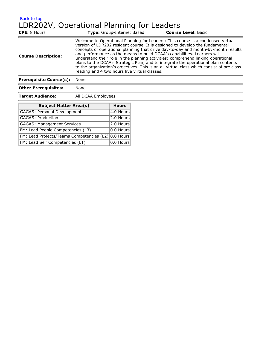[Back to top](#page-7-0)

LDR202V, Operational Planning for Leaders

| <b>CPE:</b> 8 Hours            | <b>Type:</b> Group-Internet Based                                                                                                                                                                                                                                                                                                                                                                                                                                                                                                                                                                                                                        | <b>Course Level: Basic</b> |
|--------------------------------|----------------------------------------------------------------------------------------------------------------------------------------------------------------------------------------------------------------------------------------------------------------------------------------------------------------------------------------------------------------------------------------------------------------------------------------------------------------------------------------------------------------------------------------------------------------------------------------------------------------------------------------------------------|----------------------------|
| <b>Course Description:</b>     | Welcome to Operational Planning for Leaders: This course is a condensed virtual<br>version of LDR202 resident course. It is designed to develop the fundamental<br>concepts of operational planning that drive day-to-day and month-by-month results<br>and performance as the means to build DCAA's capabilities. Learners will<br>understand their role in the planning activities; comprehend linking operational<br>plans to the DCAA's Strategic Plan, and to integrate the operational plan contents<br>to the organization's objectives. This is an all virtual class which consist of pre class<br>reading and 4 two hours live virtual classes. |                            |
| <b>Prerequisite Course(s):</b> | None                                                                                                                                                                                                                                                                                                                                                                                                                                                                                                                                                                                                                                                     |                            |
| <b>Other Prerequisites:</b>    | None                                                                                                                                                                                                                                                                                                                                                                                                                                                                                                                                                                                                                                                     |                            |
|                                |                                                                                                                                                                                                                                                                                                                                                                                                                                                                                                                                                                                                                                                          |                            |

**Target Audience:** All DCAA Employees

| <b>Subject Matter Area(s)</b>                       | <b>Hours</b> |
|-----------------------------------------------------|--------------|
| GAGAS: Personal Development                         | $ 4.0$ Hours |
| GAGAS: Production                                   | $ 2.0$ Hours |
| GAGAS: Management Services                          | 2.0 Hours    |
| FM: Lead People Competencies (L3)                   | $ 0.0$ Hours |
| FM: Lead Projects/Teams Competencies (L2) 0.0 Hours |              |
| FM: Lead Self Competencies (L1)                     | $ 0.0$ Hours |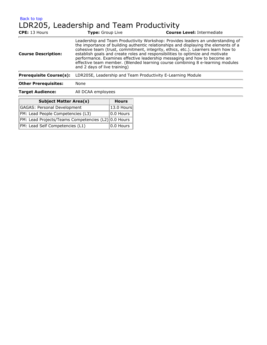### [Back to top](#page-7-0) LDR205, Leadership and Team Productivity

| <b>CPE: 13 Hours</b>           | <b>Type:</b> Group Live                                     | <b>Course Level: Intermediate</b>                                                                                                                                                                                                                                                                                                                                                                                                                                                                            |
|--------------------------------|-------------------------------------------------------------|--------------------------------------------------------------------------------------------------------------------------------------------------------------------------------------------------------------------------------------------------------------------------------------------------------------------------------------------------------------------------------------------------------------------------------------------------------------------------------------------------------------|
| <b>Course Description:</b>     | and 2 days of live training)                                | Leadership and Team Productivity Workshop: Provides leaders an understanding of<br>the importance of building authentic relationships and displaying the elements of a<br>cohesive team (trust, commitment, integrity, ethics, etc.). Learners learn how to<br>establish goals and create roles and responsibilities to optimize and motivate<br>performance. Examines effective leadership messaging and how to become an<br>effective team member. (Blended learning course combining 8 e-learning modules |
| <b>Prerequisite Course(s):</b> | LDR205E, Leadership and Team Productivity E-Learning Module |                                                                                                                                                                                                                                                                                                                                                                                                                                                                                                              |
| <b>Other Prerequisites:</b>    | None                                                        |                                                                                                                                                                                                                                                                                                                                                                                                                                                                                                              |
| <b>Target Audience:</b>        | All DCAA employees                                          |                                                                                                                                                                                                                                                                                                                                                                                                                                                                                                              |
|                                |                                                             |                                                                                                                                                                                                                                                                                                                                                                                                                                                                                                              |

| <b>Subject Matter Area(s)</b>                       | <b>Hours</b>     |
|-----------------------------------------------------|------------------|
| GAGAS: Personal Development                         | 13.0 Hours       |
| FM: Lead People Competencies (L3)                   | $ 0.0$ Hours $ $ |
| FM: Lead Projects/Teams Competencies (L2) 0.0 Hours |                  |
| FM: Lead Self Competencies (L1)                     | 10.0 Hours 1     |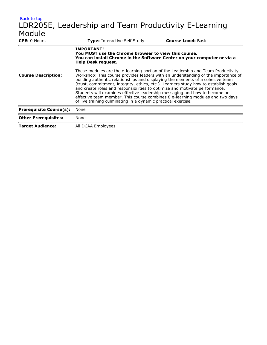| Back to top                    |                                                                                                                                                                                                                                                                                                                                                                                                                                                                                       |                            |  |
|--------------------------------|---------------------------------------------------------------------------------------------------------------------------------------------------------------------------------------------------------------------------------------------------------------------------------------------------------------------------------------------------------------------------------------------------------------------------------------------------------------------------------------|----------------------------|--|
|                                | LDR205E, Leadership and Team Productivity E-Learning                                                                                                                                                                                                                                                                                                                                                                                                                                  |                            |  |
| Module                         |                                                                                                                                                                                                                                                                                                                                                                                                                                                                                       |                            |  |
| <b>CPE:</b> 0 Hours            | Type: Interactive Self Study                                                                                                                                                                                                                                                                                                                                                                                                                                                          | <b>Course Level: Basic</b> |  |
| <b>Course Description:</b>     | <b>IMPORTANT!</b><br>You MUST use the Chrome browser to view this course.<br>You can install Chrome in the Software Center on your computer or via a<br>Help Desk request.<br>These modules are the e-learning portion of the Leadership and Team Productivity<br>Workshop: This course provides leaders with an understanding of the importance of                                                                                                                                   |                            |  |
|                                | building authentic relationships and displaying the elements of a cohesive team<br>(trust, commitment, integrity, ethics, etc.). Learners study how to establish goals<br>and create roles and responsibilities to optimize and motivate performance.<br>Students will examines effective leadership messaging and how to become an<br>effective team member. This course combines 8 e-learning modules and two days<br>of live training culminating in a dynamic practical exercise. |                            |  |
| <b>Prerequisite Course(s):</b> | None                                                                                                                                                                                                                                                                                                                                                                                                                                                                                  |                            |  |
| <b>Other Prerequisites:</b>    | None                                                                                                                                                                                                                                                                                                                                                                                                                                                                                  |                            |  |
| <b>Target Audience:</b>        | All DCAA Employees                                                                                                                                                                                                                                                                                                                                                                                                                                                                    |                            |  |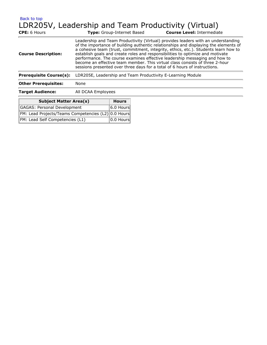[Back to top](#page-7-0)

# LDR205V, Leadership and Team Productivity (Virtual)

| <b>CPE:</b> 6 Hours            | <b>Type:</b> Group-Internet Based                                                                                                                                                                                                                                                                                                                                                                                                                                                                                                                                                              | <b>Course Level: Intermediate</b> |
|--------------------------------|------------------------------------------------------------------------------------------------------------------------------------------------------------------------------------------------------------------------------------------------------------------------------------------------------------------------------------------------------------------------------------------------------------------------------------------------------------------------------------------------------------------------------------------------------------------------------------------------|-----------------------------------|
| <b>Course Description:</b>     | Leadership and Team Productivity (Virtual) provides leaders with an understanding<br>of the importance of building authentic relationships and displaying the elements of<br>a cohesive team (trust, commitment, integrity, ethics, etc.). Students learn how to<br>establish goals and create roles and responsibilities to optimize and motivate<br>performance. The course examines effective leadership messaging and how to<br>become an effective team member. This virtual class consists of three 2-hour<br>sessions presented over three days for a total of 6 hours of instructions. |                                   |
| <b>Prerequisite Course(s):</b> | LDR205E, Leadership and Team Productivity E-Learning Module                                                                                                                                                                                                                                                                                                                                                                                                                                                                                                                                    |                                   |
| <b>Other Prerequisites:</b>    | None                                                                                                                                                                                                                                                                                                                                                                                                                                                                                                                                                                                           |                                   |
| <b>Target Audience:</b>        | All DCAA Employees                                                                                                                                                                                                                                                                                                                                                                                                                                                                                                                                                                             |                                   |
|                                |                                                                                                                                                                                                                                                                                                                                                                                                                                                                                                                                                                                                |                                   |

| <b>Subject Matter Area(s)</b>                       | Hours                     |
|-----------------------------------------------------|---------------------------|
| <b>GAGAS: Personal Development</b>                  | $ 6.0$ Hours              |
| FM: Lead Projects/Teams Competencies (L2) 0.0 Hours |                           |
| FM: Lead Self Competencies (L1)                     | $\vert$ 0.0 Hours $\vert$ |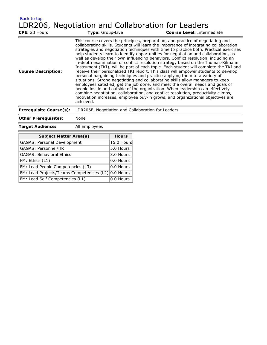| <b>Back to top</b><br>CPE: 23 Hours | Type: Group-Live | LDR206, Negotiation and Collaboration for Leaders<br><b>Course Level: Intermediate</b>                                                                                                                                                                                                                                                                                                                                                                                                                                                                                                                                                                                                                                                                                                                                                                                                                                                                                                                                                                                                                                                                                                                                     |
|-------------------------------------|------------------|----------------------------------------------------------------------------------------------------------------------------------------------------------------------------------------------------------------------------------------------------------------------------------------------------------------------------------------------------------------------------------------------------------------------------------------------------------------------------------------------------------------------------------------------------------------------------------------------------------------------------------------------------------------------------------------------------------------------------------------------------------------------------------------------------------------------------------------------------------------------------------------------------------------------------------------------------------------------------------------------------------------------------------------------------------------------------------------------------------------------------------------------------------------------------------------------------------------------------|
| <b>Course Description:</b>          | achieved.        | This course covers the principles, preparation, and practice of negotiating and<br>collaborating skills. Students will learn the importance of integrating collaboration<br>strategies and negotiation techniques with time to practice both. Practical exercises<br>help students learn to identify opportunities for negotiation and collaboration, as<br>well as develop their own influencing behaviors. Conflict resolution, including an<br>in-depth examination of conflict resolution strategy based on the Thomas-Kilmann<br>Instrument (TKI), will be part of each topic. Each student will complete the TKI and<br>receive their personalized TKI report. This class will empower students to develop<br>personal bargaining techniques and practice applying them to a variety of<br>situations. Strong negotiating and collaborating skills allow managers to keep<br>employees satisfied, get the job done, and meet the overall needs and goals of<br>people inside and outside of the organization. When leadership can effectively<br>combine negotiation, collaboration, and conflict resolution, productivity climbs,<br>motivation increases, employee buy-in grows, and organizational objectives are |

#### **Prerequisite Course(s):** LDR206E, Negotiation and Collaboration for Leaders

#### **Other Prerequisites:** None

#### **Target Audience:** All Employees

| <b>Subject Matter Area(s)</b>                       | <b>Hours</b> |
|-----------------------------------------------------|--------------|
| <b>GAGAS: Personal Development</b>                  | 15.0 Hours   |
| GAGAS: Personnel/HR                                 | 5.0 Hours    |
| <b>GAGAS: Behavioral Ethics</b>                     | 3.0 Hours    |
| FM: Ethics (L1)                                     | 0.0 Hours    |
| FM: Lead People Competencies (L3)                   | 0.0 Hours    |
| FM: Lead Projects/Teams Competencies (L2) 0.0 Hours |              |
| FM: Lead Self Competencies (L1)                     | 0.0 Hours    |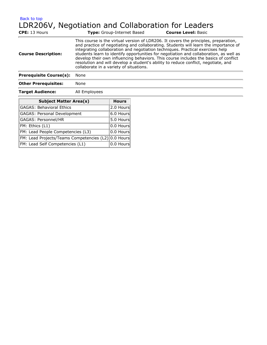[Back to top](#page-7-0)

# LDR206V, Negotiation and Collaboration for Leaders

| <b>CPE: 13 Hours</b>           | <b>Type:</b> Group-Internet Based                                                                                                                                                                                                                                                                                                                                                                                                                                                                                                                                                 | <b>Course Level: Basic</b> |
|--------------------------------|-----------------------------------------------------------------------------------------------------------------------------------------------------------------------------------------------------------------------------------------------------------------------------------------------------------------------------------------------------------------------------------------------------------------------------------------------------------------------------------------------------------------------------------------------------------------------------------|----------------------------|
| <b>Course Description:</b>     | This course is the virtual version of LDR206. It covers the principles, preparation,<br>and practice of negotiating and collaborating. Students will learn the importance of<br>integrating collaboration and negotiation techniques. Practical exercises help<br>students learn to identify opportunities for negotiation and collaboration, as well as<br>develop their own influencing behaviors. This course includes the basics of conflict<br>resolution and will develop a student's ability to reduce conflict, negotiate, and<br>collaborate in a variety of situations. |                            |
| <b>Prerequisite Course(s):</b> | None                                                                                                                                                                                                                                                                                                                                                                                                                                                                                                                                                                              |                            |
| <b>Other Prerequisites:</b>    | None                                                                                                                                                                                                                                                                                                                                                                                                                                                                                                                                                                              |                            |
| <b>Target Audience:</b>        | All Employees                                                                                                                                                                                                                                                                                                                                                                                                                                                                                                                                                                     |                            |
|                                |                                                                                                                                                                                                                                                                                                                                                                                                                                                                                                                                                                                   |                            |

| <b>Target Audience:</b> | All Employees |
|-------------------------|---------------|
|-------------------------|---------------|

| <b>Subject Matter Area(s)</b>                       | <b>Hours</b> |
|-----------------------------------------------------|--------------|
| GAGAS: Behavioral Ethics                            | 2.0 Hours    |
| <b>GAGAS: Personal Development</b>                  | 6.0 Hours    |
| GAGAS: Personnel/HR                                 | 5.0 Hours    |
| FM: Ethics (L1)                                     | $ 0.0$ Hours |
| FM: Lead People Competencies (L3)                   | 0.0 Hours    |
| FM: Lead Projects/Teams Competencies (L2) 0.0 Hours |              |
| FM: Lead Self Competencies (L1)                     | 0.0 Hours    |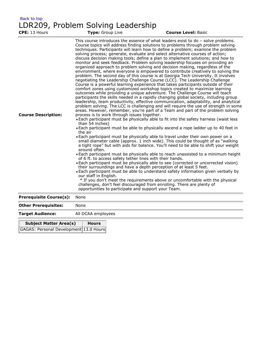#### [Back to top](#page-7-0) LDR209, Problem Solving Leadership

| CPE: 13 Hours                  | Type: Group Live                                                                                                                                                                                                                       | <b>Course Level: Basic</b>                                                                                                                                                                                                                                                                                                                                                                                                                                                                                                                                                                                                                                                                                                                                                                                                                                                                                                                                                                                                                                                                                                                                                                                                                                                                                                                                                                                                                                                                                                                                                                                                                                                                                                                                                                                                                                                                                                                                                                                                                                                                                                                                                                                                                                                                                                                                                                                                |  |
|--------------------------------|----------------------------------------------------------------------------------------------------------------------------------------------------------------------------------------------------------------------------------------|---------------------------------------------------------------------------------------------------------------------------------------------------------------------------------------------------------------------------------------------------------------------------------------------------------------------------------------------------------------------------------------------------------------------------------------------------------------------------------------------------------------------------------------------------------------------------------------------------------------------------------------------------------------------------------------------------------------------------------------------------------------------------------------------------------------------------------------------------------------------------------------------------------------------------------------------------------------------------------------------------------------------------------------------------------------------------------------------------------------------------------------------------------------------------------------------------------------------------------------------------------------------------------------------------------------------------------------------------------------------------------------------------------------------------------------------------------------------------------------------------------------------------------------------------------------------------------------------------------------------------------------------------------------------------------------------------------------------------------------------------------------------------------------------------------------------------------------------------------------------------------------------------------------------------------------------------------------------------------------------------------------------------------------------------------------------------------------------------------------------------------------------------------------------------------------------------------------------------------------------------------------------------------------------------------------------------------------------------------------------------------------------------------------------------|--|
| <b>Course Description:</b>     | process is to work through issues together.<br>than 54 inches)<br>the air<br>around often.<br>of 6 ft. to access safety tether lines with their hands.<br>our staff in English.<br>opportunities to participate and support your Team. | This course introduces the essence of what leaders exist to $do - solve$ problems.<br>Course topics will address finding solutions to problems through problem solving<br>techniques. Participants will learn how to define a problem; examine the problem<br>solving process; generate, evaluate and select alternative courses of action;<br>discuss decision making tools; define a plan to implement solutions; and how to<br>monitor and seek feedback. Problem solving leadership focuses on providing an<br>organized approach to problem solving and decision making, regardless of the<br>environment, where everyone is empowered to contribute creatively to solving the<br>problem. The second day of this course is at Georgia Tech University. It involves<br>negotiating the Leadership Challenge Course (LCC). The Leadership Challenge<br>Course is a powerful learning experience that takes participants outside of their<br>comfort zones using customized workshop topics created to maximize learning<br>outcomes while providing a unique adventure. The Challenge Course will teach<br>participants the skills needed in a rapidly changing global society, including group<br>leadership, team productivity, effective communication, adaptability, and analytical<br>problem solving. The LCC is challenging and will require the use of strength in some<br>areas. However, remember, you're part of a Team and part of the problem solving<br>. Each participant must be physically able to fit into the safety harness (waist less<br>• Each participant must be able to physically ascend a rope ladder up to 40 feet in<br>• Each participant must be physically able to travel under their own power on a<br>small diameter cable (approx. 1 inch wide). This could be thought of as "walking<br>a tight rope" but with aids for balance. You'll need to be able to shift your weight<br>. Each participant must be physically able to reach unassisted to a minimum height<br>• Each participant must be physically able to see (corrected or uncorrected vision)<br>their surroundings and have a depth perception of at least 5 feet.<br>. Each participant must be able to understand safety information given verbally by<br>* If you don't meet the requirements above or uncomfortable with the physical<br>challenges, don't feel discouraged from enrolling. There are plenty of |  |
| <b>Prerequisite Course(s):</b> | None                                                                                                                                                                                                                                   |                                                                                                                                                                                                                                                                                                                                                                                                                                                                                                                                                                                                                                                                                                                                                                                                                                                                                                                                                                                                                                                                                                                                                                                                                                                                                                                                                                                                                                                                                                                                                                                                                                                                                                                                                                                                                                                                                                                                                                                                                                                                                                                                                                                                                                                                                                                                                                                                                           |  |
| <b>Other Prerequisites:</b>    | None                                                                                                                                                                                                                                   |                                                                                                                                                                                                                                                                                                                                                                                                                                                                                                                                                                                                                                                                                                                                                                                                                                                                                                                                                                                                                                                                                                                                                                                                                                                                                                                                                                                                                                                                                                                                                                                                                                                                                                                                                                                                                                                                                                                                                                                                                                                                                                                                                                                                                                                                                                                                                                                                                           |  |
| <b>Target Audience:</b>        | All DCAA employees                                                                                                                                                                                                                     |                                                                                                                                                                                                                                                                                                                                                                                                                                                                                                                                                                                                                                                                                                                                                                                                                                                                                                                                                                                                                                                                                                                                                                                                                                                                                                                                                                                                                                                                                                                                                                                                                                                                                                                                                                                                                                                                                                                                                                                                                                                                                                                                                                                                                                                                                                                                                                                                                           |  |

| <b>Subject Matter Area(s)</b>          | <b>Hours</b> |
|----------------------------------------|--------------|
| GAGAS: Personal Development 13.0 Hours |              |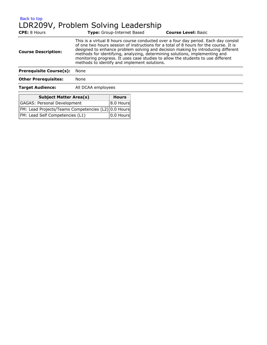[Back to top](#page-7-0) LDR209V, Problem Solving Leadership

| <b>CPE:</b> 8 Hours                |                                                                                                                                                                                                                                                                                                                                                                                                                                                                                     | <b>Type:</b> Group-Internet Based | <b>Course Level: Basic</b> |
|------------------------------------|-------------------------------------------------------------------------------------------------------------------------------------------------------------------------------------------------------------------------------------------------------------------------------------------------------------------------------------------------------------------------------------------------------------------------------------------------------------------------------------|-----------------------------------|----------------------------|
| <b>Course Description:</b>         | This is a virtual 8 hours course conducted over a four day period. Each day consist<br>of one two hours session of instructions for a total of 8 hours for the course. It is<br>designed to enhance problem solving and decision making by introducing different<br>methods for identifying, analyzing, determining solutions, implementing and<br>monitoring progress. It uses case studies to allow the students to use different<br>methods to identify and implement solutions. |                                   |                            |
| <b>Prerequisite Course(s):</b>     | None                                                                                                                                                                                                                                                                                                                                                                                                                                                                                |                                   |                            |
| <b>Other Prerequisites:</b>        | None                                                                                                                                                                                                                                                                                                                                                                                                                                                                                |                                   |                            |
| <b>Target Audience:</b>            | All DCAA employees                                                                                                                                                                                                                                                                                                                                                                                                                                                                  |                                   |                            |
| <b>Subject Matter Area(s)</b>      |                                                                                                                                                                                                                                                                                                                                                                                                                                                                                     | <b>Hours</b>                      |                            |
| <b>GAGAS: Personal Development</b> |                                                                                                                                                                                                                                                                                                                                                                                                                                                                                     | 8.0 Hours                         |                            |

|                                                     | 1. 1                        |
|-----------------------------------------------------|-----------------------------|
| FM: Lead Projects/Teams Competencies (L2) 0.0 Hours |                             |
| FM: Lead Self Competencies (L1)                     | $\boxed{0.0 \text{ Hours}}$ |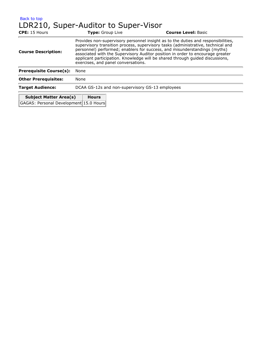| <b>CPE:</b> 15 Hours           | <b>Type:</b> Group Live                         | <b>Course Level: Basic</b>                                                                                                                                                                                                                                                                                                                                                                                            |
|--------------------------------|-------------------------------------------------|-----------------------------------------------------------------------------------------------------------------------------------------------------------------------------------------------------------------------------------------------------------------------------------------------------------------------------------------------------------------------------------------------------------------------|
| <b>Course Description:</b>     | exercises, and panel conversations.             | Provides non-supervisory personnel insight as to the duties and responsibilities,<br>supervisory transition process, supervisory tasks (administrative, technical and<br>personnel) performed; enablers for success, and misunderstandings (myths)<br>associated with the Supervisory Auditor position in order to encourage greater<br>applicant participation. Knowledge will be shared through guided discussions, |
| <b>Prerequisite Course(s):</b> | None                                            |                                                                                                                                                                                                                                                                                                                                                                                                                       |
| <b>Other Prerequisites:</b>    | None                                            |                                                                                                                                                                                                                                                                                                                                                                                                                       |
| <b>Target Audience:</b>        | DCAA GS-12s and non-supervisory GS-13 employees |                                                                                                                                                                                                                                                                                                                                                                                                                       |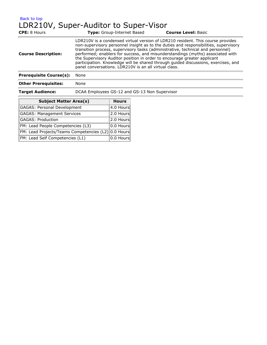#### [Back to top](#page-7-0) LDR210V, Super-Auditor to Super-Visor

| <b>CPE:</b> 8 Hours            | <b>Type:</b> Group-Internet Based             | <b>Course Level: Basic</b>                                                                                                                                                                                                                                                                                                                                                                                                                                                                                                                                              |  |
|--------------------------------|-----------------------------------------------|-------------------------------------------------------------------------------------------------------------------------------------------------------------------------------------------------------------------------------------------------------------------------------------------------------------------------------------------------------------------------------------------------------------------------------------------------------------------------------------------------------------------------------------------------------------------------|--|
| <b>Course Description:</b>     |                                               | LDR210V is a condensed virtual version of LDR210 resident. This course provides<br>non-supervisory personnel insight as to the duties and responsibilities, supervisory<br>transition process, supervisory tasks (administrative, technical and personnel)<br>performed; enablers for success, and misunderstandings (myths) associated with<br>the Supervisory Auditor position in order to encourage greater applicant<br>participation. Knowledge will be shared through guided discussions, exercises, and<br>panel conversations. LDR210V is an all virtual class. |  |
| <b>Prerequisite Course(s):</b> | None                                          |                                                                                                                                                                                                                                                                                                                                                                                                                                                                                                                                                                         |  |
| <b>Other Prerequisites:</b>    | None                                          |                                                                                                                                                                                                                                                                                                                                                                                                                                                                                                                                                                         |  |
| <b>Target Audience:</b>        | DCAA Employees GS-12 and GS-13 Non Supervisor |                                                                                                                                                                                                                                                                                                                                                                                                                                                                                                                                                                         |  |

| <b>Subject Matter Area(s)</b>                       | <b>Hours</b>       |
|-----------------------------------------------------|--------------------|
| GAGAS: Personal Development                         | $ 4.0$ Hours       |
| <b>GAGAS: Management Services</b>                   | 2.0 Hours          |
| <b>GAGAS: Production</b>                            | 2.0 Hours          |
| FM: Lead People Competencies (L3)                   | $ 0.0$ Hours       |
| FM: Lead Projects/Teams Competencies (L2) 0.0 Hours |                    |
| FM: Lead Self Competencies (L1)                     | $\sqrt{0.0}$ Hours |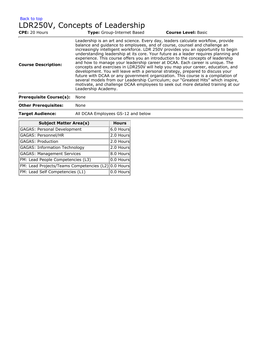[Back to top](#page-7-0) LDR250V, Concepts of Leadership

| <b>CPE: 20 Hours</b>       | <b>Type:</b> Group-Internet Based                                                                                                                                                   | <b>Course Level: Basic</b>                                                                                                                                                                                                                                                                                                                                                                                                                                                                                                                                                                                                                                                                                                                                                       |
|----------------------------|-------------------------------------------------------------------------------------------------------------------------------------------------------------------------------------|----------------------------------------------------------------------------------------------------------------------------------------------------------------------------------------------------------------------------------------------------------------------------------------------------------------------------------------------------------------------------------------------------------------------------------------------------------------------------------------------------------------------------------------------------------------------------------------------------------------------------------------------------------------------------------------------------------------------------------------------------------------------------------|
| <b>Course Description:</b> | balance and guidance to employees, and of course, counsel and challenge an<br>development. You will leave with a personal strategy, prepared to discuss your<br>Leadership Academy. | Leadership is an art and science. Every day, leaders calculate workflow, provide<br>increasingly intelligent workforce. LDR 250V provides you an opportunity to begin<br>understanding leadership at its core. Your future as a leader requires planning and<br>experience. This course offers you an introduction to the concepts of leadership<br>and how to manage your leadership career at DCAA. Each career is unique. The<br>concepts and exercises in LDR250V will help you map your career, education, and<br>future with DCAA or any government organization. This course is a compilation of<br>several models from our Leadership Curriculum; our "Greatest Hits" which inspire,<br>motivate, and challenge DCAA employees to seek out more detailed training at our |
|                            |                                                                                                                                                                                     |                                                                                                                                                                                                                                                                                                                                                                                                                                                                                                                                                                                                                                                                                                                                                                                  |

| <b>Prerequisite Course(s):</b> |  |  | None |
|--------------------------------|--|--|------|
|--------------------------------|--|--|------|

**Other Prerequisites:** None

| <b>Target Audience:</b> | All DCAA Employees GS-12 and below |  |
|-------------------------|------------------------------------|--|
|                         |                                    |  |

| <b>Subject Matter Area(s)</b>                       | <b>Hours</b> |
|-----------------------------------------------------|--------------|
| GAGAS: Personal Development                         | 6.0 Hours    |
| GAGAS: Personnel/HR                                 | 2.0 Hours    |
| <b>GAGAS: Production</b>                            | 2.0 Hours    |
| <b>GAGAS: Information Technology</b>                | 2.0 Hours    |
| <b>GAGAS: Management Services</b>                   | 8.0 Hours    |
| FM: Lead People Competencies (L3)                   | 0.0 Hours    |
| FM: Lead Projects/Teams Competencies (L2) 0.0 Hours |              |
| FM: Lead Self Competencies (L1)                     | 0.0 Hours    |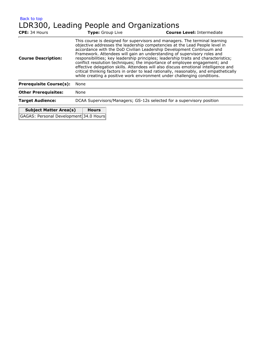| Back to top<br><b>CPE: 34 Hours</b>                                     | LDR300, Leading People and Organizations<br><b>Type:</b> Group Live | <b>Course Level: Intermediate</b>                                                                                                                                                                                                                                                                                                                                                                                                                                                                                                                                                                                                                                                                                                                |
|-------------------------------------------------------------------------|---------------------------------------------------------------------|--------------------------------------------------------------------------------------------------------------------------------------------------------------------------------------------------------------------------------------------------------------------------------------------------------------------------------------------------------------------------------------------------------------------------------------------------------------------------------------------------------------------------------------------------------------------------------------------------------------------------------------------------------------------------------------------------------------------------------------------------|
| <b>Course Description:</b>                                              |                                                                     | This course is designed for supervisors and managers. The terminal learning<br>objective addresses the leadership competencies at the Lead People level in<br>accordance with the DoD Civilian Leadership Development Continuum and<br>Framework. Attendees will gain an understanding of supervisory roles and<br>responsibilities; key leadership principles; leadership traits and characteristics;<br>conflict resolution techniques; the importance of employee engagement; and<br>effective delegation skills. Attendees will also discuss emotional intelligence and<br>critical thinking factors in order to lead rationally, reasonably, and empathetically<br>while creating a positive work environment under challenging conditions. |
| <b>Prerequisite Course(s):</b>                                          | None                                                                |                                                                                                                                                                                                                                                                                                                                                                                                                                                                                                                                                                                                                                                                                                                                                  |
| <b>Other Prerequisites:</b>                                             | None                                                                |                                                                                                                                                                                                                                                                                                                                                                                                                                                                                                                                                                                                                                                                                                                                                  |
| <b>Target Audience:</b>                                                 |                                                                     | DCAA Supervisors/Managers; GS-12s selected for a supervisory position                                                                                                                                                                                                                                                                                                                                                                                                                                                                                                                                                                                                                                                                            |
| <b>Subject Matter Area(s)</b><br>GAGAS: Personal Development 34.0 Hours | <b>Hours</b>                                                        |                                                                                                                                                                                                                                                                                                                                                                                                                                                                                                                                                                                                                                                                                                                                                  |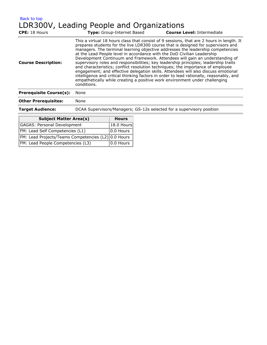| Back to top                               |  |  |  |
|-------------------------------------------|--|--|--|
| LDR300V, Leading People and Organizations |  |  |  |

| <b>CPE: 18 Hours</b>           | Type: Group-Internet Based                                                                                                                                                                                                                                                                                                                       | <b>Course Level: Intermediate</b>                                                                                                                                                                                                                                                                                                                                                                                                                                                                                                 |
|--------------------------------|--------------------------------------------------------------------------------------------------------------------------------------------------------------------------------------------------------------------------------------------------------------------------------------------------------------------------------------------------|-----------------------------------------------------------------------------------------------------------------------------------------------------------------------------------------------------------------------------------------------------------------------------------------------------------------------------------------------------------------------------------------------------------------------------------------------------------------------------------------------------------------------------------|
| <b>Course Description:</b>     | at the Lead People level in accordance with the DoD Civilian Leadership<br>supervisory roles and responsibilities; key leadership principles; leadership traits<br>and characteristics; conflict resolution techniques; the importance of employee<br>empathetically while creating a positive work environment under challenging<br>conditions. | This a virtual 18 hours class that consist of 9 sessions, that are 2 hours in length. It<br>prepares students for the live LDR300 course that is designed for supervisors and<br>managers. The terminal learning objective addresses the leadership competencies<br>Development Continuum and Framework. Attendees will gain an understanding of<br>engagement; and effective delegation skills. Attendees will also discuss emotional<br>intelligence and critical thinking factors in order to lead rationally, reasonably, and |
| <b>Prerequisite Course(s):</b> | None                                                                                                                                                                                                                                                                                                                                             |                                                                                                                                                                                                                                                                                                                                                                                                                                                                                                                                   |
| <b>Other Prerequisites:</b>    | None                                                                                                                                                                                                                                                                                                                                             |                                                                                                                                                                                                                                                                                                                                                                                                                                                                                                                                   |
| <b>Target Audience:</b>        | DCAA Supervisors/Managers; GS-12s selected for a supervisory position                                                                                                                                                                                                                                                                            |                                                                                                                                                                                                                                                                                                                                                                                                                                                                                                                                   |

| <b>Subject Matter Area(s)</b>                       | <b>Hours</b> |
|-----------------------------------------------------|--------------|
| <b>GAGAS: Personal Development</b>                  | 18.0 Hours   |
| FM: Lead Self Competencies (L1)                     | 0.0 Hours    |
| FM: Lead Projects/Teams Competencies (L2) 0.0 Hours |              |
| FM: Lead People Competencies (L3)                   | $ 0.0$ Hours |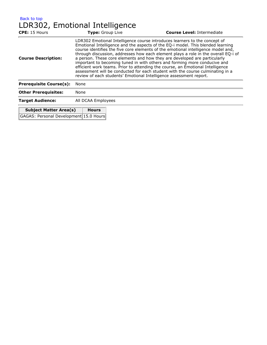[Back to top](#page-7-0) LDR302, Emotional Intelligence **CPE:** 15 Hours **Type:** Group Live **Course Level:** Intermediate **Course Description:** LDR302 Emotional Intelligence course introduces learners to the concept of Emotional Intelligence and the aspects of the EQ-i model. This blended learning course identifies the five core elements of the emotional intelligence model and, through discussion, addresses how each element plays a role in the overall EQ-i of a person. These core elements and how they are developed are particularly important to becoming tuned in with others and forming more conducive and efficient work teams. Prior to attending the course, an Emotional Intelligence assessment will be conducted for each student with the course culminating in a review of each students' Emotional Intelligence assessment report. **Prerequisite Course(s):** None **Other Prerequisites:** None

**Target Audience:** All DCAA Employees **Subject Matter Area(s) Hours**

GAGAS: Personal Development 15.0 Hours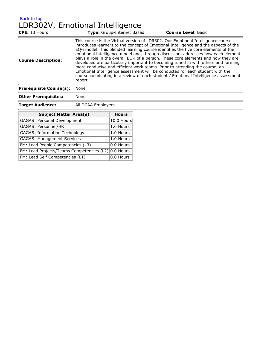[Back to top](#page-7-0) LDR302V, Emotional Intelligence

| <b>CPE: 13 Hours</b>           | <b>Type:</b> Group-Internet Based                                                                                                                                                                                                                                                                                                              | <b>Course Level: Basic</b>                                                                                                                                                                                                                                                                                                                                                                                                               |
|--------------------------------|------------------------------------------------------------------------------------------------------------------------------------------------------------------------------------------------------------------------------------------------------------------------------------------------------------------------------------------------|------------------------------------------------------------------------------------------------------------------------------------------------------------------------------------------------------------------------------------------------------------------------------------------------------------------------------------------------------------------------------------------------------------------------------------------|
| <b>Course Description:</b>     | This course is the Virtual version of LDR302. Our Emotional Intelligence course<br>EQ-i model. This blended learning course identifies the five core elements of the<br>more conducive and efficient work teams. Prior to attending the course, an<br>Emotional Intelligence assessment will be conducted for each student with the<br>report. | introduces learners to the concept of Emotional Intelligence and the aspects of the<br>emotional intelligence model and, through discussion, addresses how each element<br>plays a role in the overall EQ-i of a person. These core elements and how they are<br>developed are particularly important to becoming tuned in with others and forming<br>course culminating in a review of each students' Emotional Intelligence assessment |
| <b>Prerequisite Course(s):</b> | None                                                                                                                                                                                                                                                                                                                                           |                                                                                                                                                                                                                                                                                                                                                                                                                                          |
| <b>Other Prerequisites:</b>    | None                                                                                                                                                                                                                                                                                                                                           |                                                                                                                                                                                                                                                                                                                                                                                                                                          |

**Target Audience:** All DCAA Employees

Ē.

| <b>Subject Matter Area(s)</b>                       | <b>Hours</b> |
|-----------------------------------------------------|--------------|
| <b>GAGAS: Personal Development</b>                  | 10.0 Hours   |
| GAGAS: Personnel/HR                                 | 1.0 Hours    |
| <b>GAGAS: Information Technology</b>                | 1.0 Hours    |
| <b>GAGAS: Management Services</b>                   | 1.0 Hours    |
| FM: Lead People Competencies (L3)                   | 0.0 Hours    |
| FM: Lead Projects/Teams Competencies (L2) 0.0 Hours |              |
| FM: Lead Self Competencies (L1)                     | 0.0 Hours    |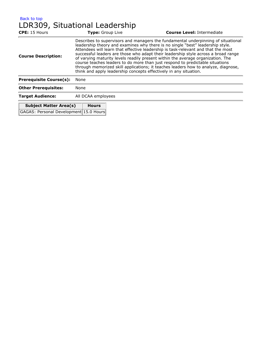[Back to top](#page-7-0)

# LDR309, Situational Leadership

| CPE: 15 Hours                          | <b>Type:</b> Group Live                                                                                                                                                                                                                                                                                                                                                                                                                                                                                                                                                                                                                                                       |  | <b>Course Level: Intermediate</b> |
|----------------------------------------|-------------------------------------------------------------------------------------------------------------------------------------------------------------------------------------------------------------------------------------------------------------------------------------------------------------------------------------------------------------------------------------------------------------------------------------------------------------------------------------------------------------------------------------------------------------------------------------------------------------------------------------------------------------------------------|--|-----------------------------------|
| <b>Course Description:</b>             | Describes to supervisors and managers the fundamental underpinning of situational<br>leadership theory and examines why there is no single "best" leadership style.<br>Attendees will learn that effective leadership is task-relevant and that the most<br>successful leaders are those who adapt their leadership style across a broad range<br>of varying maturity levels readily present within the average organization. The<br>course teaches leaders to do more than just respond to predictable situations<br>through memorized skill applications; it teaches leaders how to analyze, diagnose,<br>think and apply leadership concepts effectively in any situation. |  |                                   |
| <b>Prerequisite Course(s):</b>         | None                                                                                                                                                                                                                                                                                                                                                                                                                                                                                                                                                                                                                                                                          |  |                                   |
| <b>Other Prerequisites:</b>            | None                                                                                                                                                                                                                                                                                                                                                                                                                                                                                                                                                                                                                                                                          |  |                                   |
| <b>Target Audience:</b>                | All DCAA employees                                                                                                                                                                                                                                                                                                                                                                                                                                                                                                                                                                                                                                                            |  |                                   |
| <b>Subject Matter Area(s)</b>          | <b>Hours</b>                                                                                                                                                                                                                                                                                                                                                                                                                                                                                                                                                                                                                                                                  |  |                                   |
| GAGAS: Personal Development 15.0 Hours |                                                                                                                                                                                                                                                                                                                                                                                                                                                                                                                                                                                                                                                                               |  |                                   |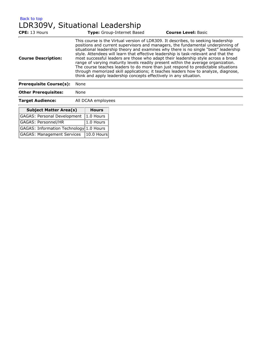[Back to top](#page-7-0) LDR309V, Situational Leadership

| <b>CPE:</b> 13 Hours           | Type: Group-Internet Based                                                                                                                                                                                                                    | <b>Course Level: Basic</b>                                                                                                                                                                                                                                                                                                                                                                                                                                                                                                  |
|--------------------------------|-----------------------------------------------------------------------------------------------------------------------------------------------------------------------------------------------------------------------------------------------|-----------------------------------------------------------------------------------------------------------------------------------------------------------------------------------------------------------------------------------------------------------------------------------------------------------------------------------------------------------------------------------------------------------------------------------------------------------------------------------------------------------------------------|
| <b>Course Description:</b>     | This course is the Virtual version of LDR309. It describes, to seeking leadership<br>style. Attendees will learn that effective leadership is task-relevant and that the<br>think and apply leadership concepts effectively in any situation. | positions and current supervisors and managers, the fundamental underpinning of<br>situational leadership theory and examines why there is no single "best" leadership<br>most successful leaders are those who adapt their leadership style across a broad<br>range of varying maturity levels readily present within the average organization.<br>The course teaches leaders to do more than just respond to predictable situations<br>through memorized skill applications; it teaches leaders how to analyze, diagnose, |
| <b>Prerequisite Course(s):</b> | None                                                                                                                                                                                                                                          |                                                                                                                                                                                                                                                                                                                                                                                                                                                                                                                             |
| <b>Other Prerequisites:</b>    | None                                                                                                                                                                                                                                          |                                                                                                                                                                                                                                                                                                                                                                                                                                                                                                                             |

**Target Audience:** All DCAA employees

t.

| <b>Subject Matter Area(s)</b>           | <b>Hours</b>  |
|-----------------------------------------|---------------|
| <b>GAGAS: Personal Development</b>      | $ 1.0$ Hours  |
| GAGAS: Personnel/HR                     | $ 1.0$ Hours  |
| GAGAS: Information Technology 1.0 Hours |               |
| <b>GAGAS: Management Services</b>       | $ 10.0$ Hours |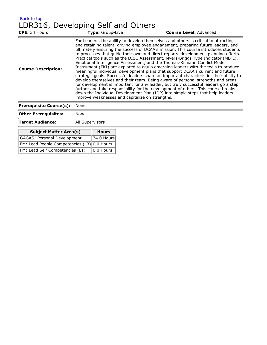| Back to top                        |  |  |  |
|------------------------------------|--|--|--|
| LDR316, Developing Self and Others |  |  |  |

| CPE: 34 Hours                  | Type: Group-Live                                | <b>Course Level: Advanced</b>                                                                                                                                                                                                                                                                                                                                                                                                                                                                                                                                                                                                                                                                                                                                                                                                                                                                                                                                                                                                                                                                                                         |
|--------------------------------|-------------------------------------------------|---------------------------------------------------------------------------------------------------------------------------------------------------------------------------------------------------------------------------------------------------------------------------------------------------------------------------------------------------------------------------------------------------------------------------------------------------------------------------------------------------------------------------------------------------------------------------------------------------------------------------------------------------------------------------------------------------------------------------------------------------------------------------------------------------------------------------------------------------------------------------------------------------------------------------------------------------------------------------------------------------------------------------------------------------------------------------------------------------------------------------------------|
| <b>Course Description:</b>     | improve weaknesses and capitalize on strengths. | For Leaders, the ability to develop themselves and others is critical to attracting<br>and retaining talent, driving employee engagement, preparing future leaders, and<br>ultimately ensuring the success of DCAA's mission. This course introduces students<br>to processes that quide their own and direct reports' development-planning efforts.<br>Practical tools such as the DISC Assessment, Myers-Briggs Type Indicator (MBTI),<br>Emotional Intelligence Assessment, and the Thomas-Kilmann Conflict Mode<br>Instrument (TKI) are explored to equip emerging leaders with the tools to produce<br>meaningful individual development plans that support DCAA's current and future<br>strategic goals. Successful leaders share an important characteristic: their ability to<br>develop themselves and their team. Being aware of personal strengths and areas<br>for development is important for any leader, but truly successful leaders go a step<br>further and take responsibility for the development of others. This course breaks<br>down the Individual Development Plan (IDP) into simple steps that help leaders |
| <b>Prerequisite Course(s):</b> | None                                            |                                                                                                                                                                                                                                                                                                                                                                                                                                                                                                                                                                                                                                                                                                                                                                                                                                                                                                                                                                                                                                                                                                                                       |

| . . <b>.</b>                       |                 |              |
|------------------------------------|-----------------|--------------|
| <b>Other Prerequisites:</b>        | None            |              |
| <b>Target Audience:</b>            | All Supervisors |              |
| <b>Subject Matter Area(s)</b>      |                 | <b>Hours</b> |
| <b>GAGAS: Personal Development</b> |                 | 34.0 Hours   |
| FM: Lead People Competencies (L3)  |                 | 10.0 Hours   |
| FM: Lead Self Competencies (L1)    |                 | 0.0 Hours    |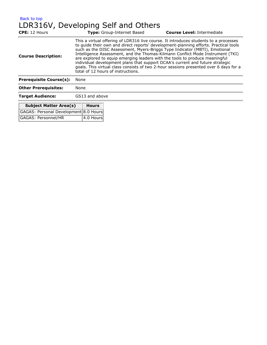[Back to top](#page-7-0) LDR316V, Developing Self and Others

| <b>CPE:</b> 12 Hours                  |                                                                                                                                                                                                                                                                                                                                                                                                                                                                                                                                                                                                                                             | Type: Group-Internet Based | <b>Course Level: Intermediate</b> |
|---------------------------------------|---------------------------------------------------------------------------------------------------------------------------------------------------------------------------------------------------------------------------------------------------------------------------------------------------------------------------------------------------------------------------------------------------------------------------------------------------------------------------------------------------------------------------------------------------------------------------------------------------------------------------------------------|----------------------------|-----------------------------------|
| <b>Course Description:</b>            | This a virtual offering of LDR316 live course. It introduces students to a processes<br>to quide their own and direct reports' development-planning efforts. Practical tools<br>such as the DISC Assessment, Myers-Briggs Type Indicator (MBTI), Emotional<br>Intelligence Assessment, and the Thomas-Kilmann Conflict Mode Instrument (TKI)<br>are explored to equip emerging leaders with the tools to produce meaningful<br>individual development plans that support DCAA's current and future strategic<br>goals. This virtual class consists of two 2-hour sessions presented over 6 days for a<br>total of 12 hours of instructions. |                            |                                   |
| <b>Prerequisite Course(s):</b>        | None                                                                                                                                                                                                                                                                                                                                                                                                                                                                                                                                                                                                                                        |                            |                                   |
| <b>Other Prerequisites:</b>           | None                                                                                                                                                                                                                                                                                                                                                                                                                                                                                                                                                                                                                                        |                            |                                   |
| <b>Target Audience:</b>               | GS13 and above                                                                                                                                                                                                                                                                                                                                                                                                                                                                                                                                                                                                                              |                            |                                   |
| <b>Subject Matter Area(s)</b>         | <b>Hours</b>                                                                                                                                                                                                                                                                                                                                                                                                                                                                                                                                                                                                                                |                            |                                   |
| GAGAS: Personal Development 8.0 Hours |                                                                                                                                                                                                                                                                                                                                                                                                                                                                                                                                                                                                                                             |                            |                                   |
| GAGAS: Personnel/HR                   | 4.0 Hours                                                                                                                                                                                                                                                                                                                                                                                                                                                                                                                                                                                                                                   |                            |                                   |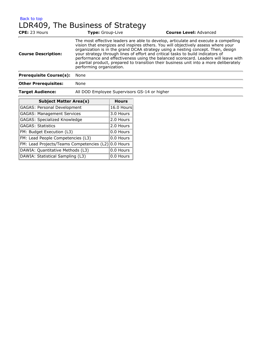## [Back to top](#page-7-0) LDR409, The Business of Strategy

| <b>CPE: 23 Hours</b>           | <b>Type:</b> Group-Live                      | <b>Course Level: Advanced</b>                                                                                                                                                                                                                                                                                                                                                                                                                                                                                                    |
|--------------------------------|----------------------------------------------|----------------------------------------------------------------------------------------------------------------------------------------------------------------------------------------------------------------------------------------------------------------------------------------------------------------------------------------------------------------------------------------------------------------------------------------------------------------------------------------------------------------------------------|
| <b>Course Description:</b>     | performing organization.                     | The most effective leaders are able to develop, articulate and execute a compelling<br>vision that energizes and inspires others. You will objectively assess where your<br>organization is in the grand DCAA strategy using a nesting concept. Then, design<br>your strategy through lines of effort and critical tasks to build indicators of<br>performance and effectiveness using the balanced scorecard. Leaders will leave with<br>a partial product, prepared to transition their business unit into a more deliberately |
| <b>Prerequisite Course(s):</b> | None                                         |                                                                                                                                                                                                                                                                                                                                                                                                                                                                                                                                  |
| <b>Other Prerequisites:</b>    | None                                         |                                                                                                                                                                                                                                                                                                                                                                                                                                                                                                                                  |
| <b>Target Audience:</b>        | All DOD Employee Supervisors GS-14 or higher |                                                                                                                                                                                                                                                                                                                                                                                                                                                                                                                                  |

| <b>Subject Matter Area(s)</b>             | <b>Hours</b> |
|-------------------------------------------|--------------|
| GAGAS: Personal Development               | 16.0 Hours   |
| <b>GAGAS: Management Services</b>         | 3.0 Hours    |
| GAGAS: Specialized Knowledge              | 2.0 Hours    |
| <b>GAGAS: Statistics</b>                  | 2.0 Hours    |
| FM: Budget Execution (L3)                 | 0.0 Hours    |
| FM: Lead People Competencies (L3)         | 0.0 Hours    |
| FM: Lead Projects/Teams Competencies (L2) | 0.0 Hours    |
| DAWIA: Quantitative Methods (L3)          | 0.0 Hours    |
| DAWIA: Statistical Sampling (L3)          | 0.0 Hours    |
|                                           |              |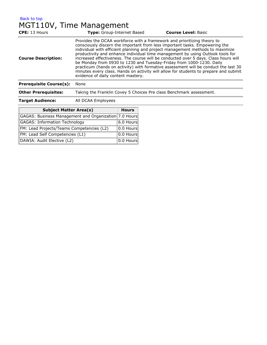[Back to top](#page-7-0) MGT110V, Time Management

| <b>CPE:</b> 13 Hours           | <b>Type:</b> Group-Internet Based                                                                                                                                                                                                                                    | <b>Course Level: Basic</b>                                                                                                                                                                                                                                                                                                                                                                                                            |  |
|--------------------------------|----------------------------------------------------------------------------------------------------------------------------------------------------------------------------------------------------------------------------------------------------------------------|---------------------------------------------------------------------------------------------------------------------------------------------------------------------------------------------------------------------------------------------------------------------------------------------------------------------------------------------------------------------------------------------------------------------------------------|--|
| <b>Course Description:</b>     | Provides the DCAA workforce with a framework and prioritizing theory to<br>consciously discern the important from less important tasks. Empowering the<br>be Monday from 0930 to 1230 and Tuesday-Friday from 1000-1230. Daily<br>evidence of daily content mastery. | individual with efficient planning and project management methods to maximize<br>productivity and enhance individual time management by using Outlook tools for<br>increased effectiveness. The course will be conducted over 5 days. Class hours will<br>practicum (hands on activity) with formative assessment will be conduct the last 30<br>minutes every class. Hands on activity will allow for students to prepare and submit |  |
| <b>Prerequisite Course(s):</b> | None                                                                                                                                                                                                                                                                 |                                                                                                                                                                                                                                                                                                                                                                                                                                       |  |
| <b>Other Prerequisites:</b>    | Taking the Franklin Covey 5 Choices Pre class Benchmark assessment.                                                                                                                                                                                                  |                                                                                                                                                                                                                                                                                                                                                                                                                                       |  |
| <b>Target Audience:</b>        | All DCAA Employees                                                                                                                                                                                                                                                   |                                                                                                                                                                                                                                                                                                                                                                                                                                       |  |
|                                |                                                                                                                                                                                                                                                                      |                                                                                                                                                                                                                                                                                                                                                                                                                                       |  |

| <b>Subject Matter Area(s)</b>                         | <b>Hours</b>              |
|-------------------------------------------------------|---------------------------|
| GAGAS: Business Management and Organization 7.0 Hours |                           |
| <b>GAGAS: Information Technology</b>                  | $ 6.0$ Hours              |
| FM: Lead Projects/Teams Competencies (L2)             | $ 0.0$ Hours              |
| FM: Lead Self Competencies (L1)                       | 0.0 Hours                 |
| DAWIA: Audit Elective (L2)                            | $\vert$ 0.0 Hours $\vert$ |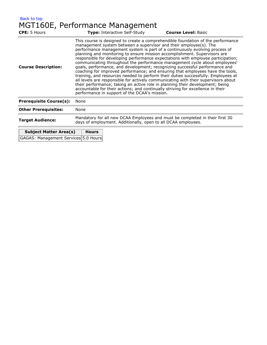| Back to top |                                 |
|-------------|---------------------------------|
|             | MGT160E, Performance Management |

| <b>CPE:</b> 5 Hours            | <b>Type:</b> Interactive Self-Study                                                                                                           | <b>Course Level: Basic</b>                                                                                                                                                                                                                                                                                                                                                                                                                                                                                                                                                                                                                                                                                                                                                                                                                                                                                                                                                                                                                           |  |
|--------------------------------|-----------------------------------------------------------------------------------------------------------------------------------------------|------------------------------------------------------------------------------------------------------------------------------------------------------------------------------------------------------------------------------------------------------------------------------------------------------------------------------------------------------------------------------------------------------------------------------------------------------------------------------------------------------------------------------------------------------------------------------------------------------------------------------------------------------------------------------------------------------------------------------------------------------------------------------------------------------------------------------------------------------------------------------------------------------------------------------------------------------------------------------------------------------------------------------------------------------|--|
| <b>Course Description:</b>     |                                                                                                                                               | This course is designed to create a comprehendible foundation of the performance<br>management system between a supervisor and their employee(s). The<br>performance management system is part of a continuously evolving process of<br>planning and monitoring to ensure mission accomplishment. Supervisors are<br>responsible for developing performance expectations with employee participation;<br>communicating throughout the performance management cycle about employees'<br>goals, performance, and development; recognizing successful performance and<br>coaching for improved performance; and ensuring that employees have the tools,<br>training, and resources needed to perform their duties successfully. Employees at<br>all levels are responsible for actively communicating with their supervisors about<br>their performance; taking an active role in planning their development; being<br>accountable for their actions; and continually striving for excellence in their<br>performance in support of the DCAA's mission. |  |
| <b>Prerequisite Course(s):</b> | None                                                                                                                                          |                                                                                                                                                                                                                                                                                                                                                                                                                                                                                                                                                                                                                                                                                                                                                                                                                                                                                                                                                                                                                                                      |  |
| <b>Other Prerequisites:</b>    | None                                                                                                                                          |                                                                                                                                                                                                                                                                                                                                                                                                                                                                                                                                                                                                                                                                                                                                                                                                                                                                                                                                                                                                                                                      |  |
| <b>Target Audience:</b>        | Mandatory for all new DCAA Employees and must be completed in their first 30<br>days of employment. Additionally, open to all DCAA employees. |                                                                                                                                                                                                                                                                                                                                                                                                                                                                                                                                                                                                                                                                                                                                                                                                                                                                                                                                                                                                                                                      |  |

| <b>Subject Matter Area(s)</b>        | <b>Hours</b> |
|--------------------------------------|--------------|
| GAGAS: Management Services 5.0 Hours |              |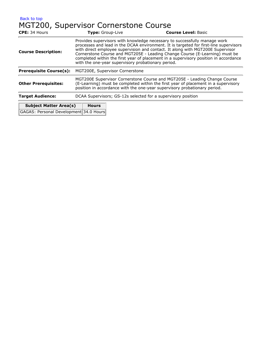[Back to top](#page-7-0)

# MGT200, Supervisor Cornerstone Course

| CPE: 34 Hours                                                                                                                                                                                                                                                                                                                                                                                                                                                                                                   | Type: Group-Live                | <b>Course Level: Basic</b> |
|-----------------------------------------------------------------------------------------------------------------------------------------------------------------------------------------------------------------------------------------------------------------------------------------------------------------------------------------------------------------------------------------------------------------------------------------------------------------------------------------------------------------|---------------------------------|----------------------------|
| Provides supervisors with knowledge necessary to successfully manage work<br>processes and lead in the DCAA environment. It is targeted for first-line supervisors<br>with direct employee supervision and contact. It along with MGT200E Supervisor<br><b>Course Description:</b><br>Cornerstone Course and MGT205E - Leading Change Course (E-Learning) must be<br>completed within the first year of placement in a supervisory position in accordance<br>with the one-year supervisory probationary period. |                                 |                            |
| <b>Prerequisite Course(s):</b>                                                                                                                                                                                                                                                                                                                                                                                                                                                                                  | MGT200E, Supervisor Cornerstone |                            |
| MGT200E Supervisor Cornerstone Course and MGT205E - Leading Change Course<br>(E-Learning) must be completed within the first year of placement in a supervisory<br><b>Other Prerequisites:</b><br>position in accordance with the one-year supervisory probationary period.                                                                                                                                                                                                                                     |                                 |                            |
| DCAA Supervisors; GS-12s selected for a supervisory position<br><b>Target Audience:</b>                                                                                                                                                                                                                                                                                                                                                                                                                         |                                 |                            |
| <b>Subject Matter Area(s)</b>                                                                                                                                                                                                                                                                                                                                                                                                                                                                                   | <b>Hours</b>                    |                            |
| GAGAS: Personal Development 34.0 Hours                                                                                                                                                                                                                                                                                                                                                                                                                                                                          |                                 |                            |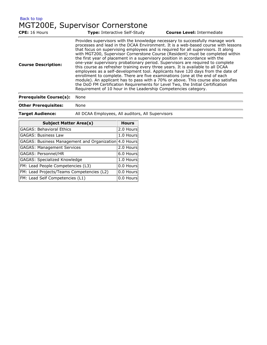[Back to top](#page-7-0) MGT200E, Supervisor Cornerstone

| Provides supervisors with the knowledge necessary to successfully manage work<br>processes and lead in the DCAA Environment. It is a web-based course with lessons<br>that focus on supervising employees and is required for all supervisors. It along<br>with MGT200, Supervisor Cornerstone Course (Resident) must be completed within<br>the first year of placement in a supervisory position in accordance with the<br>one-year supervisory probationary period. Supervisors are required to complete<br><b>Course Description:</b><br>this course as refresher training every three years. It is available to all DCAA<br>employees as a self-development tool. Applicants have 120 days from the date of<br>enrollment to complete. There are five examinations (one at the end of each<br>module). An applicant has to pass with a 70% or above. This course also satisfies<br>the DoD FM Certification Requirements for Level Two, the Initial Certification | <b>CPE:</b> 16 Hours | Type: Interactive Self-Study | <b>Course Level: Intermediate</b> |
|------------------------------------------------------------------------------------------------------------------------------------------------------------------------------------------------------------------------------------------------------------------------------------------------------------------------------------------------------------------------------------------------------------------------------------------------------------------------------------------------------------------------------------------------------------------------------------------------------------------------------------------------------------------------------------------------------------------------------------------------------------------------------------------------------------------------------------------------------------------------------------------------------------------------------------------------------------------------|----------------------|------------------------------|-----------------------------------|
| Requirement of 10 hour in the Leadership Competencies category.                                                                                                                                                                                                                                                                                                                                                                                                                                                                                                                                                                                                                                                                                                                                                                                                                                                                                                        |                      |                              |                                   |

#### **Prerequisite Course(s):** None

**Other Prerequisites:** None

**Target Audience:** All DCAA Employees, All auditors, All Supervisors

| <b>Subject Matter Area(s)</b>                         | <b>Hours</b> |
|-------------------------------------------------------|--------------|
| <b>GAGAS: Behavioral Ethics</b>                       | 2.0 Hours    |
| <b>GAGAS: Business Law</b>                            | 1.0 Hours    |
| GAGAS: Business Management and Organization 4.0 Hours |              |
| <b>GAGAS: Management Services</b>                     | 2.0 Hours    |
| GAGAS: Personnel/HR                                   | 6.0 Hours    |
| <b>GAGAS: Specialized Knowledge</b>                   | 1.0 Hours    |
| FM: Lead People Competencies (L3)                     | 0.0 Hours    |
| FM: Lead Projects/Teams Competencies (L2)             | 0.0 Hours    |
| FM: Lead Self Competencies (L1)                       | 0.0 Hours    |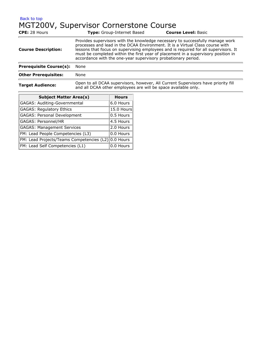#### [Back to top](#page-7-0) MGT200V, Supervisor Cornerstone Course

| CPE: 28 Hours                  | <b>Type:</b> Group-Internet Based                                                                                                                                                                                                                                                                                                                                                                           | <b>Course Level: Basic</b> |
|--------------------------------|-------------------------------------------------------------------------------------------------------------------------------------------------------------------------------------------------------------------------------------------------------------------------------------------------------------------------------------------------------------------------------------------------------------|----------------------------|
| <b>Course Description:</b>     | Provides supervisors with the knowledge necessary to successfully manage work<br>processes and lead in the DCAA Environment. It is a Virtual Class course with<br>lessons that focus on supervising employees and is required for all supervisors. It<br>must be completed within the first year of placement in a supervisory position in<br>accordance with the one-year supervisory probationary period. |                            |
| <b>Prerequisite Course(s):</b> | None                                                                                                                                                                                                                                                                                                                                                                                                        |                            |
| <b>Other Prerequisites:</b>    | None                                                                                                                                                                                                                                                                                                                                                                                                        |                            |
| <b>Target Audience:</b>        | Open to all DCAA supervisors, however, All Current Supervisors have priority fill<br>and all DCAA other employees are will be space available only.                                                                                                                                                                                                                                                         |                            |

| <b>Subject Matter Area(s)</b>                       | <b>Hours</b> |
|-----------------------------------------------------|--------------|
| GAGAS: Auditing-Governmental                        | 6.0 Hours    |
| <b>GAGAS: Regulatory Ethics</b>                     | 15.0 Hours   |
| <b>GAGAS: Personal Development</b>                  | $0.5$ Hours  |
| GAGAS: Personnel/HR                                 | 4.5 Hours    |
| <b>GAGAS: Management Services</b>                   | 2.0 Hours    |
| FM: Lead People Competencies (L3)                   | 0.0 Hours    |
| FM: Lead Projects/Teams Competencies (L2) 0.0 Hours |              |
| FM: Lead Self Competencies (L1)                     | 0.0 Hours    |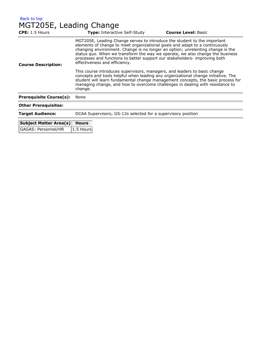| <b>Back to top</b> |
|--------------------|
|--------------------|

## MGT205E, Leading Change

| CPE: 1.5 Hours                 | <b>Type: Interactive Self-Study</b>                                                                                                                                                                                                                                                                                                                                                                                                       | <b>Course Level: Basic</b> |
|--------------------------------|-------------------------------------------------------------------------------------------------------------------------------------------------------------------------------------------------------------------------------------------------------------------------------------------------------------------------------------------------------------------------------------------------------------------------------------------|----------------------------|
| <b>Course Description:</b>     | MGT205E, Leading Change serves to introduce the student to the important<br>elements of change to meet organizational goals and adapt to a continuously<br>changing environment. Change is no longer an option; unrelenting change is the<br>status quo. When we transform the way we operate, we also change the business<br>processes and functions to better support our stakeholders- improving both<br>effectiveness and efficiency. |                            |
|                                | This course introduces supervisors, managers, and leaders to basic change<br>concepts and tools helpful when leading any organizational change initiative. The<br>student will learn fundamental change management concepts, the basic process for<br>managing change, and how to overcome challenges in dealing with resistance to<br>change.                                                                                            |                            |
| <b>Prerequisite Course(s):</b> | None                                                                                                                                                                                                                                                                                                                                                                                                                                      |                            |
| <b>Other Prerequisites:</b>    |                                                                                                                                                                                                                                                                                                                                                                                                                                           |                            |
| <b>Target Audience:</b>        | DCAA Supervisors; GS-12s selected for a supervisory position                                                                                                                                                                                                                                                                                                                                                                              |                            |

| Subject Matter Area(s) Hours |              |
|------------------------------|--------------|
| GAGAS: Personnel/HR          | $ 1.5$ Hours |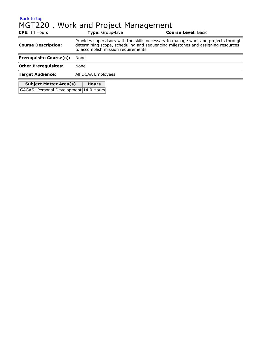#### [Back to top](#page-7-0) MGT220 , Work and Project Management **CPE:** 14 Hours **Type:** Group-Live **Course Level:** Basic **Course Description:** Provides supervisors with the skills necessary to manage work and projects through determining scope, scheduling and sequencing milestones and assigning resources to accomplish mission requirements. **Prerequisite Course(s):** None

**Other Prerequisites:** None **Target Audience:** All DCAA Employees **Subject Matter Area(s) Hours** GAGAS: Personal Development 14.0 Hours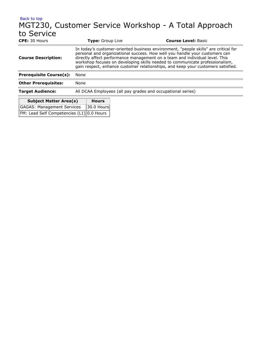### [Back to top](#page-7-0) MGT230, Customer Service Workshop - A Total Approach to Service<br>
CPE: 30 Hours **Type:** Group Live **Course Level:** Basic In today's customer-oriented business environment, "people skills" are critical for

| <b>Subject Matter Area(s)</b>  | <b>Hours</b>                                                                                                                                                                                                                                                                                                                                                                                                          |  |  |
|--------------------------------|-----------------------------------------------------------------------------------------------------------------------------------------------------------------------------------------------------------------------------------------------------------------------------------------------------------------------------------------------------------------------------------------------------------------------|--|--|
| <b>Target Audience:</b>        | All DCAA Employees (all pay grades and occupational series)                                                                                                                                                                                                                                                                                                                                                           |  |  |
| <b>Other Prerequisites:</b>    | None                                                                                                                                                                                                                                                                                                                                                                                                                  |  |  |
| <b>Prerequisite Course(s):</b> | None                                                                                                                                                                                                                                                                                                                                                                                                                  |  |  |
| <b>Course Description:</b>     | In today's customer-oriented business environment, "people skills" are critical for<br>personal and organizational success. How well you handle your customers can<br>directly affect performance management on a team and individual level. This<br>workshop focuses on developing skills needed to communicate professionalism,<br>gain respect, enhance customer relationships, and keep your customers satisfied. |  |  |

| 300                                                                                                                                | ,,,,,, |
|------------------------------------------------------------------------------------------------------------------------------------|--------|
| GAGAS: Management Services 30.0 Hours                                                                                              |        |
| $\boxed{\mathsf{FM}\colon \mathsf{lead} \; \mathsf{Self} \; \mathsf{Complete} \; (\mathsf{L1}) \; \mathsf{0.0} \; \mathsf{House}}$ |        |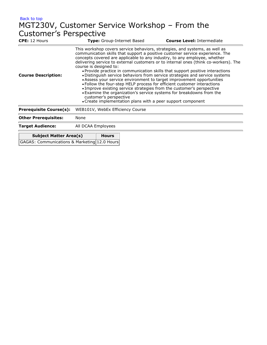## [Back to top](#page-7-0) MGT230V, Customer Service Workshop – From the Customer's Perspective

| <b>CPE:</b> 12 Hours                         |                                                                                                                                                                                                                                                                                                                                                                                                                                                                                                                                                                                                                                                                                                                                                                                                                                                                                                                           |              | <b>Type:</b> Group-Internet Based | <b>Course Level: Intermediate</b> |
|----------------------------------------------|---------------------------------------------------------------------------------------------------------------------------------------------------------------------------------------------------------------------------------------------------------------------------------------------------------------------------------------------------------------------------------------------------------------------------------------------------------------------------------------------------------------------------------------------------------------------------------------------------------------------------------------------------------------------------------------------------------------------------------------------------------------------------------------------------------------------------------------------------------------------------------------------------------------------------|--------------|-----------------------------------|-----------------------------------|
| <b>Course Description:</b>                   | This workshop covers service behaviors, strategies, and systems, as well as<br>communication skills that support a positive customer service experience. The<br>concepts covered are applicable to any industry, to any employee, whether<br>delivering service to external customers or to internal ones (think co-workers). The<br>course is designed to:<br>• Provide practice in communication skills that support positive interactions<br>• Distinguish service behaviors from service strategies and service systems<br>• Assess your service environment to target improvement opportunities<br>. Follow the four-step HELP process for efficient customer interactions<br>. Improve existing service strategies from the customer's perspective<br>. Examine the organization's service systems for breakdowns from the<br>customer's perspective<br>• Create implementation plans with a peer support component |              |                                   |                                   |
| <b>Prerequisite Course(s):</b>               |                                                                                                                                                                                                                                                                                                                                                                                                                                                                                                                                                                                                                                                                                                                                                                                                                                                                                                                           |              | WEB101V, WebEx Efficiency Course  |                                   |
| <b>Other Prerequisites:</b>                  | None                                                                                                                                                                                                                                                                                                                                                                                                                                                                                                                                                                                                                                                                                                                                                                                                                                                                                                                      |              |                                   |                                   |
| <b>Target Audience:</b>                      | All DCAA Employees                                                                                                                                                                                                                                                                                                                                                                                                                                                                                                                                                                                                                                                                                                                                                                                                                                                                                                        |              |                                   |                                   |
| <b>Subject Matter Area(s)</b>                |                                                                                                                                                                                                                                                                                                                                                                                                                                                                                                                                                                                                                                                                                                                                                                                                                                                                                                                           | <b>Hours</b> |                                   |                                   |
| GAGAS: Communications & Marketing 12.0 Hours |                                                                                                                                                                                                                                                                                                                                                                                                                                                                                                                                                                                                                                                                                                                                                                                                                                                                                                                           |              |                                   |                                   |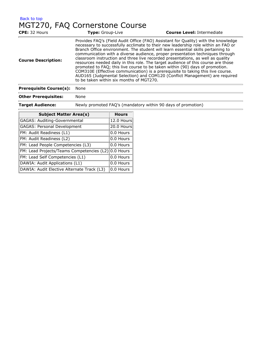| Back to top |                                |  |
|-------------|--------------------------------|--|
|             | MGT270, FAQ Cornerstone Course |  |

| CPE: 32 Hours                  | Type: Group-Live                                                                                                                                                                                                                                                                                                                                                                                                                                                                                                                                                                                                                                                                                                                                                                                                   | <b>Course Level: Intermediate</b> |
|--------------------------------|--------------------------------------------------------------------------------------------------------------------------------------------------------------------------------------------------------------------------------------------------------------------------------------------------------------------------------------------------------------------------------------------------------------------------------------------------------------------------------------------------------------------------------------------------------------------------------------------------------------------------------------------------------------------------------------------------------------------------------------------------------------------------------------------------------------------|-----------------------------------|
| <b>Course Description:</b>     | Provides FAQ's (Field Audit Office (FAO) Assistant for Quality) with the knowledge<br>necessary to successfully acclimate to their new leadership role within an FAO or<br>Branch Office environment. The student will learn essential skills pertaining to<br>communication with a diverse audience, proper presentation techniques through<br>classroom instruction and three live recorded presentations, as well as quality<br>resources needed daily in this role. The target audience of this course are those<br>promoted to FAQ; this live course to be taken within (90) days of promotion.<br>COM310E (Effective communication) is a prerequisite to taking this live course.<br>AUD165 (Judgmental Selection) and COM120 (Conflict Management) are required<br>to be taken within six months of MGT270. |                                   |
| <b>Prerequisite Course(s):</b> | None                                                                                                                                                                                                                                                                                                                                                                                                                                                                                                                                                                                                                                                                                                                                                                                                               |                                   |
| <b>Other Prerequisites:</b>    | None                                                                                                                                                                                                                                                                                                                                                                                                                                                                                                                                                                                                                                                                                                                                                                                                               |                                   |

t.

**Target Audience:** Newly promoted FAQ's (mandatory within 90 days of promotion)

| <b>Subject Matter Area(s)</b>              | <b>Hours</b> |
|--------------------------------------------|--------------|
|                                            |              |
| GAGAS: Auditing-Governmental               | 12.0 Hours   |
| GAGAS: Personal Development                | 20.0 Hours   |
| FM: Audit Readiness (L1)                   | 0.0 Hours    |
| FM: Audit Readiness (L2)                   | 0.0 Hours    |
| FM: Lead People Competencies (L3)          | 0.0 Hours    |
| FM: Lead Projects/Teams Competencies (L2)  | 0.0 Hours    |
| FM: Lead Self Competencies (L1)            | 0.0 Hours    |
| DAWIA: Audit Applications (L1)             | 0.0 Hours    |
| DAWIA: Audit Elective Alternate Track (L3) | 0.0 Hours    |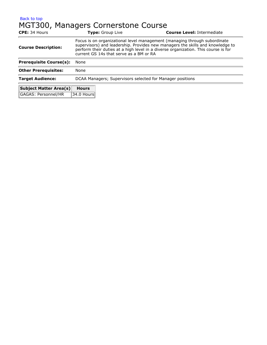#### [Back to top](#page-7-0) MGT300, Managers Cornerstone Course

| CPE: 34 Hours                  | Type: Group Live                                                                                                                                                                                                                                                                             |  | <b>Course Level: Intermediate</b> |  |
|--------------------------------|----------------------------------------------------------------------------------------------------------------------------------------------------------------------------------------------------------------------------------------------------------------------------------------------|--|-----------------------------------|--|
| <b>Course Description:</b>     | Focus is on organizational level management (managing through subordinate<br>supervisors) and leadership. Provides new managers the skills and knowledge to<br>perform their duties at a high level in a diverse organization. This course is for<br>current GS 14s that serve as a BM or RA |  |                                   |  |
| <b>Prerequisite Course(s):</b> | None                                                                                                                                                                                                                                                                                         |  |                                   |  |
| <b>Other Prerequisites:</b>    | None                                                                                                                                                                                                                                                                                         |  |                                   |  |
| <b>Target Audience:</b>        | DCAA Managers; Supervisors selected for Manager positions                                                                                                                                                                                                                                    |  |                                   |  |
| <b>Subject Matter Area(s)</b>  | <b>Hours</b>                                                                                                                                                                                                                                                                                 |  |                                   |  |
| GAGAS: Personnel/HR            | 34.0 Hours                                                                                                                                                                                                                                                                                   |  |                                   |  |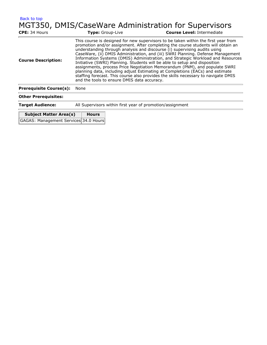| Back to top                    |                                                           |                                                                                                                                                                                                                                                                                                                                                                                                                                                                                                                                                                                                                                                                                                                                                              |
|--------------------------------|-----------------------------------------------------------|--------------------------------------------------------------------------------------------------------------------------------------------------------------------------------------------------------------------------------------------------------------------------------------------------------------------------------------------------------------------------------------------------------------------------------------------------------------------------------------------------------------------------------------------------------------------------------------------------------------------------------------------------------------------------------------------------------------------------------------------------------------|
| CPE: 34 Hours                  | <b>Type:</b> Group-Live                                   | MGT350, DMIS/CaseWare Administration for Supervisors<br><b>Course Level: Intermediate</b>                                                                                                                                                                                                                                                                                                                                                                                                                                                                                                                                                                                                                                                                    |
| <b>Course Description:</b>     | and the tools to ensure DMIS data accuracy.               | This course is designed for new supervisors to be taken within the first year from<br>promotion and/or assignment. After completing the course students will obtain an<br>understanding through analysis and discourse (i) supervising audits using<br>CaseWare, (ii) DMIS Administration, and (iii) SWRI Planning. Defense Management<br>Information Systems (DMIS) Administration, and Strategic Workload and Resources<br>Initiative (SWRI) Planning. Students will be able to setup and disposition<br>assignments, process Price Negotiation Memorandum (PNM), and populate SWRI<br>planning data, including adjust Estimating at Completions (EACs) and estimate<br>staffing forecast. This course also provides the skills necessary to navigate DMIS |
| <b>Prerequisite Course(s):</b> | None                                                      |                                                                                                                                                                                                                                                                                                                                                                                                                                                                                                                                                                                                                                                                                                                                                              |
| <b>Other Prerequisites:</b>    |                                                           |                                                                                                                                                                                                                                                                                                                                                                                                                                                                                                                                                                                                                                                                                                                                                              |
| <b>Target Audience:</b>        | All Supervisors within first year of promotion/assignment |                                                                                                                                                                                                                                                                                                                                                                                                                                                                                                                                                                                                                                                                                                                                                              |
| <b>Subject Matter Area(s)</b>  | <b>Hours</b>                                              |                                                                                                                                                                                                                                                                                                                                                                                                                                                                                                                                                                                                                                                                                                                                                              |

| Subject Matter Area(s)                | nours |
|---------------------------------------|-------|
| GAGAS: Management Services 34.0 Hours |       |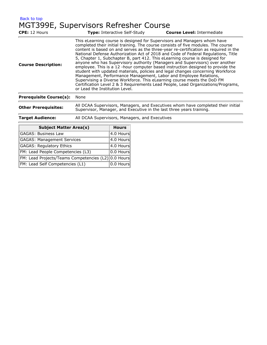[Back to top](#page-7-0) MGT399E, Supervisors Refresher Course

| <b>CPE:</b> 12 Hours           | <b>Type: Interactive Self-Study</b>                                                                                                                                                                                                                                                                                                       | <b>Course Level: Intermediate</b>                                                                                                                                                                                                                                                                                                                                                                                                                                                                                                                                                                        |
|--------------------------------|-------------------------------------------------------------------------------------------------------------------------------------------------------------------------------------------------------------------------------------------------------------------------------------------------------------------------------------------|----------------------------------------------------------------------------------------------------------------------------------------------------------------------------------------------------------------------------------------------------------------------------------------------------------------------------------------------------------------------------------------------------------------------------------------------------------------------------------------------------------------------------------------------------------------------------------------------------------|
| <b>Course Description:</b>     | This eLearning course is designed for Supervisors and Managers whom have<br>5, Chapter 1, Subchapter B, part 412. This eLearning course is designed for<br>Management, Performance Management, Labor and Employee Relations,<br>Supervising a Diverse Workforce. This eLearning course meets the DoD FM<br>or Lead the Institution Level. | completed their initial training. The course consists of five modules. The course<br>content is based on and serves as the three-year re-certification as required in the<br>National Defense Authorization Act of 2018 and Code of Federal Regulations, Title<br>anyone who has Supervisory authority (Managers and Supervisors) over another<br>employee. This is a 12 -hour computer based instruction designed to provide the<br>student with updated materials, policies and legal changes concerning Workforce<br>Certification Level 2 & 3 Requirements Lead People, Lead Organizations/Programs, |
| <b>Prerequisite Course(s):</b> | None                                                                                                                                                                                                                                                                                                                                      |                                                                                                                                                                                                                                                                                                                                                                                                                                                                                                                                                                                                          |
|                                |                                                                                                                                                                                                                                                                                                                                           |                                                                                                                                                                                                                                                                                                                                                                                                                                                                                                                                                                                                          |

**Other Prerequisites:** All DCAA Supervisors, Managers, and Executives whom have completed their initial<br>Supervisor, Manager, and Executive in the last three years training.

| <b>Target Audience:</b> | All DCAA Supervisors, Managers, and Executives |  |
|-------------------------|------------------------------------------------|--|
|-------------------------|------------------------------------------------|--|

| <b>Subject Matter Area(s)</b>                       | <b>Hours</b>          |
|-----------------------------------------------------|-----------------------|
| GAGAS: Business Law                                 | 4.0 Hours             |
| GAGAS: Management Services                          | $ 4.0$ Hours          |
| <b>GAGAS: Regulatory Ethics</b>                     | $ 4.0$ Hours          |
| FM: Lead People Competencies (L3)                   | $ 0.0$ Hours          |
| FM: Lead Projects/Teams Competencies (L2) 0.0 Hours |                       |
| FM: Lead Self Competencies (L1)                     | $ 0.0 \text{ Hours} $ |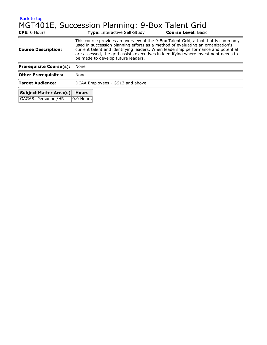[Back to top](#page-7-0)

# MGT401E, Succession Planning: 9-Box Talent Grid

**CPE:** 0 Hours **Type:** Interactive Self-Study **Course Level:** Basic **Course Description:** This course provides an overview of the 9-Box Talent Grid, a tool that is commonly used in succession planning efforts as a method of evaluating an organization's current talent and identifying leaders. When leadership performance and potential are assessed, the grid assists executives in identifying where investment needs to be made to develop future leaders. **Prerequisite Course(s):** None **Other Prerequisites:** None **Target Audience:** DCAA Employees - GS13 and above **Subject Matter Area(s) Hours**

GAGAS: Personnel/HR | 0.0 Hours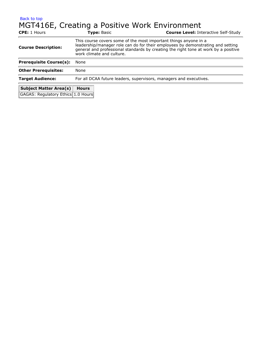## [Back to top](#page-7-0) MGT416E, Creating a Positive Work Environment

| <b>CPE:</b> 1 Hours                | <b>Type: Basic</b>                                                                                                                                                                                                                                                      | <b>Course Level: Interactive Self-Study</b> |  |  |
|------------------------------------|-------------------------------------------------------------------------------------------------------------------------------------------------------------------------------------------------------------------------------------------------------------------------|---------------------------------------------|--|--|
| <b>Course Description:</b>         | This course covers some of the most important things anyone in a<br>leadership/manager role can do for their employees by demonstrating and setting<br>general and professional standards by creating the right tone at work by a positive<br>work climate and culture. |                                             |  |  |
| <b>Prerequisite Course(s):</b>     | None                                                                                                                                                                                                                                                                    |                                             |  |  |
| <b>Other Prerequisites:</b>        | None                                                                                                                                                                                                                                                                    |                                             |  |  |
| <b>Target Audience:</b>            | For all DCAA future leaders, supervisors, managers and executives.                                                                                                                                                                                                      |                                             |  |  |
| <b>Subject Matter Area(s)</b>      | <b>Hours</b>                                                                                                                                                                                                                                                            |                                             |  |  |
| GAGAS: Regulatory Ethics 1.0 Hours |                                                                                                                                                                                                                                                                         |                                             |  |  |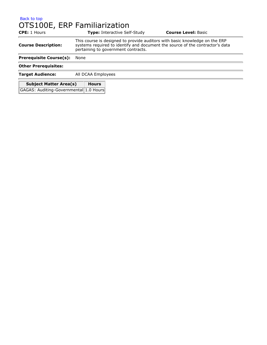#### [Back to top](#page-7-0) OTS100E, ERP Familiarization

| <b>CPE:</b> 1 Hours                           |                                                                                                                                                                                                     | <b>Type: Interactive Self-Study</b> | <b>Course Level: Basic</b> |  |
|-----------------------------------------------|-----------------------------------------------------------------------------------------------------------------------------------------------------------------------------------------------------|-------------------------------------|----------------------------|--|
| <b>Course Description:</b>                    | This course is designed to provide auditors with basic knowledge on the ERP<br>systems required to identify and document the source of the contractor's data<br>pertaining to government contracts. |                                     |                            |  |
| <b>Prerequisite Course(s):</b>                | None                                                                                                                                                                                                |                                     |                            |  |
| <b>Other Prerequisites:</b>                   |                                                                                                                                                                                                     |                                     |                            |  |
| <b>Target Audience:</b><br>All DCAA Employees |                                                                                                                                                                                                     |                                     |                            |  |
| <b>Subject Matter Area(s)</b><br><b>Hours</b> |                                                                                                                                                                                                     |                                     |                            |  |
| GAGAS: Auditing-Governmental 1.0 Hours        |                                                                                                                                                                                                     |                                     |                            |  |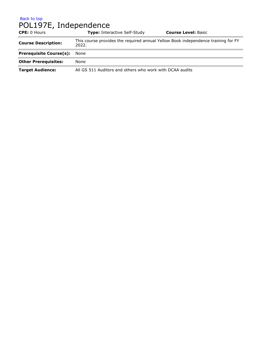#### [Back to top](#page-7-0)

# POL197E, Independence

| <b>CPE:</b> 0 Hours            | <b>Type:</b> Interactive Self-Study                                                        | <b>Course Level: Basic</b> |  |
|--------------------------------|--------------------------------------------------------------------------------------------|----------------------------|--|
| <b>Course Description:</b>     | This course provides the required annual Yellow Book independence training for FY<br>2022. |                            |  |
| <b>Prerequisite Course(s):</b> | None                                                                                       |                            |  |
| <b>Other Prerequisites:</b>    | None                                                                                       |                            |  |
| <b>Target Audience:</b>        | All GS 511 Auditors and others who work with DCAA audits                                   |                            |  |